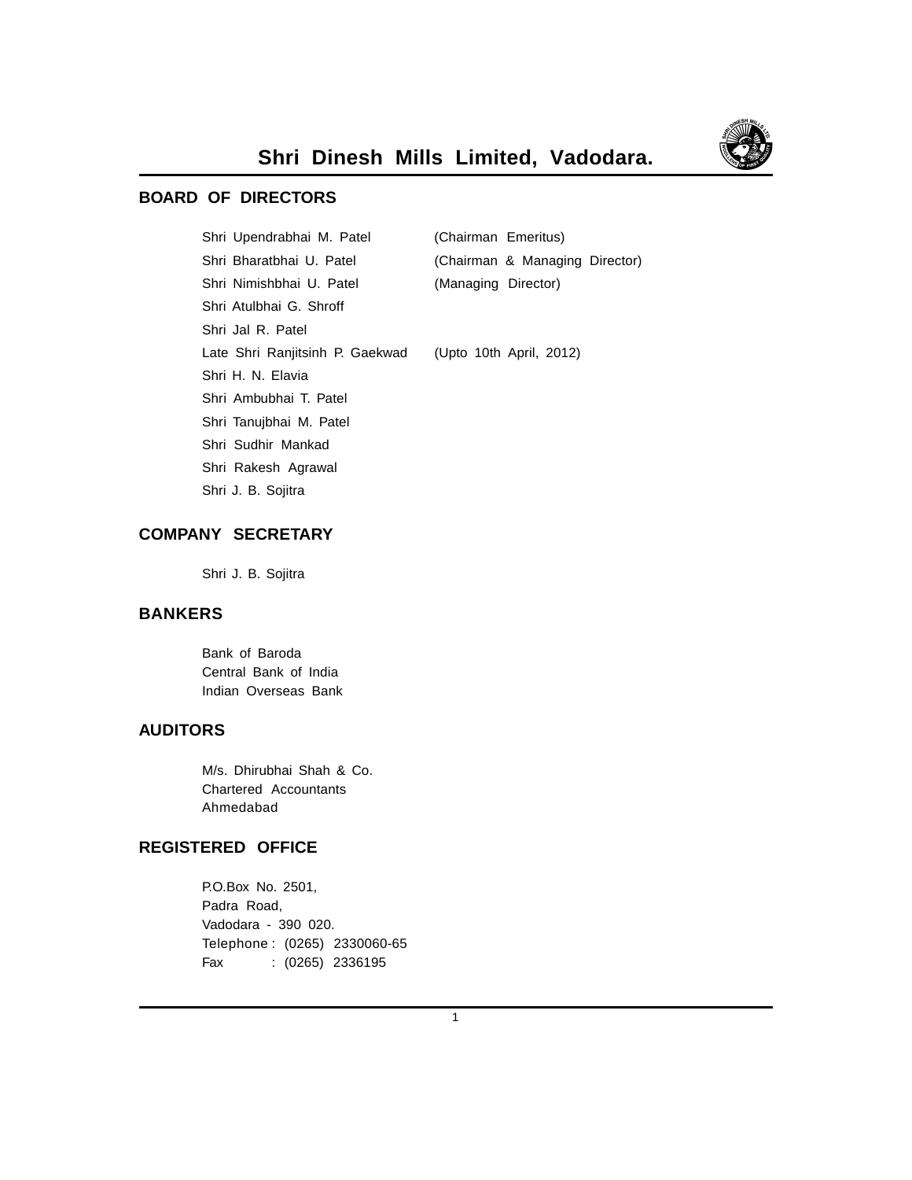

## **BOARD OF DIRECTORS**

| Shri Upendrabhai M. Patel       | (Chairman Emeritus)            |
|---------------------------------|--------------------------------|
| Shri Bharatbhai U. Patel        | (Chairman & Managing Director) |
| Shri Nimishbhai U. Patel        | (Managing Director)            |
| Shri Atulbhai G. Shroff         |                                |
| Shri Jal R. Patel               |                                |
| Late Shri Ranjitsinh P. Gaekwad | (Upto 10th April, 2012)        |
| Shri H. N. Elavia               |                                |
| Shri Ambubhai T. Patel          |                                |
| Shri Tanuibhai M. Patel         |                                |
| Shri Sudhir Mankad              |                                |
| Shri Rakesh Agrawal             |                                |
| Shri J. B. Sojitra              |                                |

## **COMPANY SECRETARY**

Shri J. B. Sojitra

## **BANKERS**

Bank of Baroda Central Bank of India Indian Overseas Bank

## **AUDITORS**

M/s. Dhirubhai Shah & Co. Chartered Accountants Ahmedabad

## **REGISTERED OFFICE**

P.O.Box No. 2501, Padra Road, Vadodara - 390 020. Telephone : (0265) 2330060-65 Fax : (0265) 2336195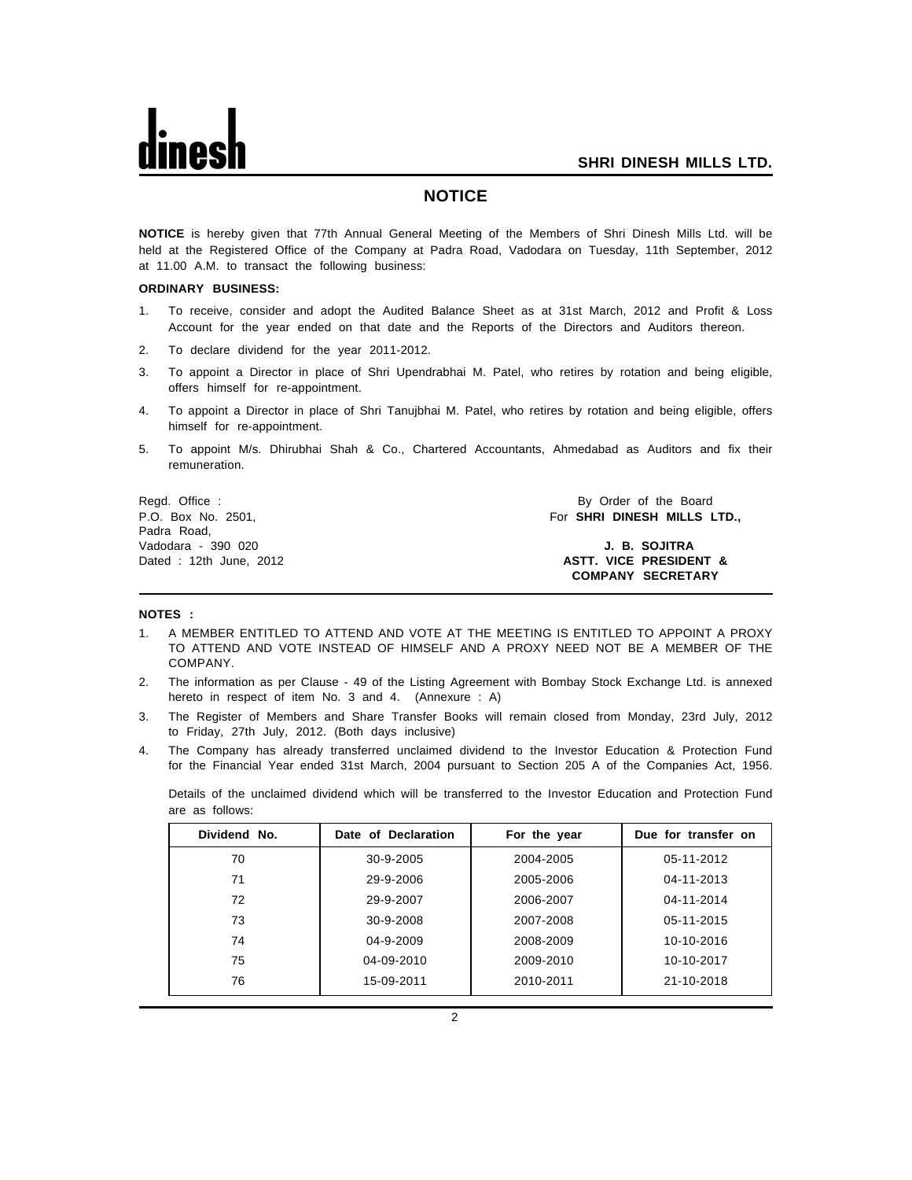## **NOTICE**

**NOTICE** is hereby given that 77th Annual General Meeting of the Members of Shri Dinesh Mills Ltd. will be held at the Registered Office of the Company at Padra Road, Vadodara on Tuesday, 11th September, 2012 at 11.00 A.M. to transact the following business:

### **ORDINARY BUSINESS:**

- 1. To receive, consider and adopt the Audited Balance Sheet as at 31st March, 2012 and Profit & Loss Account for the year ended on that date and the Reports of the Directors and Auditors thereon.
- 2. To declare dividend for the year 2011-2012.
- 3. To appoint a Director in place of Shri Upendrabhai M. Patel, who retires by rotation and being eligible, offers himself for re-appointment.
- 4. To appoint a Director in place of Shri Tanujbhai M. Patel, who retires by rotation and being eligible, offers himself for re-appointment.
- 5. To appoint M/s. Dhirubhai Shah & Co., Chartered Accountants, Ahmedabad as Auditors and fix their remuneration.

Padra Road, Vadodara - 390 020 **J. B. SOJITRA**

Regd. Office : By Order of the Board Control of the Board European State Board European State Board European State Board European State Board European State Board European State Board European State Board European State Bo P.O. Box No. 2501, **For SHRI DINESH MILLS LTD.,** 

Dated : 12th June, 2012 **ASTT. VICE PRESIDENT & COMPANY SECRETARY**

### **NOTES :**

- 1. A MEMBER ENTITLED TO ATTEND AND VOTE AT THE MEETING IS ENTITLED TO APPOINT A PROXY TO ATTEND AND VOTE INSTEAD OF HIMSELF AND A PROXY NEED NOT BE A MEMBER OF THE COMPANY.
- 2. The information as per Clause 49 of the Listing Agreement with Bombay Stock Exchange Ltd. is annexed hereto in respect of item No. 3 and 4. (Annexure : A)
- 3. The Register of Members and Share Transfer Books will remain closed from Monday, 23rd July, 2012 to Friday, 27th July, 2012. (Both days inclusive)
- 4. The Company has already transferred unclaimed dividend to the Investor Education & Protection Fund for the Financial Year ended 31st March, 2004 pursuant to Section 205 A of the Companies Act, 1956.

Details of the unclaimed dividend which will be transferred to the Investor Education and Protection Fund are as follows:

| Dividend No. | Date of Declaration | For the year | Due for transfer on |
|--------------|---------------------|--------------|---------------------|
| 70           | 30-9-2005           | 2004-2005    | 05-11-2012          |
| 71           | 29-9-2006           | 2005-2006    | 04-11-2013          |
| 72           | 29-9-2007           | 2006-2007    | 04-11-2014          |
| 73           | 30-9-2008           | 2007-2008    | 05-11-2015          |
| 74           | 04-9-2009           | 2008-2009    | 10-10-2016          |
| 75           | 04-09-2010          | 2009-2010    | 10-10-2017          |
| 76           | 15-09-2011          | 2010-2011    | 21-10-2018          |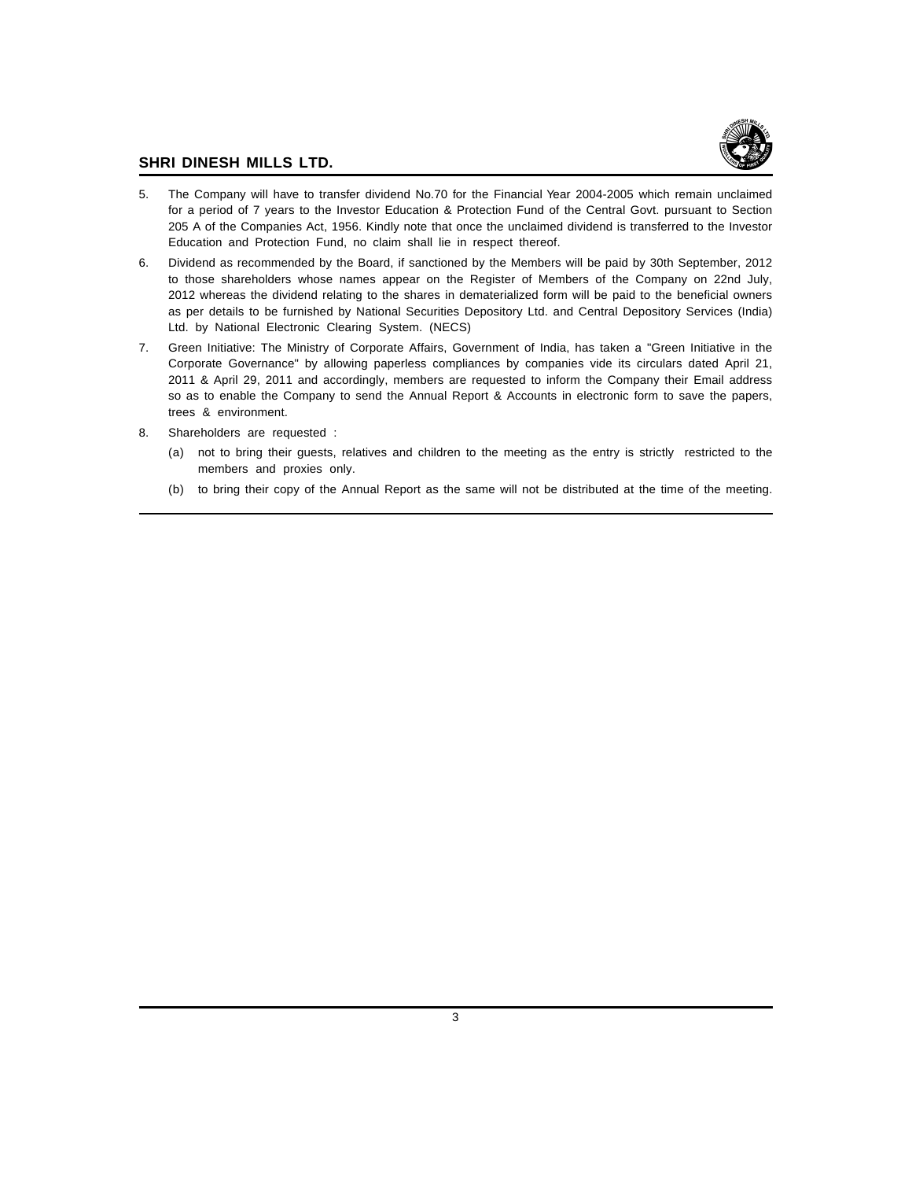

- 5. The Company will have to transfer dividend No.70 for the Financial Year 2004-2005 which remain unclaimed for a period of 7 years to the Investor Education & Protection Fund of the Central Govt. pursuant to Section 205 A of the Companies Act, 1956. Kindly note that once the unclaimed dividend is transferred to the Investor Education and Protection Fund, no claim shall lie in respect thereof.
- 6. Dividend as recommended by the Board, if sanctioned by the Members will be paid by 30th September, 2012 to those shareholders whose names appear on the Register of Members of the Company on 22nd July, 2012 whereas the dividend relating to the shares in dematerialized form will be paid to the beneficial owners as per details to be furnished by National Securities Depository Ltd. and Central Depository Services (India) Ltd. by National Electronic Clearing System. (NECS)
- 7. Green Initiative: The Ministry of Corporate Affairs, Government of India, has taken a "Green Initiative in the Corporate Governance" by allowing paperless compliances by companies vide its circulars dated April 21, 2011 & April 29, 2011 and accordingly, members are requested to inform the Company their Email address so as to enable the Company to send the Annual Report & Accounts in electronic form to save the papers, trees & environment.
- 8. Shareholders are requested :
	- (a) not to bring their guests, relatives and children to the meeting as the entry is strictly restricted to the members and proxies only.
	- (b) to bring their copy of the Annual Report as the same will not be distributed at the time of the meeting.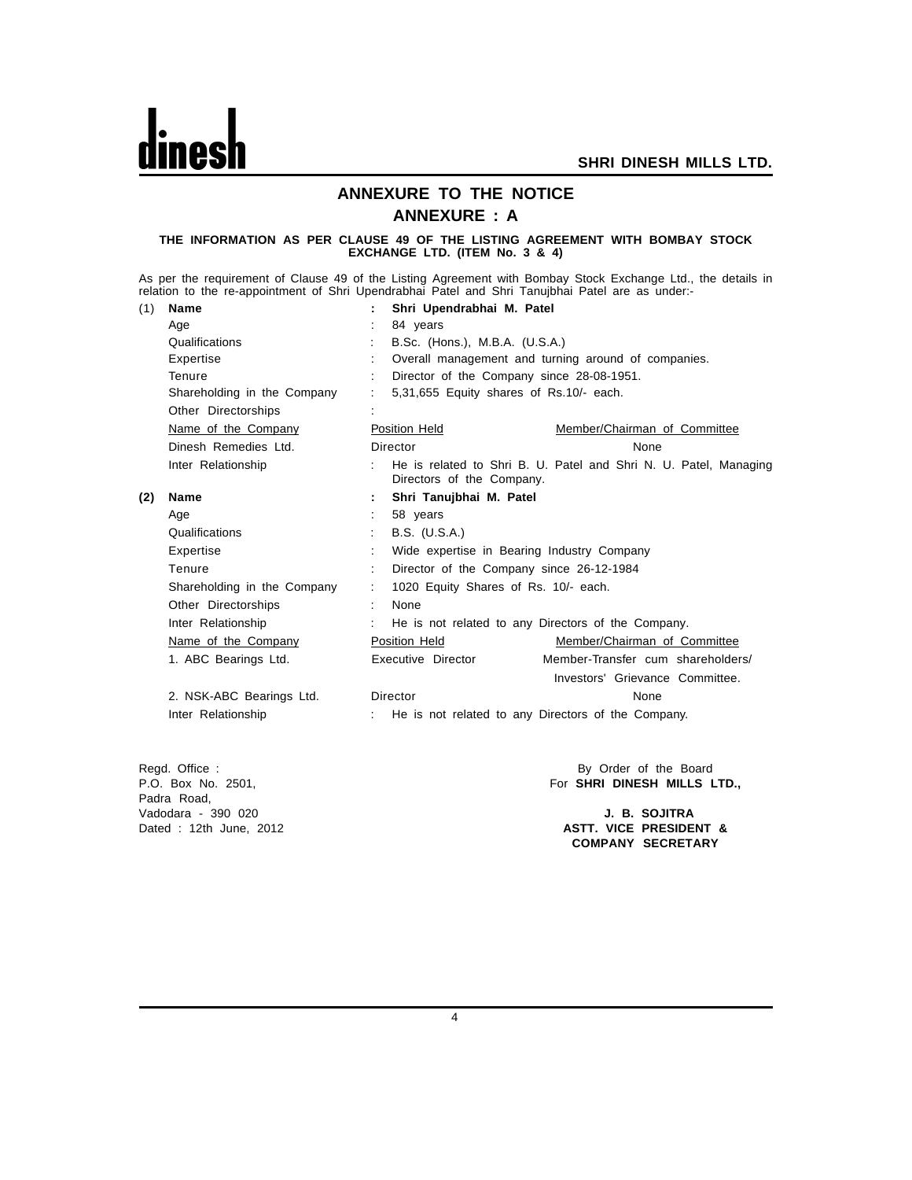## **ANNEXURE TO THE NOTICE ANNEXURE : A**

### **THE INFORMATION AS PER CLAUSE 49 OF THE LISTING AGREEMENT WITH BOMBAY STOCK EXCHANGE LTD. (ITEM No. 3 & 4)**

As per the requirement of Clause 49 of the Listing Agreement with Bombay Stock Exchange Ltd., the details in relation to the re-appointment of Shri Upendrabhai Patel and Shri Tanujbhai Patel are as under:-

| (1)                                        | Name                        | Shri Upendrabhai M. Patel                          |                                                                  |  |  |  |  |
|--------------------------------------------|-----------------------------|----------------------------------------------------|------------------------------------------------------------------|--|--|--|--|
|                                            | Age                         | 84 years                                           |                                                                  |  |  |  |  |
|                                            | Qualifications              |                                                    | B.Sc. (Hons.), M.B.A. (U.S.A.)                                   |  |  |  |  |
|                                            | Expertise                   |                                                    | Overall management and turning around of companies.              |  |  |  |  |
|                                            | Tenure                      | Director of the Company since 28-08-1951.          |                                                                  |  |  |  |  |
|                                            | Shareholding in the Company | 5,31,655 Equity shares of Rs.10/- each.<br>÷.      |                                                                  |  |  |  |  |
|                                            | Other Directorships         |                                                    |                                                                  |  |  |  |  |
|                                            | Name of the Company         | Position Held                                      | Member/Chairman of Committee                                     |  |  |  |  |
|                                            | Dinesh Remedies Ltd.        | Director                                           | None                                                             |  |  |  |  |
|                                            | Inter Relationship          | Directors of the Company.                          | He is related to Shri B. U. Patel and Shri N. U. Patel, Managing |  |  |  |  |
| (2)                                        | Name                        | Shri Tanujbhai M. Patel                            |                                                                  |  |  |  |  |
|                                            | Age                         | 58 years                                           |                                                                  |  |  |  |  |
|                                            | Qualifications              | B.S. (U.S.A.)<br>÷                                 |                                                                  |  |  |  |  |
|                                            | Expertise                   | Wide expertise in Bearing Industry Company<br>÷    |                                                                  |  |  |  |  |
|                                            | Tenure                      | Director of the Company since 26-12-1984           |                                                                  |  |  |  |  |
|                                            | Shareholding in the Company | 1020 Equity Shares of Rs. 10/- each.               |                                                                  |  |  |  |  |
|                                            | Other Directorships         | None                                               |                                                                  |  |  |  |  |
|                                            | Inter Relationship          |                                                    | He is not related to any Directors of the Company.               |  |  |  |  |
|                                            | Name of the Company         | Position Held                                      | Member/Chairman of Committee                                     |  |  |  |  |
| 1. ABC Bearings Ltd.<br>Executive Director |                             | Member-Transfer cum shareholders/                  |                                                                  |  |  |  |  |
|                                            |                             |                                                    | Investors' Grievance Committee.                                  |  |  |  |  |
|                                            | 2. NSK-ABC Bearings Ltd.    | Director                                           | None                                                             |  |  |  |  |
|                                            | Inter Relationship          | He is not related to any Directors of the Company. |                                                                  |  |  |  |  |

Padra Road,

Regd. Office : By Order of the Board Regd. Office : P.O. Box No. 2501, For **SHRI DINESH MILLS LTD.,**

Vadodara - 390 020 **J. B. SOJITRA ASTT. VICE PRESIDENT & COMPANY SECRETARY**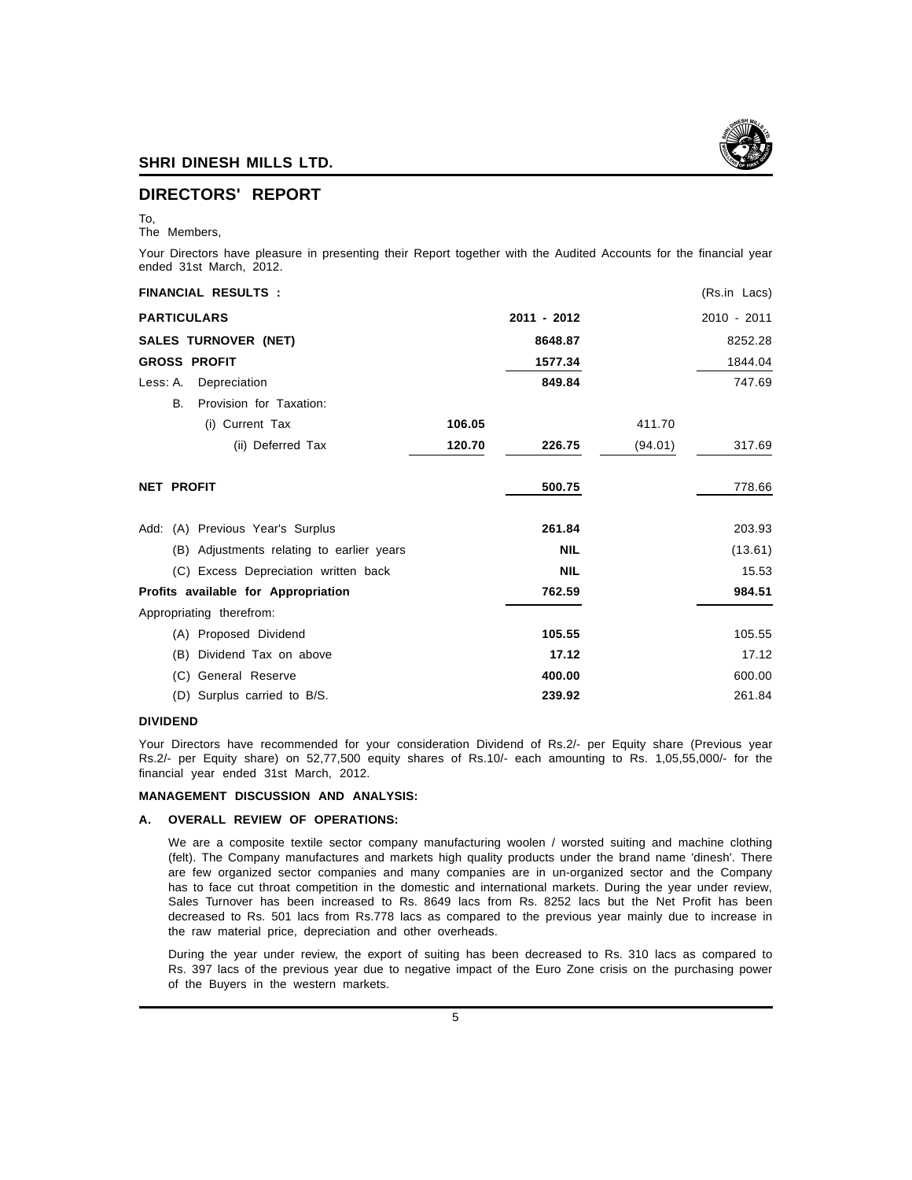

## **DIRECTORS' REPORT**

To,

The Members,

Your Directors have pleasure in presenting their Report together with the Audited Accounts for the financial year ended 31st March, 2012.

| <b>FINANCIAL RESULTS:</b>                 |        |             |         | (Rs.in Lacs)  |
|-------------------------------------------|--------|-------------|---------|---------------|
| <b>PARTICULARS</b>                        |        | 2011 - 2012 |         | $2010 - 2011$ |
| <b>SALES TURNOVER (NET)</b>               |        | 8648.87     |         | 8252.28       |
| <b>GROSS PROFIT</b>                       |        | 1577.34     |         | 1844.04       |
| Less: A.<br>Depreciation                  |        | 849.84      |         | 747.69        |
| <b>B.</b><br>Provision for Taxation:      |        |             |         |               |
| (i) Current Tax                           | 106.05 |             | 411.70  |               |
| (ii) Deferred Tax                         | 120.70 | 226.75      | (94.01) | 317.69        |
| <b>NET PROFIT</b>                         |        | 500.75      |         | 778.66        |
| Add: (A) Previous Year's Surplus          |        | 261.84      |         | 203.93        |
| (B) Adjustments relating to earlier years |        | <b>NIL</b>  |         | (13.61)       |
| (C) Excess Depreciation written back      |        | <b>NIL</b>  |         | 15.53         |
| Profits available for Appropriation       |        | 762.59      |         | 984.51        |
| Appropriating therefrom:                  |        |             |         |               |
| (A) Proposed Dividend                     |        | 105.55      |         | 105.55        |
| (B) Dividend Tax on above                 |        | 17.12       |         | 17.12         |
| (C) General Reserve                       |        | 400.00      |         | 600.00        |
| (D) Surplus carried to B/S.               |        | 239.92      |         | 261.84        |

### **DIVIDEND**

Your Directors have recommended for your consideration Dividend of Rs.2/- per Equity share (Previous year Rs.2/- per Equity share) on 52,77,500 equity shares of Rs.10/- each amounting to Rs. 1,05,55,000/- for the financial year ended 31st March, 2012.

### **MANAGEMENT DISCUSSION AND ANALYSIS:**

### **A. OVERALL REVIEW OF OPERATIONS:**

We are a composite textile sector company manufacturing woolen / worsted suiting and machine clothing (felt). The Company manufactures and markets high quality products under the brand name 'dinesh'. There are few organized sector companies and many companies are in un-organized sector and the Company has to face cut throat competition in the domestic and international markets. During the year under review, Sales Turnover has been increased to Rs. 8649 lacs from Rs. 8252 lacs but the Net Profit has been decreased to Rs. 501 lacs from Rs.778 lacs as compared to the previous year mainly due to increase in the raw material price, depreciation and other overheads.

During the year under review, the export of suiting has been decreased to Rs. 310 lacs as compared to Rs. 397 lacs of the previous year due to negative impact of the Euro Zone crisis on the purchasing power of the Buyers in the western markets.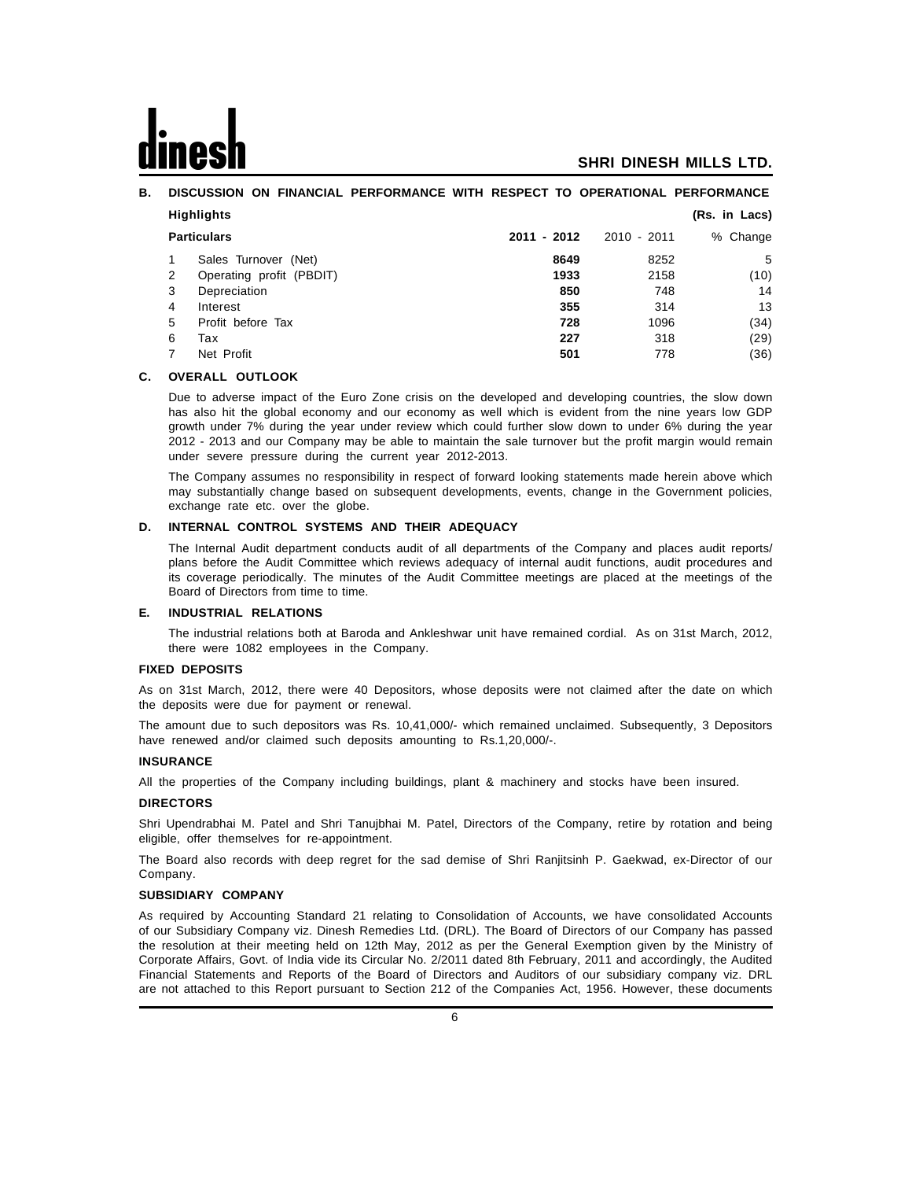### **B. DISCUSSION ON FINANCIAL PERFORMANCE WITH RESPECT TO OPERATIONAL PERFORMANCE**

|   | <b>Highlights</b>        |               |               | (Rs. in Lacs) |
|---|--------------------------|---------------|---------------|---------------|
|   | <b>Particulars</b>       | $2011 - 2012$ | $2010 - 2011$ | % Change      |
|   | Sales Turnover (Net)     | 8649          | 8252          | 5             |
| 2 | Operating profit (PBDIT) | 1933          | 2158          | (10)          |
| 3 | Depreciation             | 850           | 748           | 14            |
| 4 | Interest                 | 355           | 314           | 13            |
| 5 | Profit before Tax        | 728           | 1096          | (34)          |
| 6 | Tax                      | 227           | 318           | (29)          |
|   | Net Profit               | 501           | 778           | (36)          |

### **C. OVERALL OUTLOOK**

Due to adverse impact of the Euro Zone crisis on the developed and developing countries, the slow down has also hit the global economy and our economy as well which is evident from the nine years low GDP growth under 7% during the year under review which could further slow down to under 6% during the year 2012 - 2013 and our Company may be able to maintain the sale turnover but the profit margin would remain under severe pressure during the current year 2012-2013.

The Company assumes no responsibility in respect of forward looking statements made herein above which may substantially change based on subsequent developments, events, change in the Government policies, exchange rate etc. over the globe.

### **D. INTERNAL CONTROL SYSTEMS AND THEIR ADEQUACY**

The Internal Audit department conducts audit of all departments of the Company and places audit reports/ plans before the Audit Committee which reviews adequacy of internal audit functions, audit procedures and its coverage periodically. The minutes of the Audit Committee meetings are placed at the meetings of the Board of Directors from time to time.

### **E. INDUSTRIAL RELATIONS**

The industrial relations both at Baroda and Ankleshwar unit have remained cordial. As on 31st March, 2012, there were 1082 employees in the Company.

### **FIXED DEPOSITS**

As on 31st March, 2012, there were 40 Depositors, whose deposits were not claimed after the date on which the deposits were due for payment or renewal.

The amount due to such depositors was Rs. 10,41,000/- which remained unclaimed. Subsequently, 3 Depositors have renewed and/or claimed such deposits amounting to Rs.1,20,000/-.

### **INSURANCE**

All the properties of the Company including buildings, plant & machinery and stocks have been insured.

### **DIRECTORS**

Shri Upendrabhai M. Patel and Shri Tanujbhai M. Patel, Directors of the Company, retire by rotation and being eligible, offer themselves for re-appointment.

The Board also records with deep regret for the sad demise of Shri Ranjitsinh P. Gaekwad, ex-Director of our Company.

### **SUBSIDIARY COMPANY**

As required by Accounting Standard 21 relating to Consolidation of Accounts, we have consolidated Accounts of our Subsidiary Company viz. Dinesh Remedies Ltd. (DRL). The Board of Directors of our Company has passed the resolution at their meeting held on 12th May, 2012 as per the General Exemption given by the Ministry of Corporate Affairs, Govt. of India vide its Circular No. 2/2011 dated 8th February, 2011 and accordingly, the Audited Financial Statements and Reports of the Board of Directors and Auditors of our subsidiary company viz. DRL are not attached to this Report pursuant to Section 212 of the Companies Act, 1956. However, these documents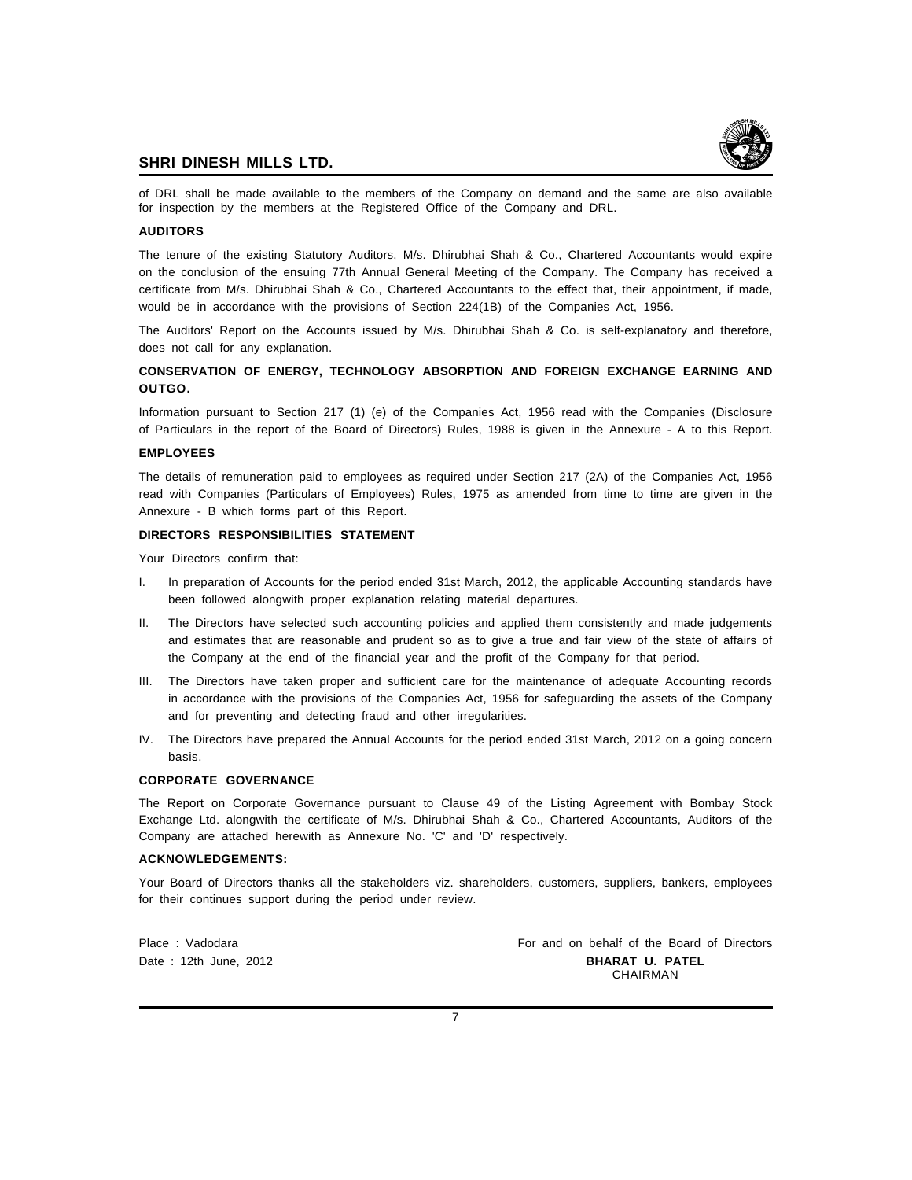

of DRL shall be made available to the members of the Company on demand and the same are also available for inspection by the members at the Registered Office of the Company and DRL.

### **AUDITORS**

The tenure of the existing Statutory Auditors, M/s. Dhirubhai Shah & Co., Chartered Accountants would expire on the conclusion of the ensuing 77th Annual General Meeting of the Company. The Company has received a certificate from M/s. Dhirubhai Shah & Co., Chartered Accountants to the effect that, their appointment, if made, would be in accordance with the provisions of Section 224(1B) of the Companies Act, 1956.

The Auditors' Report on the Accounts issued by M/s. Dhirubhai Shah & Co. is self-explanatory and therefore, does not call for any explanation.

### **CONSERVATION OF ENERGY, TECHNOLOGY ABSORPTION AND FOREIGN EXCHANGE EARNING AND OUTGO.**

Information pursuant to Section 217 (1) (e) of the Companies Act, 1956 read with the Companies (Disclosure of Particulars in the report of the Board of Directors) Rules, 1988 is given in the Annexure - A to this Report.

### **EMPLOYEES**

The details of remuneration paid to employees as required under Section 217 (2A) of the Companies Act, 1956 read with Companies (Particulars of Employees) Rules, 1975 as amended from time to time are given in the Annexure - B which forms part of this Report.

### **DIRECTORS RESPONSIBILITIES STATEMENT**

Your Directors confirm that:

- I. In preparation of Accounts for the period ended 31st March, 2012, the applicable Accounting standards have been followed alongwith proper explanation relating material departures.
- II. The Directors have selected such accounting policies and applied them consistently and made judgements and estimates that are reasonable and prudent so as to give a true and fair view of the state of affairs of the Company at the end of the financial year and the profit of the Company for that period.
- III. The Directors have taken proper and sufficient care for the maintenance of adequate Accounting records in accordance with the provisions of the Companies Act, 1956 for safeguarding the assets of the Company and for preventing and detecting fraud and other irregularities.
- IV. The Directors have prepared the Annual Accounts for the period ended 31st March, 2012 on a going concern basis.

### **CORPORATE GOVERNANCE**

The Report on Corporate Governance pursuant to Clause 49 of the Listing Agreement with Bombay Stock Exchange Ltd. alongwith the certificate of M/s. Dhirubhai Shah & Co., Chartered Accountants, Auditors of the Company are attached herewith as Annexure No. 'C' and 'D' respectively.

### **ACKNOWLEDGEMENTS:**

Your Board of Directors thanks all the stakeholders viz. shareholders, customers, suppliers, bankers, employees for their continues support during the period under review.

Place : Vadodara For and on behalf of the Board of Directors Date : 12th June, 2012 **BHARAT U. PATEL** CHAIRMAN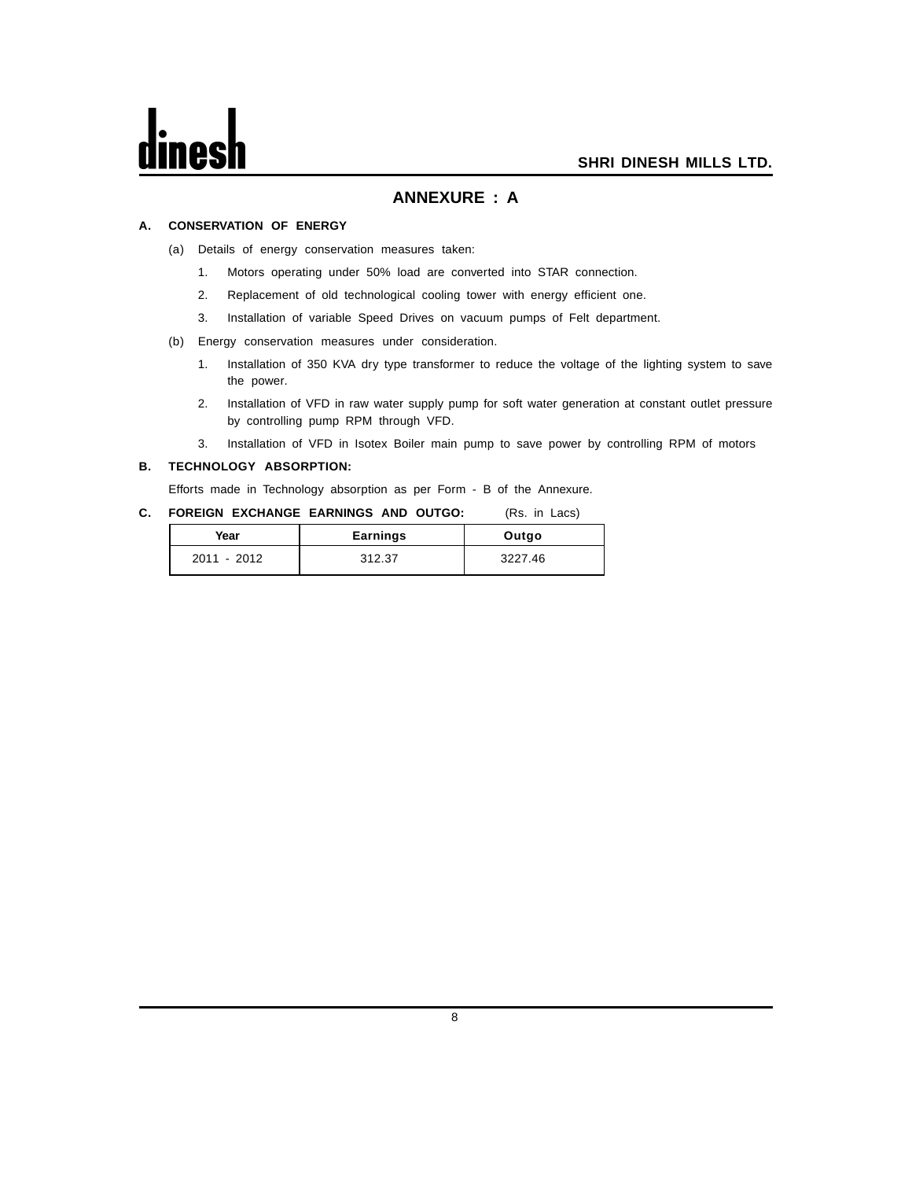## **ANNEXURE : A**

### **A. CONSERVATION OF ENERGY**

- (a) Details of energy conservation measures taken:
	- 1. Motors operating under 50% load are converted into STAR connection.
	- 2. Replacement of old technological cooling tower with energy efficient one.
	- 3. Installation of variable Speed Drives on vacuum pumps of Felt department.
- (b) Energy conservation measures under consideration.
	- 1. Installation of 350 KVA dry type transformer to reduce the voltage of the lighting system to save the power.
	- 2. Installation of VFD in raw water supply pump for soft water generation at constant outlet pressure by controlling pump RPM through VFD.
	- 3. Installation of VFD in Isotex Boiler main pump to save power by controlling RPM of motors

### **B. TECHNOLOGY ABSORPTION:**

Efforts made in Technology absorption as per Form - B of the Annexure.

### **C. FOREIGN EXCHANGE EARNINGS AND OUTGO:** (Rs. in Lacs)

| Year        | Earnings | Outgo   |
|-------------|----------|---------|
| 2011 - 2012 | 312.37   | 3227.46 |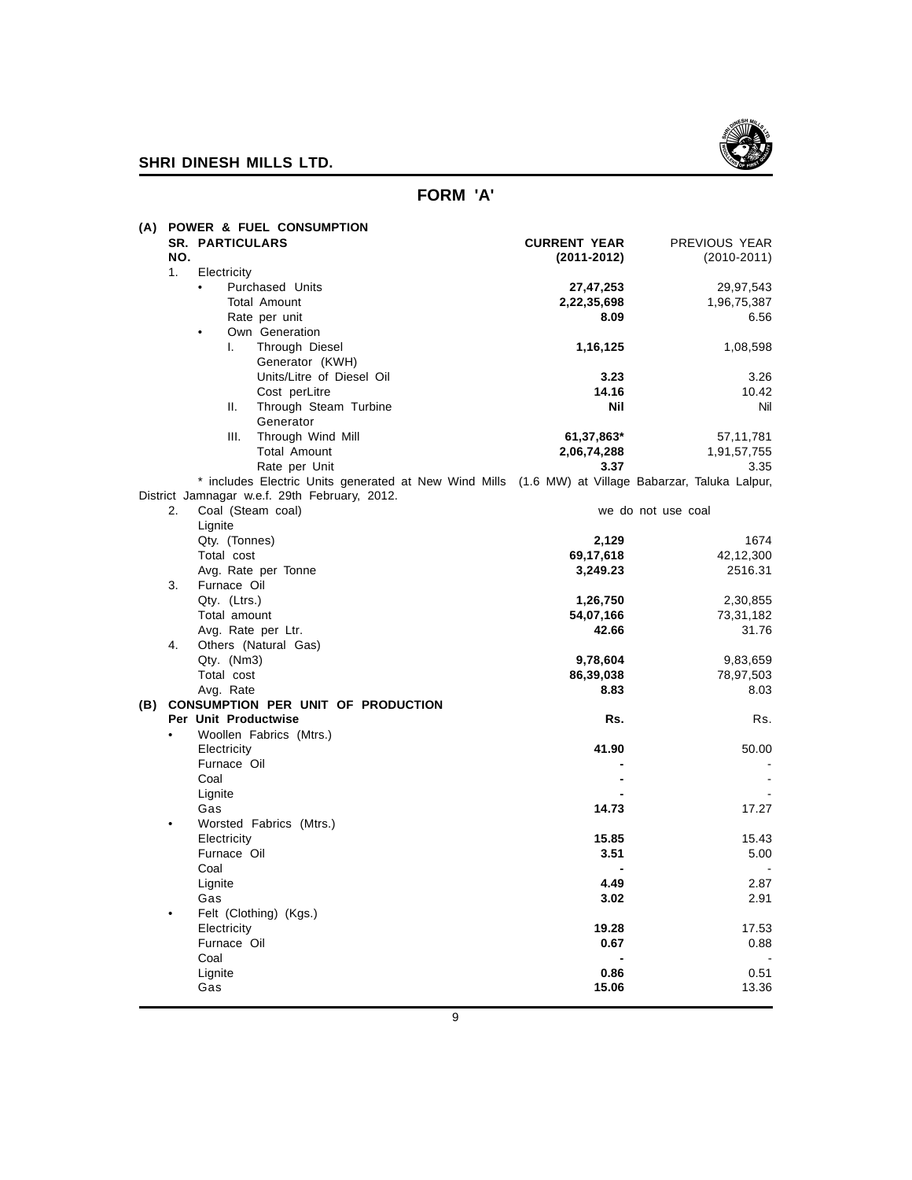

# **FORM 'A'**

| (A)       |     | POWER & FUEL CONSUMPTION                                                                           |                     |                    |
|-----------|-----|----------------------------------------------------------------------------------------------------|---------------------|--------------------|
|           |     | <b>SR. PARTICULARS</b>                                                                             | <b>CURRENT YEAR</b> | PREVIOUS YEAR      |
|           | NO. |                                                                                                    | $(2011 - 2012)$     | $(2010 - 2011)$    |
|           | 1.  | Electricity                                                                                        |                     |                    |
|           |     | Purchased Units<br>$\bullet$                                                                       | 27,47,253           | 29,97,543          |
|           |     | <b>Total Amount</b>                                                                                | 2,22,35,698         | 1,96,75,387        |
|           |     | Rate per unit                                                                                      | 8.09                | 6.56               |
|           |     | Own Generation<br>$\bullet$                                                                        |                     |                    |
|           |     | Through Diesel<br>I.                                                                               | 1,16,125            | 1,08,598           |
|           |     | Generator (KWH)                                                                                    |                     |                    |
|           |     | Units/Litre of Diesel Oil                                                                          | 3.23                | 3.26               |
|           |     |                                                                                                    |                     |                    |
|           |     | Cost perLitre                                                                                      | 14.16               | 10.42              |
|           |     | Ш.<br>Through Steam Turbine                                                                        | Nil                 | Nil                |
|           |     | Generator                                                                                          |                     |                    |
|           |     | Through Wind Mill<br>Ш.                                                                            | 61,37,863*          | 57,11,781          |
|           |     | <b>Total Amount</b>                                                                                | 2,06,74,288         | 1,91,57,755        |
|           |     | Rate per Unit                                                                                      | 3.37                | 3.35               |
|           |     | * includes Electric Units generated at New Wind Mills (1.6 MW) at Village Babarzar, Taluka Lalpur, |                     |                    |
|           |     | District Jamnagar w.e.f. 29th February, 2012.                                                      |                     |                    |
|           | 2.  | Coal (Steam coal)                                                                                  |                     | we do not use coal |
|           |     | Lignite                                                                                            |                     |                    |
|           |     | Qty. (Tonnes)                                                                                      | 2,129               | 1674               |
|           |     | Total cost                                                                                         | 69,17,618           | 42,12,300          |
|           |     | Avg. Rate per Tonne                                                                                | 3,249.23            | 2516.31            |
|           | 3.  | Furnace Oil                                                                                        |                     |                    |
|           |     | Qty. (Ltrs.)                                                                                       | 1,26,750            | 2,30,855           |
|           |     | Total amount                                                                                       | 54,07,166           |                    |
|           |     |                                                                                                    | 42.66               | 73,31,182          |
|           |     | Avg. Rate per Ltr.                                                                                 |                     | 31.76              |
|           | 4.  | Others (Natural Gas)                                                                               |                     |                    |
|           |     | Qty. (Nm3)                                                                                         | 9,78,604            | 9,83,659           |
|           |     | Total cost                                                                                         | 86,39,038           | 78,97,503          |
|           |     | Avg. Rate                                                                                          | 8.83                | 8.03               |
|           |     | (B) CONSUMPTION PER UNIT OF PRODUCTION                                                             |                     |                    |
|           |     | Per Unit Productwise                                                                               | Rs.                 | Rs.                |
| $\bullet$ |     | Woollen Fabrics (Mtrs.)                                                                            |                     |                    |
|           |     | Electricity                                                                                        | 41.90               | 50.00              |
|           |     | Furnace Oil                                                                                        |                     | $\sim$             |
|           |     | Coal                                                                                               |                     | $\sim$             |
|           |     | Lignite                                                                                            |                     |                    |
|           |     | Gas                                                                                                | 14.73               | 17.27              |
| ٠         |     | Worsted Fabrics (Mtrs.)                                                                            |                     |                    |
|           |     | Electricity                                                                                        | 15.85               | 15.43              |
|           |     | Furnace Oil                                                                                        | 3.51                | 5.00               |
|           |     | Coal                                                                                               |                     | $\sim$             |
|           |     |                                                                                                    |                     |                    |
|           |     | Lignite                                                                                            | 4.49                | 2.87               |
|           |     | Gas                                                                                                | 3.02                | 2.91               |
|           |     | Felt (Clothing) (Kgs.)                                                                             |                     |                    |
|           |     | Electricity                                                                                        | 19.28               | 17.53              |
|           |     | Furnace Oil                                                                                        | 0.67                | 0.88               |
|           |     | Coal                                                                                               |                     |                    |
|           |     | Lignite                                                                                            | 0.86                | 0.51               |
|           |     | Gas                                                                                                | 15.06               | 13.36              |
|           |     |                                                                                                    |                     |                    |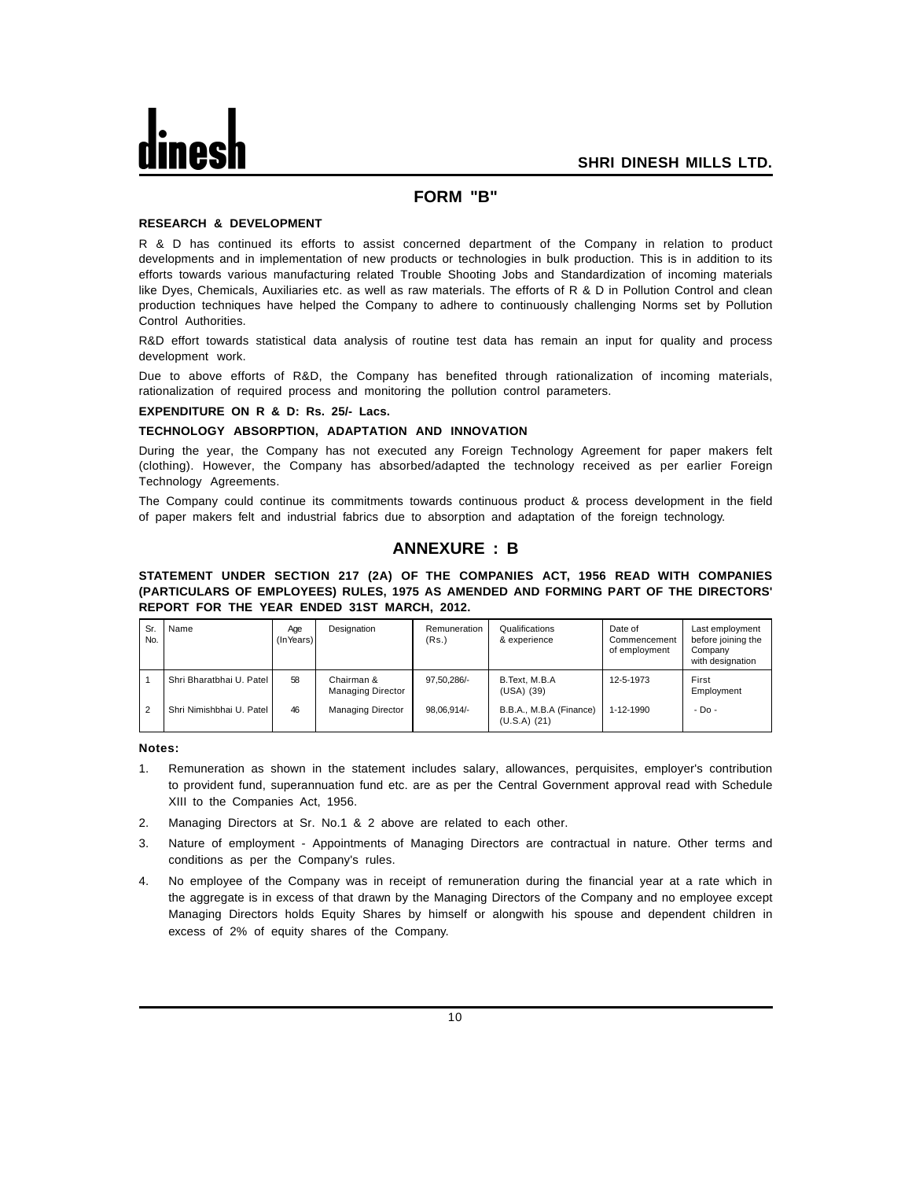## **FORM "B"**

### **RESEARCH & DEVELOPMENT**

R & D has continued its efforts to assist concerned department of the Company in relation to product developments and in implementation of new products or technologies in bulk production. This is in addition to its efforts towards various manufacturing related Trouble Shooting Jobs and Standardization of incoming materials like Dyes, Chemicals, Auxiliaries etc. as well as raw materials. The efforts of R & D in Pollution Control and clean production techniques have helped the Company to adhere to continuously challenging Norms set by Pollution Control Authorities.

R&D effort towards statistical data analysis of routine test data has remain an input for quality and process development work.

Due to above efforts of R&D, the Company has benefited through rationalization of incoming materials, rationalization of required process and monitoring the pollution control parameters.

### **EXPENDITURE ON R & D: Rs. 25/- Lacs.**

### **TECHNOLOGY ABSORPTION, ADAPTATION AND INNOVATION**

During the year, the Company has not executed any Foreign Technology Agreement for paper makers felt (clothing). However, the Company has absorbed/adapted the technology received as per earlier Foreign Technology Agreements.

The Company could continue its commitments towards continuous product & process development in the field of paper makers felt and industrial fabrics due to absorption and adaptation of the foreign technology.

## **ANNEXURE : B**

### **STATEMENT UNDER SECTION 217 (2A) OF THE COMPANIES ACT, 1956 READ WITH COMPANIES (PARTICULARS OF EMPLOYEES) RULES, 1975 AS AMENDED AND FORMING PART OF THE DIRECTORS' REPORT FOR THE YEAR ENDED 31ST MARCH, 2012.**

| Sr.<br>No.     | Name                     | Age<br>$($ lnYears $)$ | Designation                            | Remuneration<br>(Rs.) | Qualifications<br>& experience            | Date of<br>Commencement<br>of employment | Last employment<br>before joining the<br>Company<br>with designation |
|----------------|--------------------------|------------------------|----------------------------------------|-----------------------|-------------------------------------------|------------------------------------------|----------------------------------------------------------------------|
|                | Shri Bharatbhai U. Patel | 58                     | Chairman &<br><b>Managing Director</b> | 97.50.286/-           | B.Text. M.B.A<br>(USA) (39)               | 12-5-1973                                | First<br>Employment                                                  |
| $\overline{2}$ | Shri Nimishbhai U. Patel | 46                     | <b>Managing Director</b>               | 98.06.914/-           | B.B.A., M.B.A (Finance)<br>$(U.S.A)$ (21) | 1-12-1990                                | $-D0$                                                                |

**Notes:**

- 1. Remuneration as shown in the statement includes salary, allowances, perquisites, employer's contribution to provident fund, superannuation fund etc. are as per the Central Government approval read with Schedule XIII to the Companies Act, 1956.
- 2. Managing Directors at Sr. No.1 & 2 above are related to each other.
- 3. Nature of employment Appointments of Managing Directors are contractual in nature. Other terms and conditions as per the Company's rules.
- 4. No employee of the Company was in receipt of remuneration during the financial year at a rate which in the aggregate is in excess of that drawn by the Managing Directors of the Company and no employee except Managing Directors holds Equity Shares by himself or alongwith his spouse and dependent children in excess of 2% of equity shares of the Company.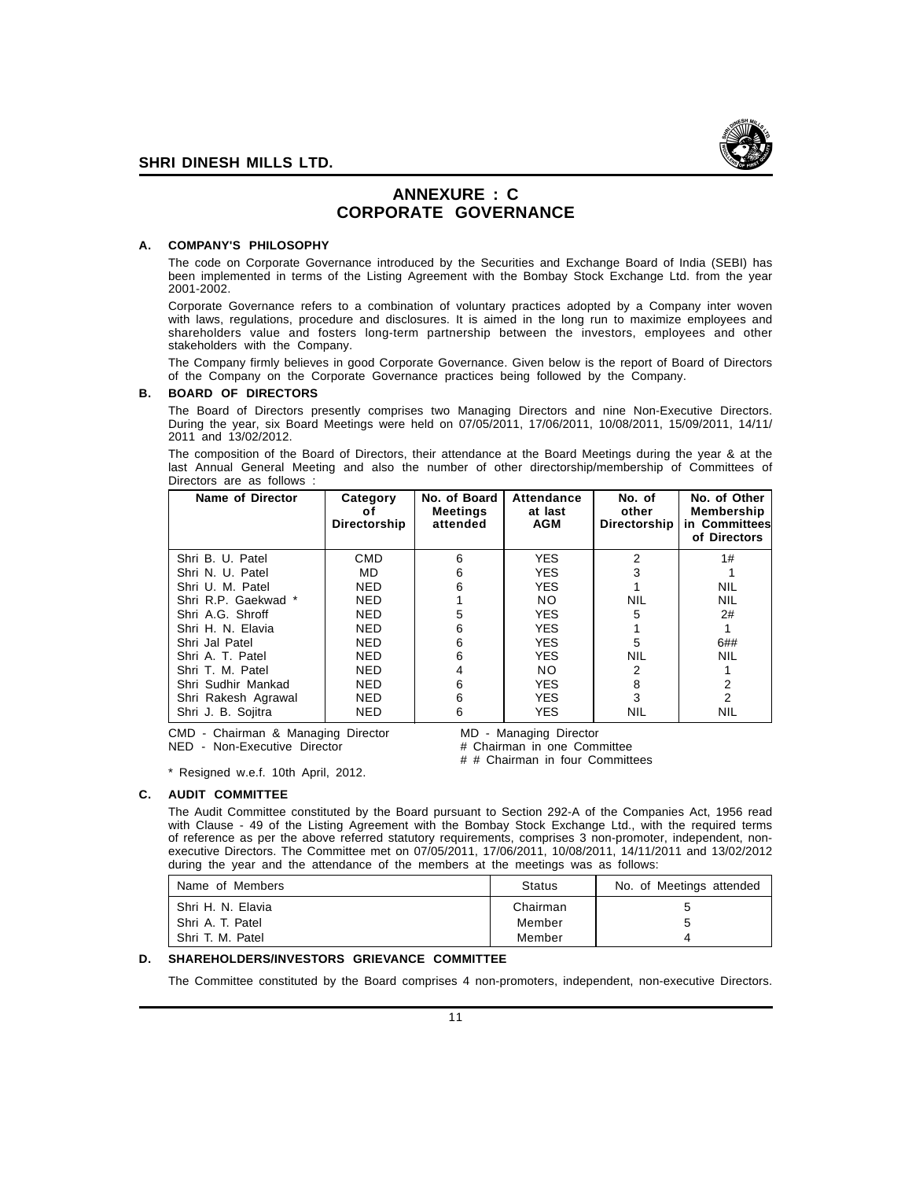

## **ANNEXURE : C CORPORATE GOVERNANCE**

### **A. COMPANY'S PHILOSOPHY**

The code on Corporate Governance introduced by the Securities and Exchange Board of India (SEBI) has been implemented in terms of the Listing Agreement with the Bombay Stock Exchange Ltd. from the year 2001-2002.

Corporate Governance refers to a combination of voluntary practices adopted by a Company inter woven with laws, regulations, procedure and disclosures. It is aimed in the long run to maximize employees and shareholders value and fosters long-term partnership between the investors, employees and other stakeholders with the Company.

The Company firmly believes in good Corporate Governance. Given below is the report of Board of Directors of the Company on the Corporate Governance practices being followed by the Company.

### **B. BOARD OF DIRECTORS**

The Board of Directors presently comprises two Managing Directors and nine Non-Executive Directors. During the year, six Board Meetings were held on 07/05/2011, 17/06/2011, 10/08/2011, 15/09/2011, 14/11/ 2011 and 13/02/2012.

The composition of the Board of Directors, their attendance at the Board Meetings during the year & at the last Annual General Meeting and also the number of other directorship/membership of Committees of Directors are as follows :

| Name of Director    | Category<br>٥t<br><b>Directorship</b> | No. of Board<br><b>Meetings</b><br>attended | Attendance<br>at last<br><b>AGM</b> | No. of<br>other<br>Directorship | No. of Other<br>Membership<br>in Committees<br>of Directors |
|---------------------|---------------------------------------|---------------------------------------------|-------------------------------------|---------------------------------|-------------------------------------------------------------|
| Shri B. U. Patel    | <b>CMD</b>                            | 6                                           | <b>YES</b>                          | 2                               | 1#                                                          |
| Shri N. U. Patel    | MD                                    | 6                                           | <b>YES</b>                          |                                 |                                                             |
| Shri U. M. Patel    | <b>NED</b>                            | 6                                           | <b>YES</b>                          |                                 | <b>NIL</b>                                                  |
| Shri R.P. Gaekwad * | <b>NED</b>                            |                                             | NO.                                 | <b>NIL</b>                      | <b>NIL</b>                                                  |
| Shri A.G. Shroff    | <b>NED</b>                            | 5                                           | <b>YES</b>                          | 5                               | 2#                                                          |
| Shri H. N. Elavia   | <b>NED</b>                            | 6                                           | <b>YES</b>                          |                                 |                                                             |
| Shri Jal Patel      | <b>NED</b>                            | 6                                           | <b>YES</b>                          | 5                               | 6##                                                         |
| Shri A. T. Patel    | <b>NED</b>                            | 6                                           | <b>YES</b>                          | <b>NIL</b>                      | <b>NIL</b>                                                  |
| Shri T. M. Patel    | <b>NED</b>                            | 4                                           | NO.                                 |                                 |                                                             |
| Shri Sudhir Mankad  | <b>NED</b>                            | 6                                           | <b>YES</b>                          | 8                               | 2                                                           |
| Shri Rakesh Agrawal | <b>NED</b>                            | 6                                           | <b>YES</b>                          | 3                               | 2                                                           |
| Shri J. B. Sojitra  | <b>NED</b>                            | 6                                           | <b>YES</b>                          | <b>NIL</b>                      | <b>NIL</b>                                                  |

CMD - Chairman & Managing Director <br>NED - Non-Executive Director **MED - Managing Director** # Chairman in one Comi

# Chairman in one Committee

# # Chairman in four Committees

\* Resigned w.e.f. 10th April, 2012.

### **C. AUDIT COMMITTEE**

The Audit Committee constituted by the Board pursuant to Section 292-A of the Companies Act, 1956 read with Clause - 49 of the Listing Agreement with the Bombay Stock Exchange Ltd., with the required terms of reference as per the above referred statutory requirements, comprises 3 non-promoter, independent, nonexecutive Directors. The Committee met on 07/05/2011, 17/06/2011, 10/08/2011, 14/11/2011 and 13/02/2012 during the year and the attendance of the members at the meetings was as follows:

| Name of Members   | <b>Status</b> | No. of Meetings attended |
|-------------------|---------------|--------------------------|
| Shri H. N. Elavia | Chairman      |                          |
| Shri A. T. Patel  | Member        | 5                        |
| Shri T. M. Patel  | Member        | 4                        |

### **D. SHAREHOLDERS/INVESTORS GRIEVANCE COMMITTEE**

The Committee constituted by the Board comprises 4 non-promoters, independent, non-executive Directors.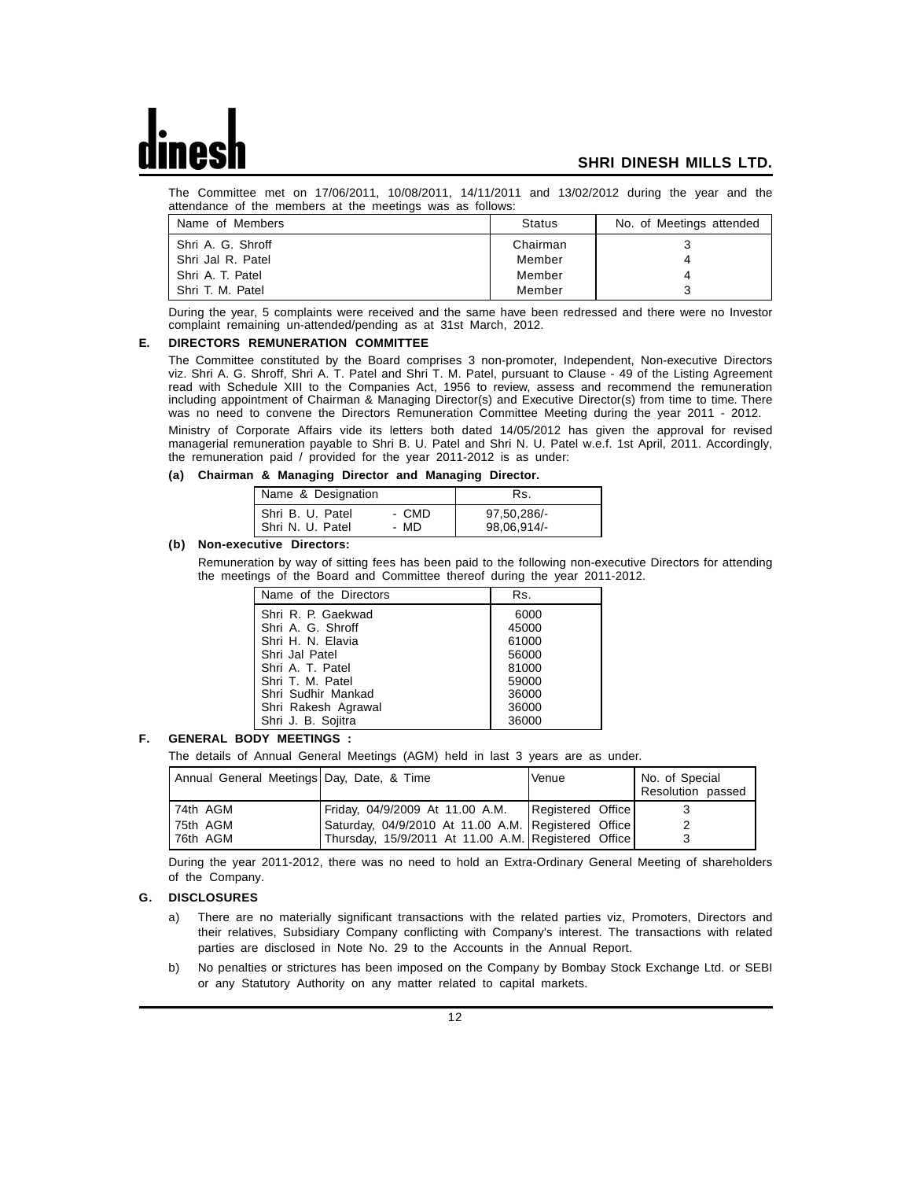The Committee met on 17/06/2011, 10/08/2011, 14/11/2011 and 13/02/2012 during the year and the attendance of the members at the meetings was as follows:

| Name of Members   | Status   | No. of Meetings attended |
|-------------------|----------|--------------------------|
| Shri A. G. Shroff | Chairman |                          |
| Shri Jal R. Patel | Member   | 4                        |
| Shri A. T. Patel  | Member   | 4                        |
| Shri T. M. Patel  | Member   |                          |

During the year, 5 complaints were received and the same have been redressed and there were no Investor complaint remaining un-attended/pending as at 31st March, 2012.

### **E. DIRECTORS REMUNERATION COMMITTEE**

The Committee constituted by the Board comprises 3 non-promoter, Independent, Non-executive Directors viz. Shri A. G. Shroff, Shri A. T. Patel and Shri T. M. Patel, pursuant to Clause - 49 of the Listing Agreement read with Schedule XIII to the Companies Act, 1956 to review, assess and recommend the remuneration including appointment of Chairman & Managing Director(s) and Executive Director(s) from time to time. There was no need to convene the Directors Remuneration Committee Meeting during the year 2011 - 2012. Ministry of Corporate Affairs vide its letters both dated 14/05/2012 has given the approval for revised managerial remuneration payable to Shri B. U. Patel and Shri N. U. Patel w.e.f. 1st April, 2011. Accordingly,

### **(a) Chairman & Managing Director and Managing Director.**

the remuneration paid / provided for the year 2011-2012 is as under:

| Name & Designation                   |               | Rs.                        |
|--------------------------------------|---------------|----------------------------|
| Shri B. U. Patel<br>Shri N. U. Patel | - CMD<br>- MD | 97,50,286/-<br>98,06,914/- |

### **(b) Non-executive Directors:**

Remuneration by way of sitting fees has been paid to the following non-executive Directors for attending the meetings of the Board and Committee thereof during the year 2011-2012.

| Name of the Directors | Rs.   |
|-----------------------|-------|
| Shri R. P. Gaekwad    | 6000  |
| Shri A. G. Shroff     | 45000 |
| Shri H. N. Elavia     | 61000 |
| Shri Jal Patel        | 56000 |
| Shri A. T. Patel      | 81000 |
| Shri T. M. Patel      | 59000 |
| Shri Sudhir Mankad    | 36000 |
| Shri Rakesh Agrawal   | 36000 |
| Shri J. B. Sojitra    | 36000 |

### **F. GENERAL BODY MEETINGS :**

The details of Annual General Meetings (AGM) held in last 3 years are as under.

| Annual General Meetings Day, Date, & Time |                                                     | Venue             | No. of Special<br>Resolution passed |
|-------------------------------------------|-----------------------------------------------------|-------------------|-------------------------------------|
| 174th AGM                                 | Friday, 04/9/2009 At 11.00 A.M.                     | Registered Office |                                     |
| 175th AGM                                 | Saturday, 04/9/2010 At 11.00 A.M. Registered Office |                   |                                     |
| 76th AGM                                  | Thursday, 15/9/2011 At 11.00 A.M. Registered Office |                   |                                     |

During the year 2011-2012, there was no need to hold an Extra-Ordinary General Meeting of shareholders of the Company.

### **G. DISCLOSURES**

- a) There are no materially significant transactions with the related parties viz, Promoters, Directors and their relatives, Subsidiary Company conflicting with Company's interest. The transactions with related parties are disclosed in Note No. 29 to the Accounts in the Annual Report.
- b) No penalties or strictures has been imposed on the Company by Bombay Stock Exchange Ltd. or SEBI or any Statutory Authority on any matter related to capital markets.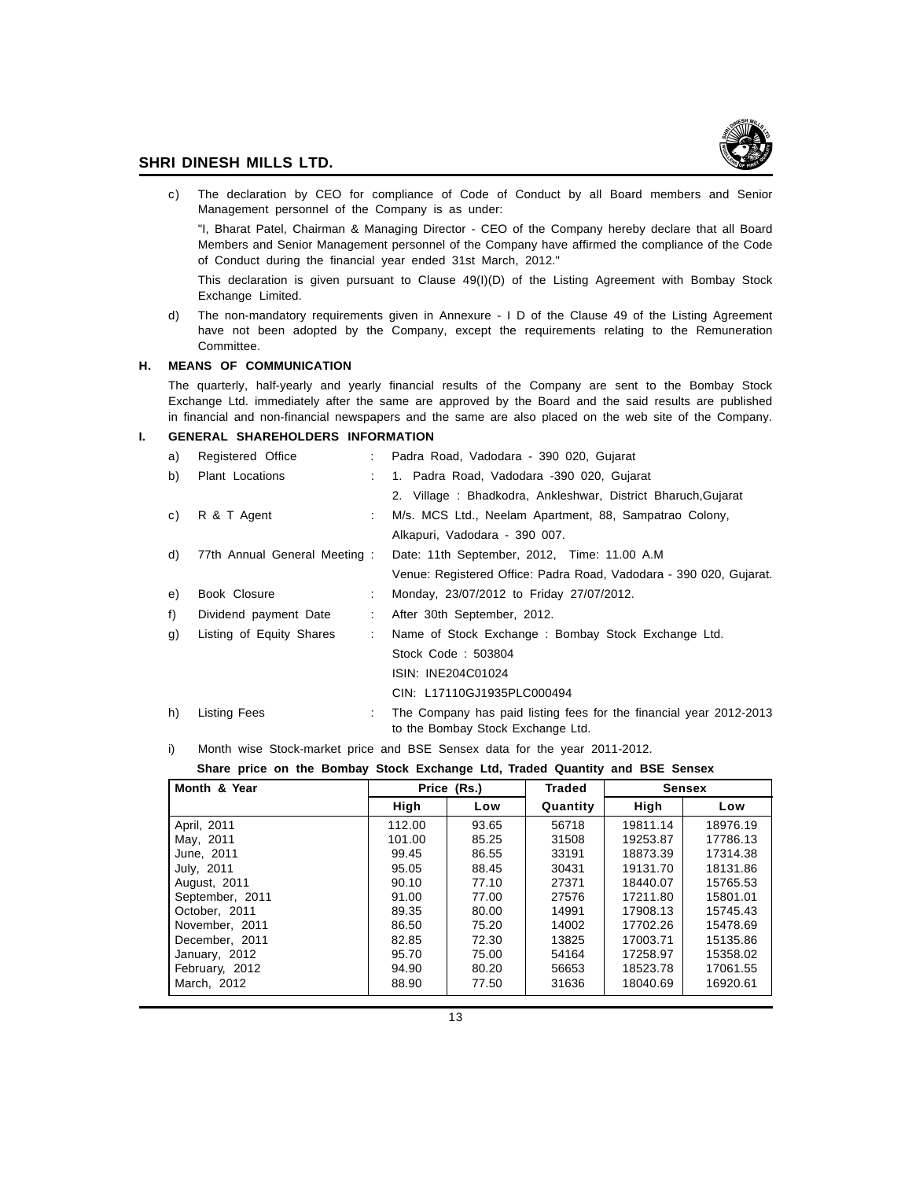

c) The declaration by CEO for compliance of Code of Conduct by all Board members and Senior Management personnel of the Company is as under:

"I, Bharat Patel, Chairman & Managing Director - CEO of the Company hereby declare that all Board Members and Senior Management personnel of the Company have affirmed the compliance of the Code of Conduct during the financial year ended 31st March, 2012."

This declaration is given pursuant to Clause  $49(1)(D)$  of the Listing Agreement with Bombay Stock Exchange Limited.

d) The non-mandatory requirements given in Annexure - I D of the Clause 49 of the Listing Agreement have not been adopted by the Company, except the requirements relating to the Remuneration Committee.

### **H. MEANS OF COMMUNICATION**

The quarterly, half-yearly and yearly financial results of the Company are sent to the Bombay Stock Exchange Ltd. immediately after the same are approved by the Board and the said results are published in financial and non-financial newspapers and the same are also placed on the web site of the Company.

### **I. GENERAL SHAREHOLDERS INFORMATION**

| a) | Registered Office            | Padra Road, Vadodara - 390 020, Gujarat                                                                 |
|----|------------------------------|---------------------------------------------------------------------------------------------------------|
| b) | Plant Locations              | 1. Padra Road, Vadodara -390 020, Gujarat                                                               |
|    |                              | 2. Village: Bhadkodra, Ankleshwar, District Bharuch, Gujarat                                            |
| C) | R & T Agent                  | M/s. MCS Ltd., Neelam Apartment, 88, Sampatrao Colony,                                                  |
|    |                              | Alkapuri, Vadodara - 390 007.                                                                           |
| d) | 77th Annual General Meeting: | Date: 11th September, 2012, Time: 11.00 A.M.                                                            |
|    |                              | Venue: Registered Office: Padra Road, Vadodara - 390 020, Gujarat.                                      |
| e) | Book Closure                 | Monday, 23/07/2012 to Friday 27/07/2012.                                                                |
| f) | Dividend payment Date        | After 30th September, 2012.                                                                             |
| g) | Listing of Equity Shares     | Name of Stock Exchange: Bombay Stock Exchange Ltd.                                                      |
|    |                              | Stock Code: 503804                                                                                      |
|    |                              | ISIN: INE204C01024                                                                                      |
|    |                              | CIN: L17110GJ1935PLC000494                                                                              |
| h) | Listing Fees                 | The Company has paid listing fees for the financial year 2012-2013<br>to the Bombay Stock Exchange Ltd. |

i) Month wise Stock-market price and BSE Sensex data for the year 2011-2012.

**Share price on the Bombay Stock Exchange Ltd, Traded Quantity and BSE Sensex**

| Month & Year    | Price (Rs.) |       | <b>Traded</b> | <b>Sensex</b> |          |
|-----------------|-------------|-------|---------------|---------------|----------|
|                 | High        | Low   | Quantity      | High          | Low      |
| April, 2011     | 112.00      | 93.65 | 56718         | 19811.14      | 18976.19 |
| May, 2011       | 101.00      | 85.25 | 31508         | 19253.87      | 17786.13 |
| June, 2011      | 99.45       | 86.55 | 33191         | 18873.39      | 17314.38 |
| July, 2011      | 95.05       | 88.45 | 30431         | 19131.70      | 18131.86 |
| August, 2011    | 90.10       | 77.10 | 27371         | 18440.07      | 15765.53 |
| September, 2011 | 91.00       | 77.00 | 27576         | 17211.80      | 15801.01 |
| October, 2011   | 89.35       | 80.00 | 14991         | 17908.13      | 15745.43 |
| November, 2011  | 86.50       | 75.20 | 14002         | 17702.26      | 15478.69 |
| December, 2011  | 82.85       | 72.30 | 13825         | 17003.71      | 15135.86 |
| January, 2012   | 95.70       | 75.00 | 54164         | 17258.97      | 15358.02 |
| February, 2012  | 94.90       | 80.20 | 56653         | 18523.78      | 17061.55 |
| March, 2012     | 88.90       | 77.50 | 31636         | 18040.69      | 16920.61 |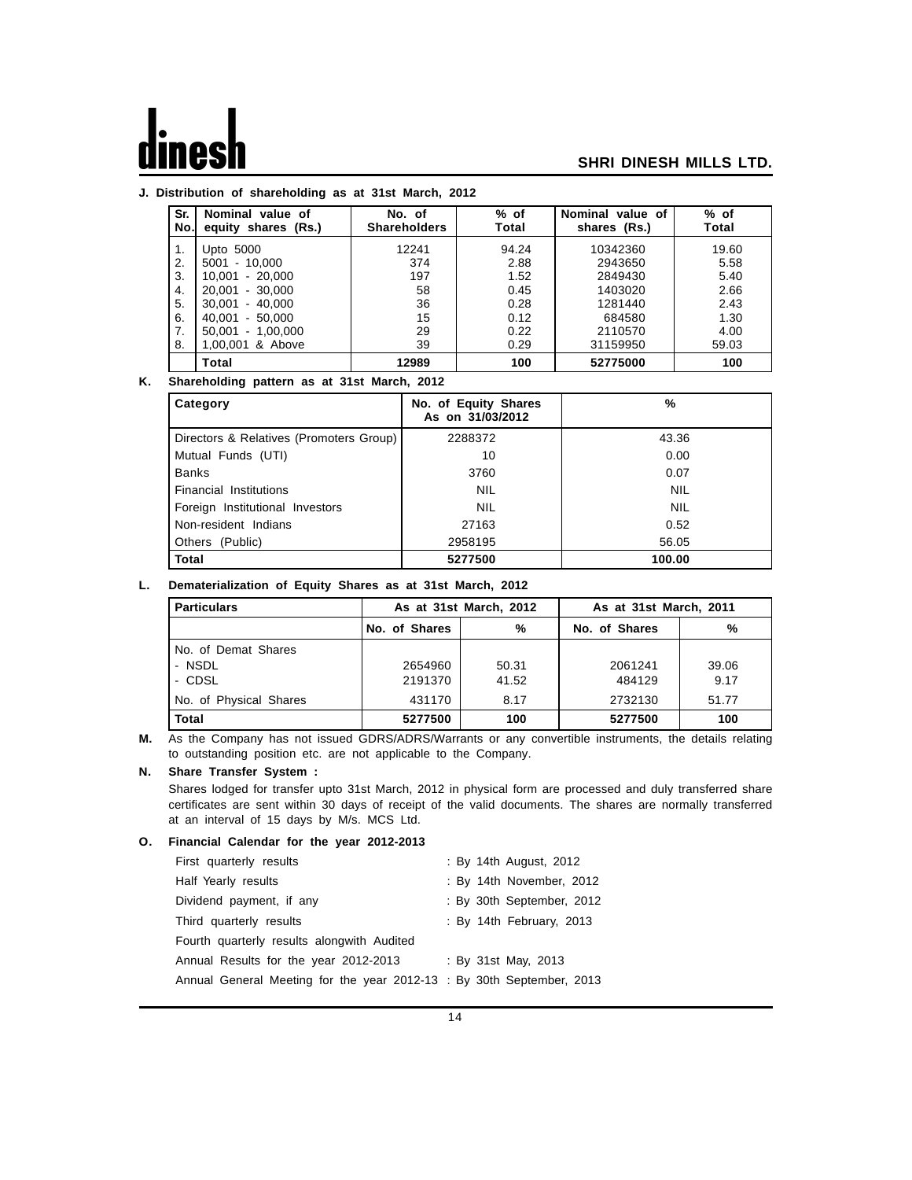### **J. Distribution of shareholding as at 31st March, 2012**

| Sr.<br>No. | Nominal value of<br>equity shares (Rs.) | No. of<br><b>Shareholders</b> | $%$ of<br>Total | Nominal value of<br>shares (Rs.) | $%$ of<br>Total |
|------------|-----------------------------------------|-------------------------------|-----------------|----------------------------------|-----------------|
| 1.         | Upto 5000                               | 12241                         | 94.24           | 10342360                         | 19.60           |
| 2.         | $5001 - 10.000$                         | 374                           | 2.88            | 2943650                          | 5.58            |
| 3.         | 10.001 - 20.000                         | 197                           | 1.52            | 2849430                          | 5.40            |
| 4.         | 20.001 - 30.000                         | 58                            | 0.45            | 1403020                          | 2.66            |
| 5.         | 30.001<br>$-40.000$                     | 36                            | 0.28            | 1281440                          | 2.43            |
| 6.         | 40.001<br>$-50.000$                     | 15                            | 0.12            | 684580                           | 1.30            |
| 7.         | 50,001 - 1,00,000                       | 29                            | 0.22            | 2110570                          | 4.00            |
| 8.         | 1,00,001 & Above                        | 39                            | 0.29            | 31159950                         | 59.03           |
|            | Total                                   | 12989                         | 100             | 52775000                         | 100             |

### **K. Shareholding pattern as at 31st March, 2012**

| Category                                | No. of Equity Shares<br>As on 31/03/2012 | %          |
|-----------------------------------------|------------------------------------------|------------|
| Directors & Relatives (Promoters Group) | 2288372                                  | 43.36      |
| Mutual Funds (UTI)                      | 10                                       | 0.00       |
| <b>Banks</b>                            | 3760                                     | 0.07       |
| Financial Institutions                  | <b>NIL</b>                               | <b>NIL</b> |
| Foreign Institutional Investors         | <b>NIL</b>                               | <b>NIL</b> |
| Non-resident Indians                    | 27163                                    | 0.52       |
| Others (Public)                         | 2958195                                  | 56.05      |
| <b>Total</b>                            | 5277500                                  | 100.00     |

### **L. Dematerialization of Equity Shares as at 31st March, 2012**

| <b>Particulars</b>                      |                    | As at 31st March, 2012 | As at 31st March, 2011 |               |  |
|-----------------------------------------|--------------------|------------------------|------------------------|---------------|--|
|                                         | No. of Shares      | $\frac{0}{0}$          | No. of Shares          | %             |  |
| No. of Demat Shares<br>- NSDL<br>- CDSL | 2654960<br>2191370 | 50.31<br>41.52         | 2061241<br>484129      | 39.06<br>9.17 |  |
| No. of Physical Shares                  | 431170             | 8.17                   | 2732130                | 51.77         |  |
| <b>Total</b>                            | 5277500            | 100                    | 5277500                | 100           |  |

**M.** As the Company has not issued GDRS/ADRS/Warrants or any convertible instruments, the details relating to outstanding position etc. are not applicable to the Company.

### **N. Share Transfer System :**

Shares lodged for transfer upto 31st March, 2012 in physical form are processed and duly transferred share certificates are sent within 30 days of receipt of the valid documents. The shares are normally transferred at an interval of 15 days by M/s. MCS Ltd.

### **O. Financial Calendar for the year 2012-2013**

| First quarterly results                                               | : By 14th August, 2012    |
|-----------------------------------------------------------------------|---------------------------|
| Half Yearly results                                                   | : By 14th November, 2012  |
| Dividend payment, if any                                              | : By 30th September, 2012 |
| Third quarterly results                                               | : By 14th February, 2013  |
| Fourth quarterly results alongwith Audited                            |                           |
| Annual Results for the year 2012-2013                                 | : By 31st May, 2013       |
| Annual General Meeting for the year 2012-13 : By 30th September, 2013 |                           |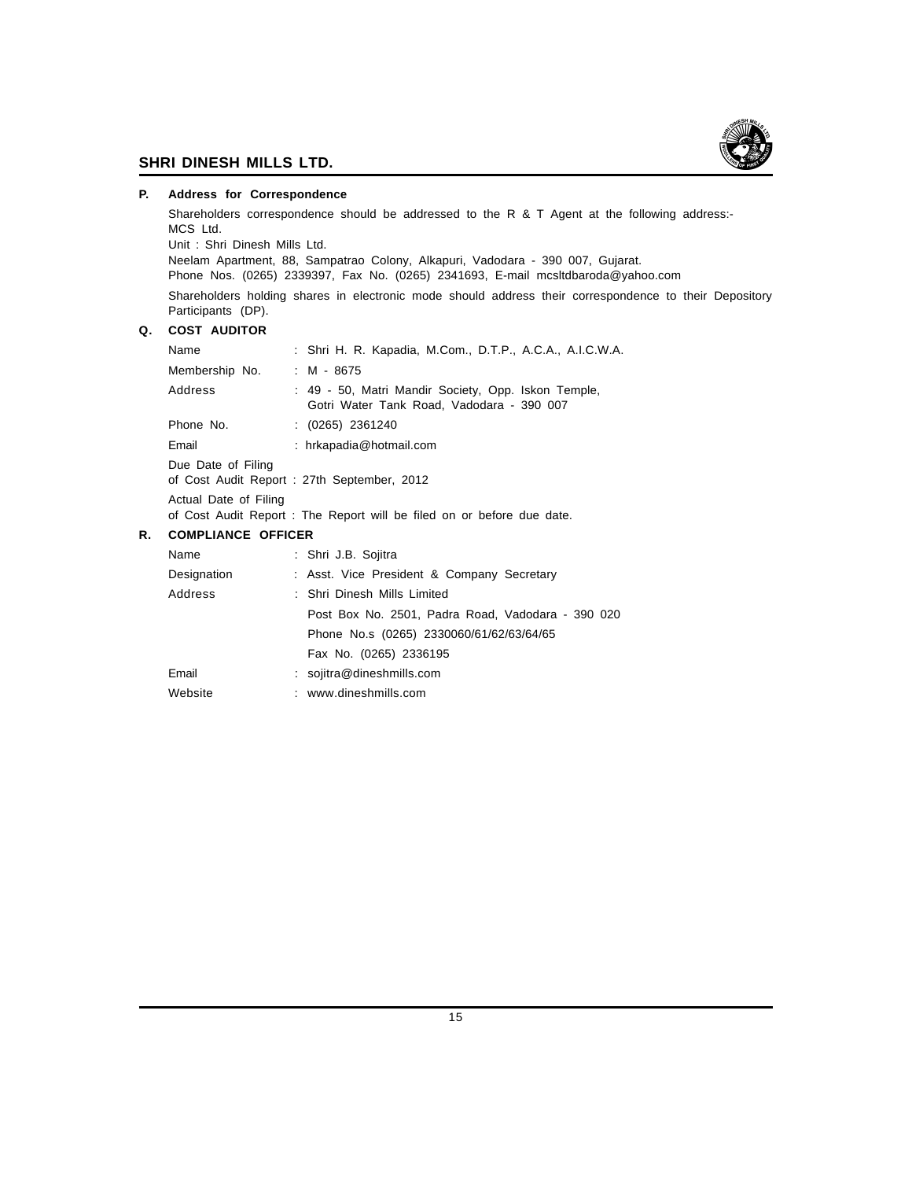

### **P. Address for Correspondence**

Shareholders correspondence should be addressed to the R & T Agent at the following address:- MCS Ltd.

Unit : Shri Dinesh Mills Ltd.

Neelam Apartment, 88, Sampatrao Colony, Alkapuri, Vadodara - 390 007, Gujarat.

Phone Nos. (0265) 2339397, Fax No. (0265) 2341693, E-mail mcsltdbaroda@yahoo.com

Shareholders holding shares in electronic mode should address their correspondence to their Depository Participants (DP).

### **Q. COST AUDITOR**

| Name                      | : Shri H. R. Kapadia, M.Com., D.T.P., A.C.A., A.I.C.W.A.                                         |
|---------------------------|--------------------------------------------------------------------------------------------------|
| Membership No.            | : M - 8675                                                                                       |
| Address                   | : 49 - 50, Matri Mandir Society, Opp. Iskon Temple,<br>Gotri Water Tank Road, Vadodara - 390 007 |
| Phone No.                 | $(0265)$ 2361240                                                                                 |
| Email                     | : hrkapadia@hotmail.com                                                                          |
| Due Date of Filing        | of Cost Audit Report: 27th September, 2012                                                       |
| Actual Date of Filing     | of Cost Audit Report : The Report will be filed on or before due date.                           |
| <b>COMPLIANCE OFFICER</b> |                                                                                                  |
| Name                      | : Shri J.B. Sojitra                                                                              |
|                           |                                                                                                  |

### **R. COMPLIANCE OFFICER**

| Name        | : Shri J.B. Sojitra                               |
|-------------|---------------------------------------------------|
| Designation | : Asst. Vice President & Company Secretary        |
| Address     | : Shri Dinesh Mills Limited                       |
|             | Post Box No. 2501, Padra Road, Vadodara - 390 020 |
|             | Phone No.s (0265) 2330060/61/62/63/64/65          |
|             | Fax No. (0265) 2336195                            |
| Email       | $:$ sojitra@dineshmills.com                       |
| Website     | : www.dineshmills.com                             |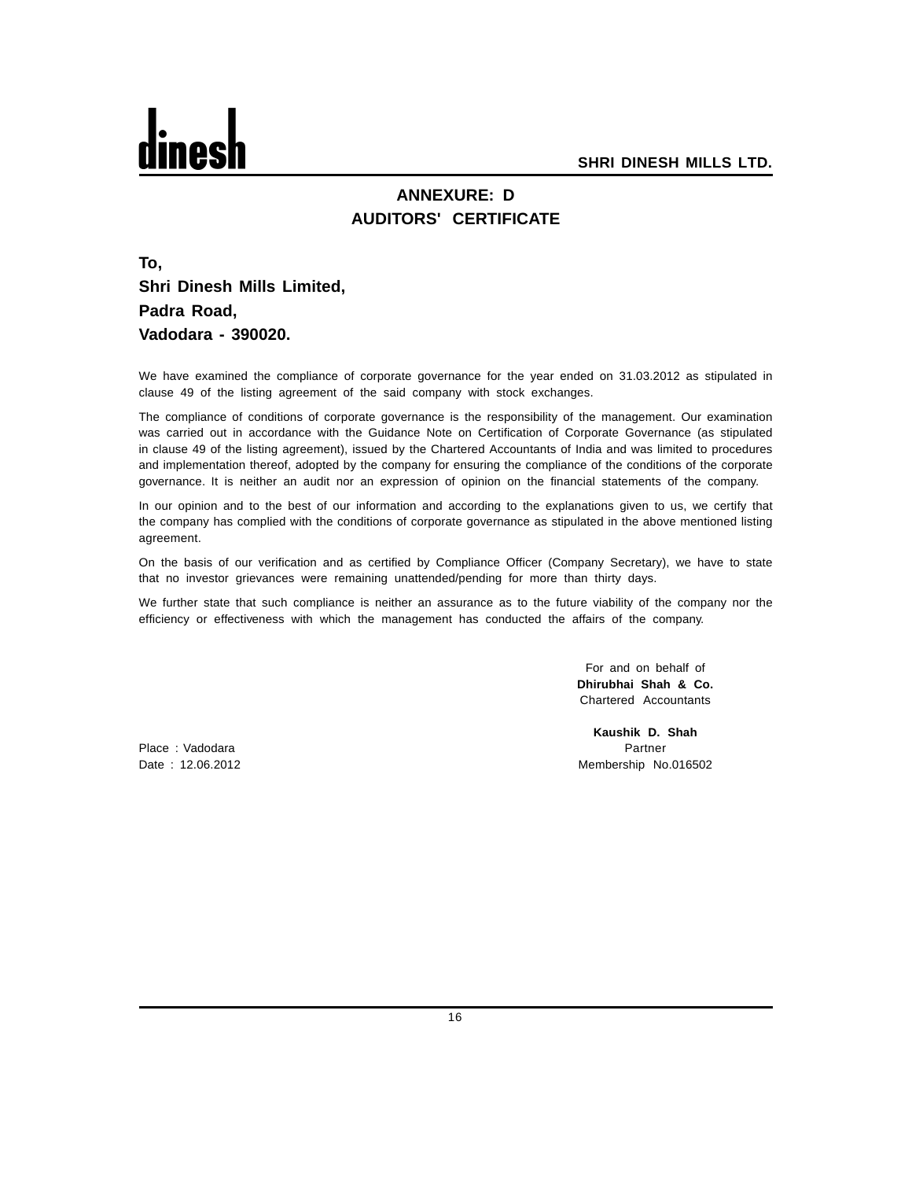

# **ANNEXURE: D AUDITORS' CERTIFICATE**

**To, Shri Dinesh Mills Limited, Padra Road, Vadodara - 390020.**

We have examined the compliance of corporate governance for the year ended on 31.03.2012 as stipulated in clause 49 of the listing agreement of the said company with stock exchanges.

The compliance of conditions of corporate governance is the responsibility of the management. Our examination was carried out in accordance with the Guidance Note on Certification of Corporate Governance (as stipulated in clause 49 of the listing agreement), issued by the Chartered Accountants of India and was limited to procedures and implementation thereof, adopted by the company for ensuring the compliance of the conditions of the corporate governance. It is neither an audit nor an expression of opinion on the financial statements of the company.

In our opinion and to the best of our information and according to the explanations given to us, we certify that the company has complied with the conditions of corporate governance as stipulated in the above mentioned listing agreement.

On the basis of our verification and as certified by Compliance Officer (Company Secretary), we have to state that no investor grievances were remaining unattended/pending for more than thirty days.

We further state that such compliance is neither an assurance as to the future viability of the company nor the efficiency or effectiveness with which the management has conducted the affairs of the company.

> For and on behalf of **Dhirubhai Shah & Co.** Chartered Accountants

Place : Vadodara Partner Partner Partner Partner Partner Partner Partner Partner Partner Partner Partner Partner

**Kaushik D. Shah** Date : 12.06.2012 Membership No.016502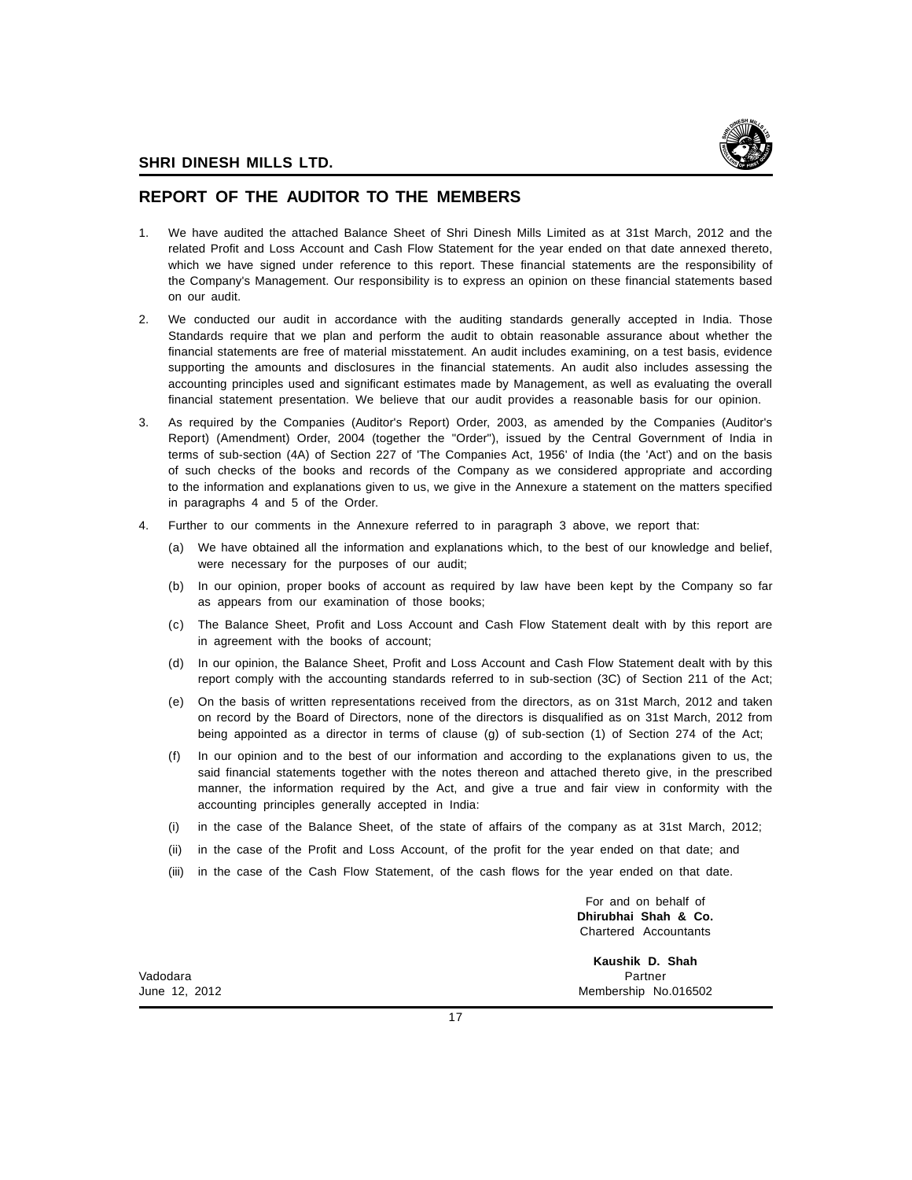

## **REPORT OF THE AUDITOR TO THE MEMBERS**

- 1. We have audited the attached Balance Sheet of Shri Dinesh Mills Limited as at 31st March, 2012 and the related Profit and Loss Account and Cash Flow Statement for the year ended on that date annexed thereto, which we have signed under reference to this report. These financial statements are the responsibility of the Company's Management. Our responsibility is to express an opinion on these financial statements based on our audit.
- 2. We conducted our audit in accordance with the auditing standards generally accepted in India. Those Standards require that we plan and perform the audit to obtain reasonable assurance about whether the financial statements are free of material misstatement. An audit includes examining, on a test basis, evidence supporting the amounts and disclosures in the financial statements. An audit also includes assessing the accounting principles used and significant estimates made by Management, as well as evaluating the overall financial statement presentation. We believe that our audit provides a reasonable basis for our opinion.
- 3. As required by the Companies (Auditor's Report) Order, 2003, as amended by the Companies (Auditor's Report) (Amendment) Order, 2004 (together the "Order"), issued by the Central Government of India in terms of sub-section (4A) of Section 227 of 'The Companies Act, 1956' of India (the 'Act') and on the basis of such checks of the books and records of the Company as we considered appropriate and according to the information and explanations given to us, we give in the Annexure a statement on the matters specified in paragraphs 4 and 5 of the Order.
- 4. Further to our comments in the Annexure referred to in paragraph 3 above, we report that:
	- (a) We have obtained all the information and explanations which, to the best of our knowledge and belief, were necessary for the purposes of our audit;
	- (b) In our opinion, proper books of account as required by law have been kept by the Company so far as appears from our examination of those books;
	- (c) The Balance Sheet, Profit and Loss Account and Cash Flow Statement dealt with by this report are in agreement with the books of account;
	- (d) In our opinion, the Balance Sheet, Profit and Loss Account and Cash Flow Statement dealt with by this report comply with the accounting standards referred to in sub-section (3C) of Section 211 of the Act;
	- (e) On the basis of written representations received from the directors, as on 31st March, 2012 and taken on record by the Board of Directors, none of the directors is disqualified as on 31st March, 2012 from being appointed as a director in terms of clause (g) of sub-section (1) of Section 274 of the Act;
	- (f) In our opinion and to the best of our information and according to the explanations given to us, the said financial statements together with the notes thereon and attached thereto give, in the prescribed manner, the information required by the Act, and give a true and fair view in conformity with the accounting principles generally accepted in India:
	- (i) in the case of the Balance Sheet, of the state of affairs of the company as at 31st March, 2012;
	- (ii) in the case of the Profit and Loss Account, of the profit for the year ended on that date; and
	- (iii) in the case of the Cash Flow Statement, of the cash flows for the year ended on that date.

For and on behalf of **Dhirubhai Shah & Co.** Chartered Accountants

**Kaushik D. Shah** Vadodara Partner June 12, 2012 Membership No.016502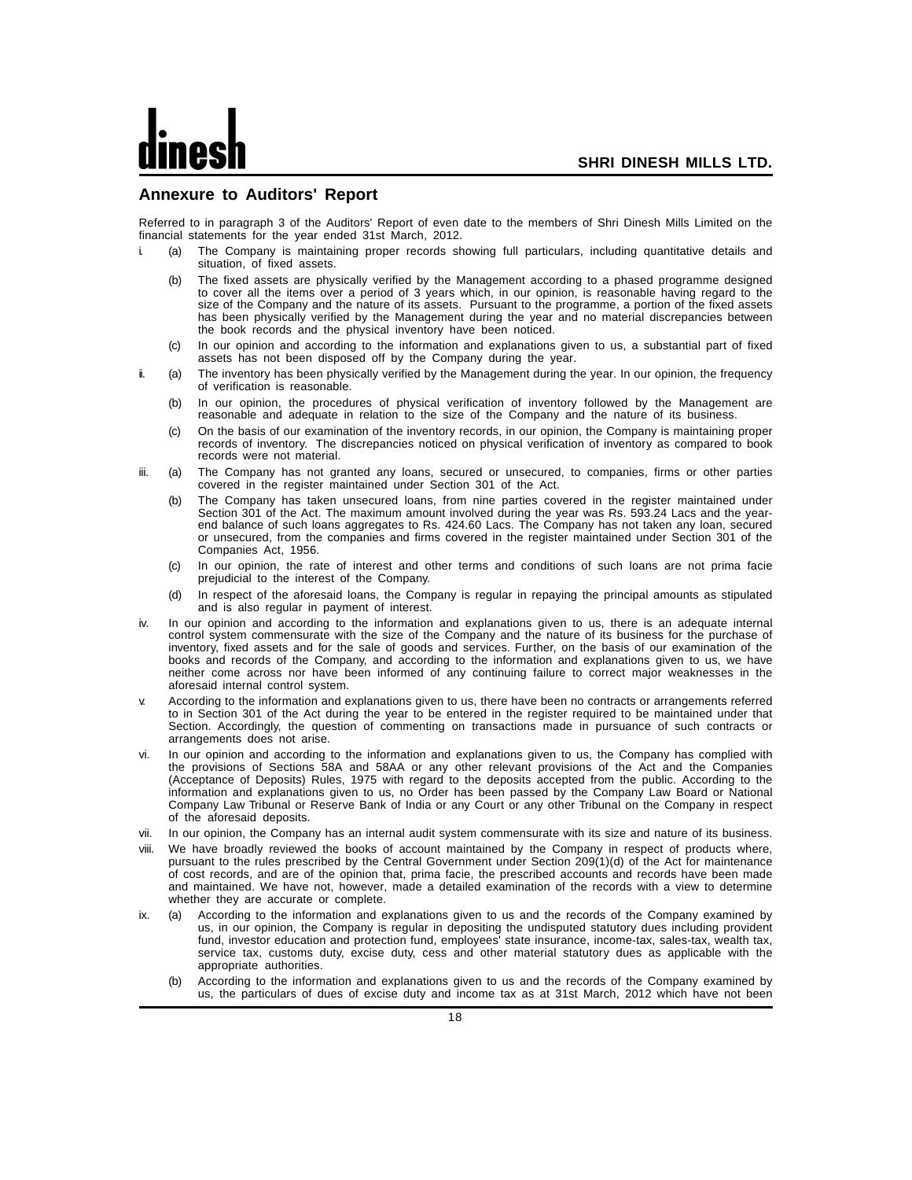## **Annexure to Auditors' Report**

Referred to in paragraph 3 of the Auditors' Report of even date to the members of Shri Dinesh Mills Limited on the financial statements for the year ended 31st March, 2012.

- i. (a) The Company is maintaining proper records showing full particulars, including quantitative details and situation, of fixed assets.
	- (b) The fixed assets are physically verified by the Management according to a phased programme designed to cover all the items over a period of 3 years which, in our opinion, is reasonable having regard to the size of the Company and the nature of its assets. Pursuant to the programme, a portion of the fixed assets has been physically verified by the Management during the year and no material discrepancies between the book records and the physical inventory have been noticed.
	- (c) In our opinion and according to the information and explanations given to us, a substantial part of fixed assets has not been disposed off by the Company during the year.
- ii. (a) The inventory has been physically verified by the Management during the year. In our opinion, the frequency of verification is reasonable.
	- (b) In our opinion, the procedures of physical verification of inventory followed by the Management are reasonable and adequate in relation to the size of the Company and the nature of its business.
	- (c) On the basis of our examination of the inventory records, in our opinion, the Company is maintaining proper records of inventory. The discrepancies noticed on physical verification of inventory as compared to book records were not material.
- iii. (a) The Company has not granted any loans, secured or unsecured, to companies, firms or other parties covered in the register maintained under Section 301 of the Act.
	- (b) The Company has taken unsecured loans, from nine parties covered in the register maintained under Section 301 of the Act. The maximum amount involved during the year was Rs. 593.24 Lacs and the yearend balance of such loans aggregates to Rs. 424.60 Lacs. The Company has not taken any loan, secured or unsecured, from the companies and firms covered in the register maintained under Section 301 of the Companies Act, 1956.
	- (c) In our opinion, the rate of interest and other terms and conditions of such loans are not prima facie prejudicial to the interest of the Company.
	- (d) In respect of the aforesaid loans, the Company is regular in repaying the principal amounts as stipulated and is also regular in payment of interest.
- iv. In our opinion and according to the information and explanations given to us, there is an adequate internal control system commensurate with the size of the Company and the nature of its business for the purchase of inventory, fixed assets and for the sale of goods and services. Further, on the basis of our examination of the books and records of the Company, and according to the information and explanations given to us, we have neither come across nor have been informed of any continuing failure to correct major weaknesses in the aforesaid internal control system.
- v. According to the information and explanations given to us, there have been no contracts or arrangements referred to in Section 301 of the Act during the year to be entered in the register required to be maintained under that Section. Accordingly, the question of commenting on transactions made in pursuance of such contracts or arrangements does not arise.
- vi. In our opinion and according to the information and explanations given to us, the Company has complied with the provisions of Sections 58A and 58AA or any other relevant provisions of the Act and the Companies (Acceptance of Deposits) Rules, 1975 with regard to the deposits accepted from the public. According to the information and explanations given to us, no Order has been passed by the Company Law Board or National Company Law Tribunal or Reserve Bank of India or any Court or any other Tribunal on the Company in respect of the aforesaid deposits.
- vii. In our opinion, the Company has an internal audit system commensurate with its size and nature of its business.
- We have broadly reviewed the books of account maintained by the Company in respect of products where, pursuant to the rules prescribed by the Central Government under Section 209(1)(d) of the Act for maintenance of cost records, and are of the opinion that, prima facie, the prescribed accounts and records have been made and maintained. We have not, however, made a detailed examination of the records with a view to determine whether they are accurate or complete.
- ix. (a) According to the information and explanations given to us and the records of the Company examined by us, in our opinion, the Company is regular in depositing the undisputed statutory dues including provident fund, investor education and protection fund, employees' state insurance, income-tax, sales-tax, wealth tax, service tax, customs duty, excise duty, cess and other material statutory dues as applicable with the appropriate authorities.
	- (b) According to the information and explanations given to us and the records of the Company examined by us, the particulars of dues of excise duty and income tax as at 31st March, 2012 which have not been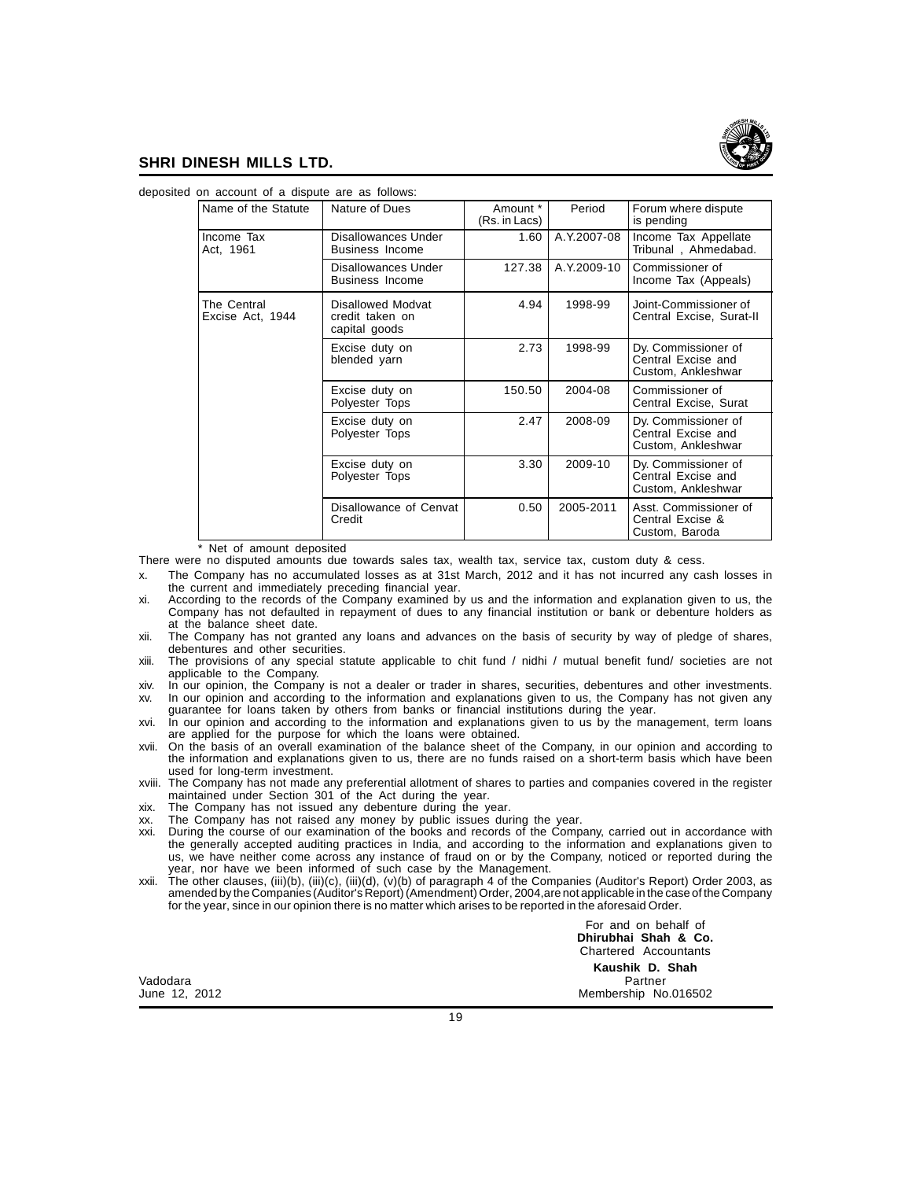

| The dividend of a dispute are as follows. |                                                       |                           |             |                                                                 |
|-------------------------------------------|-------------------------------------------------------|---------------------------|-------------|-----------------------------------------------------------------|
| Name of the Statute                       | Nature of Dues                                        | Amount *<br>(Rs. in Lacs) | Period      | Forum where dispute<br>is pending                               |
| Income Tax<br>Act. 1961                   | Disallowances Under<br><b>Business Income</b>         | 1.60                      | A.Y.2007-08 | Income Tax Appellate<br>Tribunal, Ahmedabad.                    |
|                                           | <b>Disallowances Under</b><br><b>Business Income</b>  | 127.38                    | A.Y.2009-10 | Commissioner of<br>Income Tax (Appeals)                         |
| The Central<br>Excise Act, 1944           | Disallowed Modvat<br>credit taken on<br>capital goods | 4.94                      | 1998-99     | Joint-Commissioner of<br>Central Excise, Surat-II               |
|                                           | Excise duty on<br>blended yarn                        | 2.73                      | 1998-99     | Dy. Commissioner of<br>Central Excise and<br>Custom, Ankleshwar |
|                                           | Excise duty on<br>Polyester Tops                      | 150.50                    | 2004-08     | Commissioner of<br>Central Excise, Surat                        |
|                                           | Excise duty on<br>Polyester Tops                      | 2.47                      | 2008-09     | Dy. Commissioner of<br>Central Excise and<br>Custom, Ankleshwar |
|                                           | Excise duty on<br>Polyester Tops                      | 3.30                      | 2009-10     | Dy. Commissioner of<br>Central Excise and<br>Custom, Ankleshwar |
|                                           | Disallowance of Cenvat<br>Credit                      | 0.50                      | 2005-2011   | Asst. Commissioner of<br>Central Excise &<br>Custom, Baroda     |

deposited on account of a dispute are as follows:

\* Net of amount deposited

There were no disputed amounts due towards sales tax, wealth tax, service tax, custom duty & cess.

x. The Company has no accumulated losses as at 31st March, 2012 and it has not incurred any cash losses in the current and immediately preceding financial year.

- xi. According to the records of the Company examined by us and the information and explanation given to us, the Company has not defaulted in repayment of dues to any financial institution or bank or debenture holders as at the balance sheet date.
- xii. The Company has not granted any loans and advances on the basis of security by way of pledge of shares, debentures and other securities.
- xiii. The provisions of any special statute applicable to chit fund / nidhi / mutual benefit fund/ societies are not applicable to the Company.
- xiv. In our opinion, the Company is not a dealer or trader in shares, securities, debentures and other investments. xv. In our opinion and according to the information and explanations given to us, the Company has not given any guarantee for loans taken by others from banks or financial institutions during the year.
- xvi. In our opinion and according to the information and explanations given to us by the management, term loans are applied for the purpose for which the loans were obtained.
- xvii. On the basis of an overall examination of the balance sheet of the Company, in our opinion and according to the information and explanations given to us, there are no funds raised on a short-term basis which have been used for long-term investment.
- xviii. The Company has not made any preferential allotment of shares to parties and companies covered in the register maintained under Section 301 of the Act during the year.
- xix. The Company has not issued any debenture during the year.
- xx. The Company has not raised any money by public issues during the year.
- xxi. During the course of our examination of the books and records of the Company, carried out in accordance with the generally accepted auditing practices in India, and according to the information and explanations given to us, we have neither come across any instance of fraud on or by the Company, noticed or reported during the year, nor have we been informed of such case by the Management.
- xxii. The other clauses, (iii)(b), (iii)(c), (iii)(d), (v)(b) of paragraph 4 of the Companies (Auditor's Report) Order 2003, as amended by the Companies (Auditor's Report) (Amendment) Order, 2004,are not applicable in the case of the Company for the year, since in our opinion there is no matter which arises to be reported in the aforesaid Order.

|                           | For and on behalf of<br>Dhirubhai Shah & Co.<br>Chartered Accountants |
|---------------------------|-----------------------------------------------------------------------|
| Vadodara<br>June 12, 2012 | Kaushik D. Shah<br>Partner<br>Membership No.016502                    |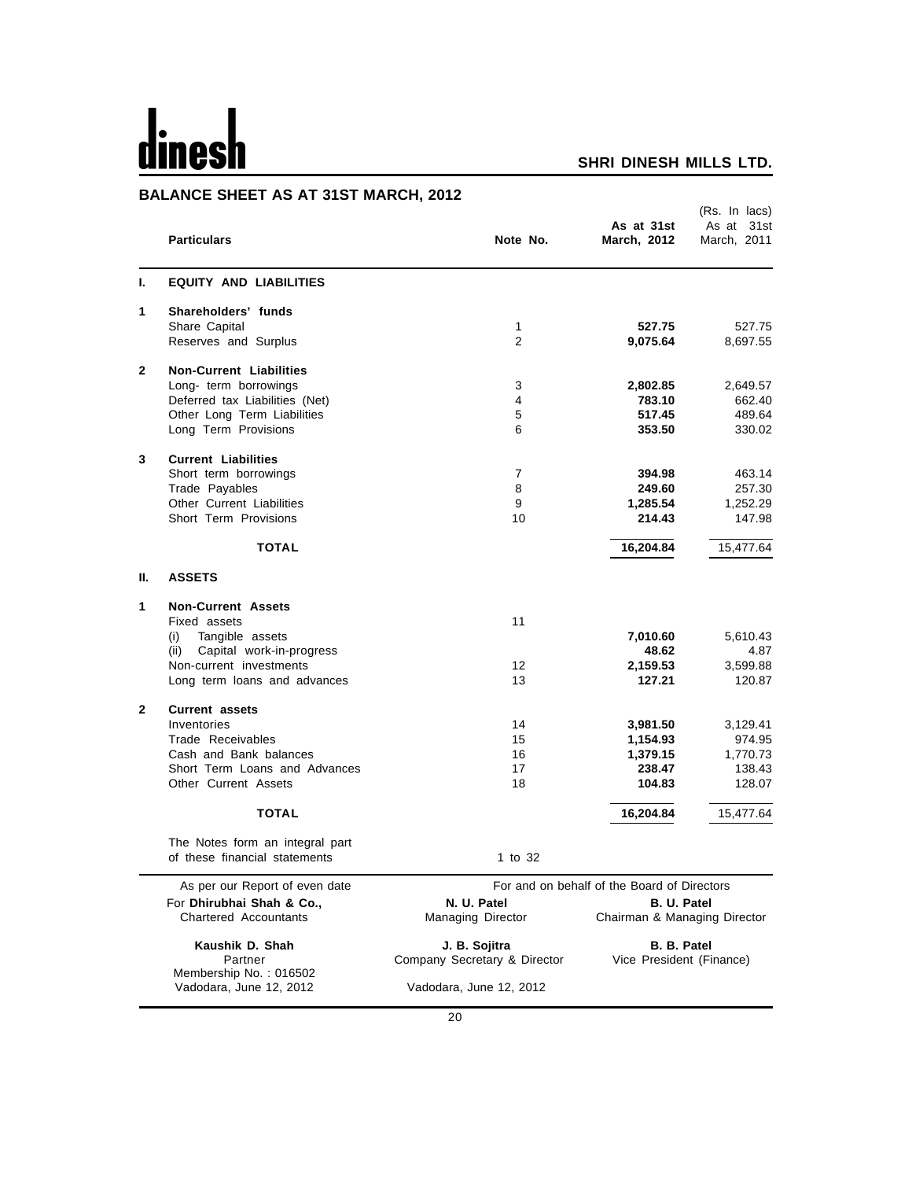# $\frac{1}{\text{times}}$  $\mathbf h$

## **SHRI DINESH MILLS LTD.**

## **BALANCE SHEET AS AT 31ST MARCH, 2012**

|              | <b>Particulars</b>                                               | Note No.                                      | As at 31st<br>March, 2012               | (Rs. In lacs)<br>As at 31st<br>March, 2011 |  |  |
|--------------|------------------------------------------------------------------|-----------------------------------------------|-----------------------------------------|--------------------------------------------|--|--|
| ı.           | <b>EQUITY AND LIABILITIES</b>                                    |                                               |                                         |                                            |  |  |
| 1            | Shareholders' funds<br>Share Capital                             | 1                                             | 527.75                                  | 527.75                                     |  |  |
|              | Reserves and Surplus                                             | $\overline{2}$                                | 9,075.64                                | 8,697.55                                   |  |  |
| $\mathbf{2}$ | <b>Non-Current Liabilities</b>                                   |                                               |                                         |                                            |  |  |
|              | Long- term borrowings                                            | 3                                             | 2,802.85                                | 2,649.57                                   |  |  |
|              | Deferred tax Liabilities (Net)                                   | 4<br>5                                        | 783.10<br>517.45                        | 662.40<br>489.64                           |  |  |
|              | Other Long Term Liabilities<br>Long Term Provisions              | 6                                             | 353.50                                  | 330.02                                     |  |  |
| 3            | <b>Current Liabilities</b>                                       |                                               |                                         |                                            |  |  |
|              | Short term borrowings                                            | $\overline{7}$                                | 394.98                                  | 463.14                                     |  |  |
|              | Trade Payables                                                   | 8                                             | 249.60                                  | 257.30                                     |  |  |
|              | Other Current Liabilities                                        | 9                                             | 1,285.54                                | 1,252.29                                   |  |  |
|              | Short Term Provisions                                            | 10                                            | 214.43                                  | 147.98                                     |  |  |
|              | <b>TOTAL</b>                                                     |                                               | 16,204.84                               | 15,477.64                                  |  |  |
| Ш.           | <b>ASSETS</b>                                                    |                                               |                                         |                                            |  |  |
| 1            | <b>Non-Current Assets</b>                                        |                                               |                                         |                                            |  |  |
|              | Fixed assets                                                     | 11                                            |                                         |                                            |  |  |
|              | Tangible assets<br>(i)                                           |                                               | 7,010.60<br>48.62                       | 5,610.43                                   |  |  |
|              | (ii) Capital work-in-progress<br>Non-current investments         | $12 \overline{ }$                             | 2,159.53                                | 4.87<br>3,599.88                           |  |  |
|              | Long term loans and advances                                     | 13                                            | 127.21                                  | 120.87                                     |  |  |
| $\mathbf{2}$ | <b>Current assets</b>                                            |                                               |                                         |                                            |  |  |
|              | Inventories                                                      | 14                                            | 3,981.50                                | 3,129.41                                   |  |  |
|              | Trade Receivables                                                | 15                                            | 1,154.93                                | 974.95                                     |  |  |
|              | Cash and Bank balances                                           | 16                                            | 1,379.15                                | 1,770.73                                   |  |  |
|              | Short Term Loans and Advances                                    | 17                                            | 238.47                                  | 138.43                                     |  |  |
|              | <b>Other Current Assets</b>                                      | 18                                            | 104.83                                  | 128.07                                     |  |  |
|              | <b>TOTAL</b>                                                     |                                               | 16,204.84                               | 15,477.64                                  |  |  |
|              | The Notes form an integral part<br>of these financial statements | 1 to 32                                       |                                         |                                            |  |  |
|              | As per our Report of even date                                   | For and on behalf of the Board of Directors   |                                         |                                            |  |  |
|              | For Dhirubhai Shah & Co.,                                        | N. U. Patel                                   | B. U. Patel                             |                                            |  |  |
|              | <b>Chartered Accountants</b>                                     | Managing Director                             | Chairman & Managing Director            |                                            |  |  |
|              | Kaushik D. Shah<br>Partner                                       | J. B. Sojitra<br>Company Secretary & Director | B. B. Patel<br>Vice President (Finance) |                                            |  |  |
|              | Membership No.: 016502<br>Vadodara, June 12, 2012                | Vadodara, June 12, 2012                       |                                         |                                            |  |  |
|              |                                                                  |                                               |                                         |                                            |  |  |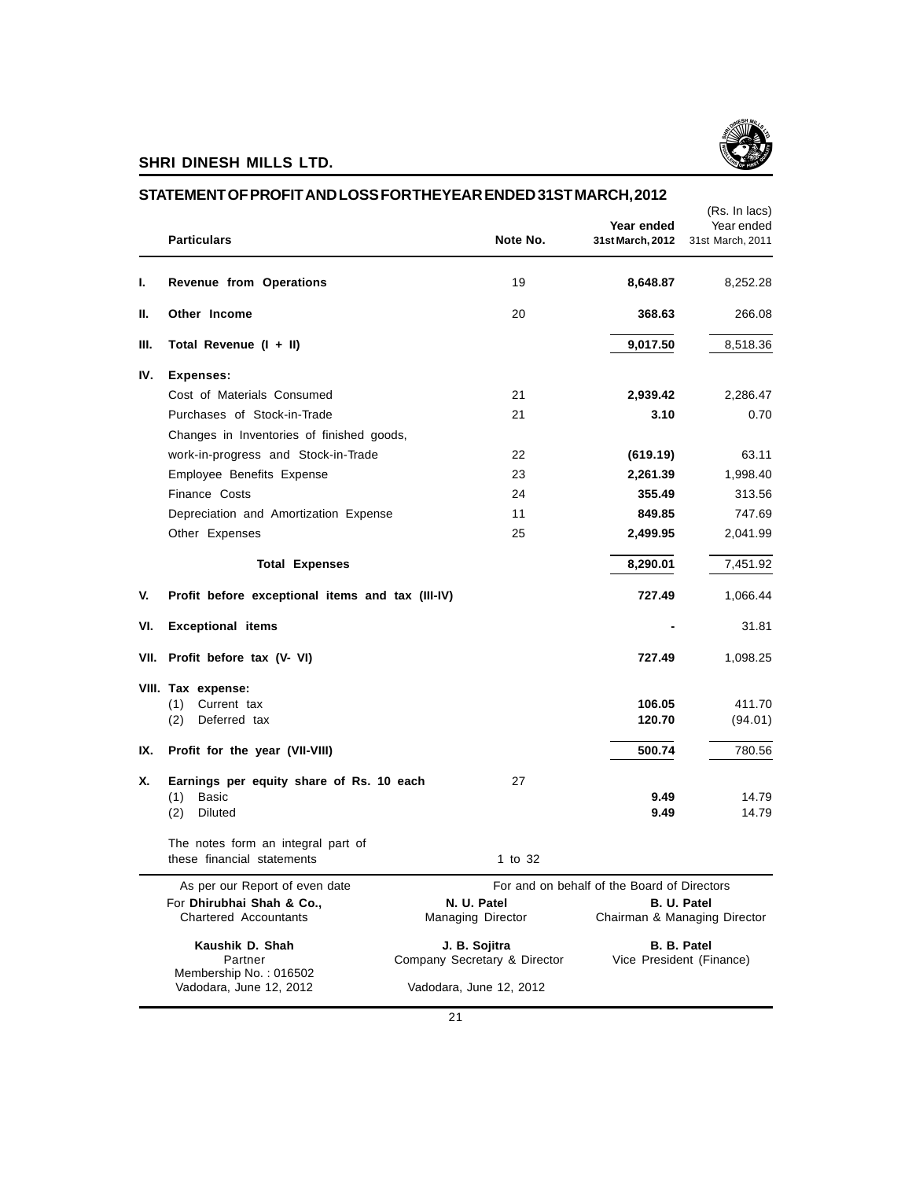

|     | <b>Particulars</b>                                               | Note No.                                                | Year ended<br>31st March, 2012              | (Rs. In lacs)<br>Year ended<br>31st March, 2011 |
|-----|------------------------------------------------------------------|---------------------------------------------------------|---------------------------------------------|-------------------------------------------------|
| ı.  | Revenue from Operations                                          | 19                                                      | 8,648.87                                    | 8,252.28                                        |
| Н.  | Other Income                                                     | 20                                                      | 368.63                                      | 266.08                                          |
| Ш.  | Total Revenue (I + II)                                           |                                                         | 9,017.50                                    | 8,518.36                                        |
| IV. | Expenses:                                                        |                                                         |                                             |                                                 |
|     | Cost of Materials Consumed                                       | 21                                                      | 2,939.42                                    | 2,286.47                                        |
|     | Purchases of Stock-in-Trade                                      | 21                                                      | 3.10                                        | 0.70                                            |
|     | Changes in Inventories of finished goods,                        |                                                         |                                             |                                                 |
|     | work-in-progress and Stock-in-Trade                              | 22                                                      | (619.19)                                    | 63.11                                           |
|     | Employee Benefits Expense                                        | 23                                                      | 2,261.39                                    | 1,998.40                                        |
|     | Finance Costs                                                    | 24                                                      | 355.49                                      | 313.56                                          |
|     | Depreciation and Amortization Expense                            | 11                                                      | 849.85                                      | 747.69                                          |
|     | Other Expenses                                                   | 25                                                      | 2,499.95                                    | 2,041.99                                        |
|     | <b>Total Expenses</b>                                            |                                                         | 8,290.01                                    | 7,451.92                                        |
| V.  | Profit before exceptional items and tax (III-IV)                 |                                                         | 727.49                                      | 1,066.44                                        |
| VI. | <b>Exceptional items</b>                                         |                                                         |                                             | 31.81                                           |
|     | VII. Profit before tax (V- VI)                                   |                                                         | 727.49                                      | 1,098.25                                        |
|     | VIII. Tax expense:                                               |                                                         |                                             |                                                 |
|     | (1)<br>Current tax<br>(2)<br>Deferred tax                        |                                                         | 106.05<br>120.70                            | 411.70<br>(94.01)                               |
|     |                                                                  |                                                         |                                             |                                                 |
| IX. | Profit for the year (VII-VIII)                                   |                                                         | 500.74                                      | 780.56                                          |
| Х.  | Earnings per equity share of Rs. 10 each                         | 27                                                      |                                             |                                                 |
|     | <b>Basic</b><br>(1)<br><b>Diluted</b><br>(2)                     |                                                         | 9.49<br>9.49                                | 14.79<br>14.79                                  |
|     | The notes form an integral part of<br>these financial statements | 1 to 32                                                 |                                             |                                                 |
|     | As per our Report of even date                                   |                                                         | For and on behalf of the Board of Directors |                                                 |
|     | For Dhirubhai Shah & Co.,<br><b>Chartered Accountants</b>        | N. U. Patel<br>Managing Director                        |                                             | B. U. Patel<br>Chairman & Managing Director     |
|     |                                                                  |                                                         |                                             |                                                 |
|     | Kaushik D. Shah                                                  | J. B. Sojitra                                           |                                             | <b>B. B. Patel</b>                              |
|     | Partner<br>Membership No.: 016502<br>Vadodara, June 12, 2012     | Company Secretary & Director<br>Vadodara, June 12, 2012 |                                             | Vice President (Finance)                        |
|     |                                                                  | 21                                                      |                                             |                                                 |

## **STATEMENT OF PROFIT AND LOSS FOR THE YEAR ENDED 31ST MARCH, 2012**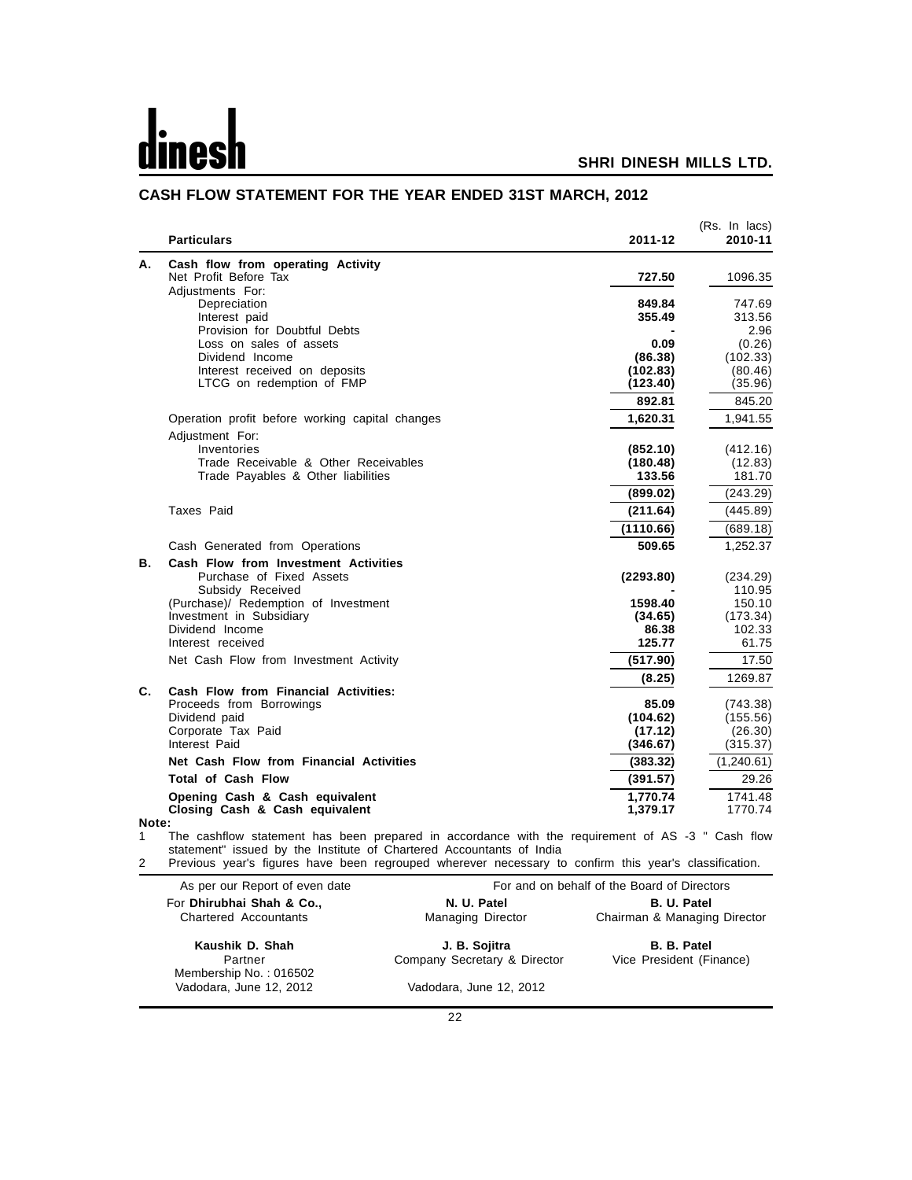$\overline{\phantom{0}}$ 

## **SHRI DINESH MILLS LTD.**

|       | <b>Particulars</b>                              | 2011-12             | (Rs. In lacs)<br>2010-11 |
|-------|-------------------------------------------------|---------------------|--------------------------|
| А.    | Cash flow from operating Activity               |                     |                          |
|       | Net Profit Before Tax<br>Adjustments For:       | 727.50              | 1096.35                  |
|       | Depreciation                                    | 849.84              | 747.69                   |
|       | Interest paid                                   | 355.49              | 313.56                   |
|       | Provision for Doubtful Debts                    |                     | 2.96                     |
|       | Loss on sales of assets                         | 0.09                | (0.26)                   |
|       | Dividend Income                                 | (86.38)             | (102.33)                 |
|       | Interest received on deposits                   | (102.83)            | (80.46)                  |
|       | LTCG on redemption of FMP                       | (123.40)            | (35.96)                  |
|       |                                                 | 892.81              | 845.20                   |
|       | Operation profit before working capital changes | 1,620.31            | 1,941.55                 |
|       | Adjustment For:                                 |                     |                          |
|       | Inventories                                     | (852.10)            | (412.16)                 |
|       | Trade Receivable & Other Receivables            | (180.48)            | (12.83)                  |
|       | Trade Payables & Other liabilities              | 133.56              | 181.70                   |
|       |                                                 | (899.02)            | (243.29)                 |
|       | Taxes Paid                                      | (211.64)            | (445.89)                 |
|       |                                                 | (1110.66)           | (689.18)                 |
|       | Cash Generated from Operations                  | 509.65              | 1,252.37                 |
| В.    | Cash Flow from Investment Activities            |                     |                          |
|       | Purchase of Fixed Assets                        | (2293.80)           | (234.29)                 |
|       | Subsidy Received                                |                     | 110.95                   |
|       | (Purchase)/ Redemption of Investment            | 1598.40             | 150.10                   |
|       | Investment in Subsidiary                        | (34.65)             | (173.34)                 |
|       | Dividend Income                                 | 86.38               | 102.33                   |
|       | Interest received                               | 125.77              | 61.75                    |
|       | Net Cash Flow from Investment Activity          | (517.90)            | 17.50                    |
|       |                                                 | (8.25)              | 1269.87                  |
| C.    | Cash Flow from Financial Activities:            |                     |                          |
|       | Proceeds from Borrowings                        | 85.09               | (743.38)                 |
|       | Dividend paid<br>Corporate Tax Paid             | (104.62)            | (155.56)                 |
|       | Interest Paid                                   | (17.12)<br>(346.67) | (26.30)<br>(315.37)      |
|       | Net Cash Flow from Financial Activities         | (383.32)            | (1,240.61)               |
|       | <b>Total of Cash Flow</b>                       |                     |                          |
|       |                                                 | (391.57)            | 29.26                    |
|       | Opening Cash & Cash equivalent                  | 1.770.74            | 1741.48                  |
| Note: | Closing Cash & Cash equivalent                  | 1,379.17            | 1770.74                  |

## **CASH FLOW STATEMENT FOR THE YEAR ENDED 31ST MARCH, 2012**

1 The cashflow statement has been prepared in accordance with the requirement of AS -3 " Cash flow statement" issued by the Institute of Chartered Accountants of India

2 Previous year's figures have been regrouped wherever necessary to confirm this year's classification.

| As per our Report of even date    | For and on behalf of the Board of Directors |                              |  |
|-----------------------------------|---------------------------------------------|------------------------------|--|
| For Dhirubhai Shah & Co.,         | N. U. Patel                                 | B. U. Patel                  |  |
| <b>Chartered Accountants</b>      | Managing Director                           | Chairman & Managing Director |  |
| Kaushik D. Shah                   | J. B. Sojitra                               | B. B. Patel                  |  |
| Partner<br>Membership No.: 016502 | Company Secretary & Director                | Vice President (Finance)     |  |
| Vadodara, June 12, 2012           | Vadodara, June 12, 2012                     |                              |  |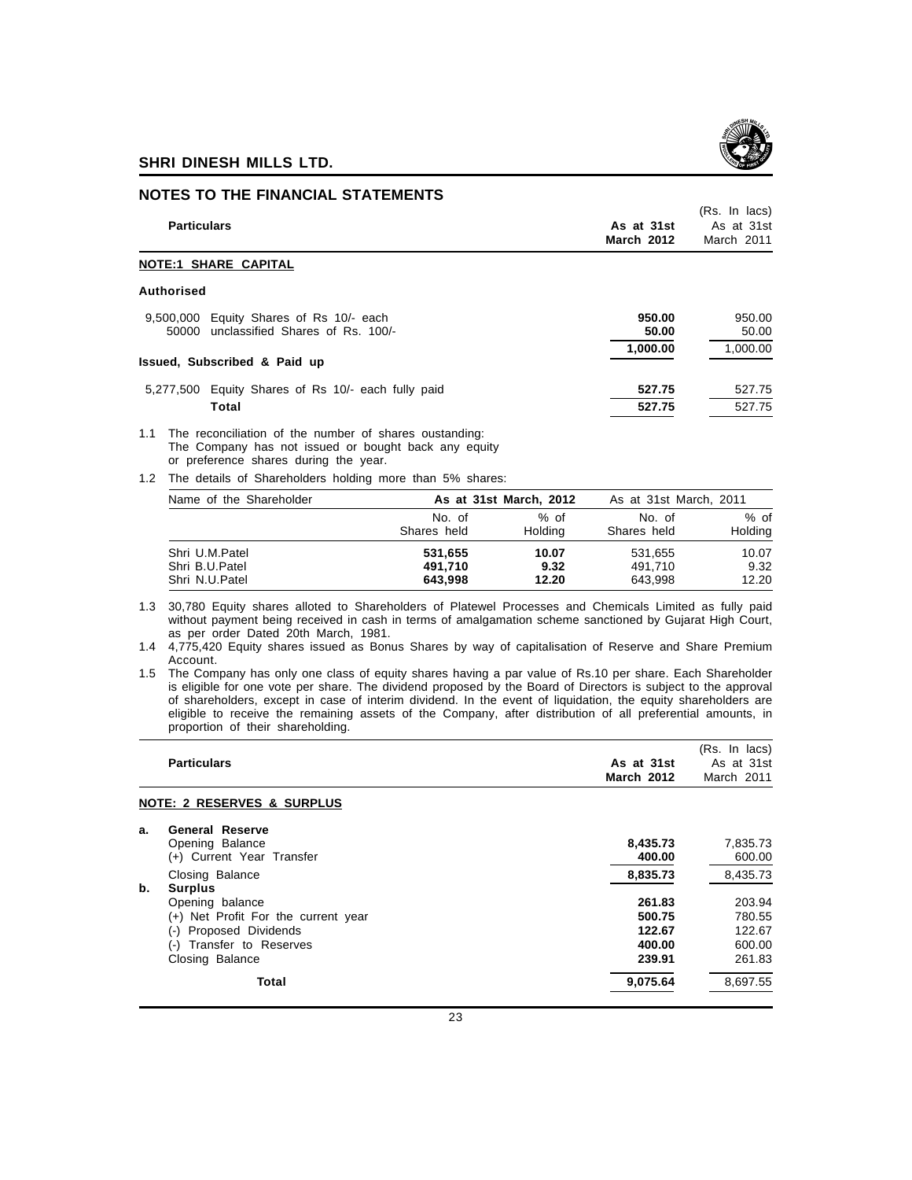

### **NOTES TO THE FINANCIAL STATEMENTS**

| <b>Particulars</b>                                                                      | As at 31st<br><b>March 2012</b> | (Rs. In lacs)<br>As at 31st<br>March 2011 |
|-----------------------------------------------------------------------------------------|---------------------------------|-------------------------------------------|
| <b>NOTE:1 SHARE CAPITAL</b>                                                             |                                 |                                           |
| Authorised                                                                              |                                 |                                           |
| Equity Shares of Rs 10/- each<br>9.500.000<br>unclassified Shares of Rs. 100/-<br>50000 | 950.00<br>50.00                 | 950.00<br>50.00                           |
| Issued, Subscribed & Paid up                                                            | 1,000.00                        | 1,000.00                                  |
| 5,277,500 Equity Shares of Rs 10/- each fully paid                                      | 527.75                          | 527.75                                    |
| Total                                                                                   | 527.75                          | 527.75                                    |
| 1.1 The reconciliation of the number of shares oustanding:                              |                                 |                                           |

The Company has not issued or bought back any equity or preference shares during the year.

1.2 The details of Shareholders holding more than 5% shares:

| Name of the Shareholder | As at 31st March, 2012 |         | As at 31st March, 2011 |         |
|-------------------------|------------------------|---------|------------------------|---------|
|                         | No. of                 | % of    | No. of                 | $%$ of  |
|                         | Shares held            | Holding | Shares held            | Holding |
| Shri U.M.Patel          | 531.655                | 10.07   | 531.655                | 10.07   |
| Shri B.U.Patel          | 491.710                | 9.32    | 491.710                | 9.32    |
| Shri N.U.Patel          | 643.998                | 12.20   | 643.998                | 12.20   |

1.3 30,780 Equity shares alloted to Shareholders of Platewel Processes and Chemicals Limited as fully paid without payment being received in cash in terms of amalgamation scheme sanctioned by Gujarat High Court, as per order Dated 20th March, 1981.

1.5 The Company has only one class of equity shares having a par value of Rs.10 per share. Each Shareholder is eligible for one vote per share. The dividend proposed by the Board of Directors is subject to the approval of shareholders, except in case of interim dividend. In the event of liquidation, the equity shareholders are eligible to receive the remaining assets of the Company, after distribution of all preferential amounts, in proportion of their shareholding.

|    | <b>Particulars</b>                                              | As at 31st<br><b>March 2012</b> | (Rs. In lacs)<br>As at 31st<br>March 2011 |
|----|-----------------------------------------------------------------|---------------------------------|-------------------------------------------|
|    | <b>NOTE: 2 RESERVES &amp; SURPLUS</b>                           |                                 |                                           |
| a. | General Reserve<br>Opening Balance<br>(+) Current Year Transfer | 8,435.73<br>400.00              | 7,835.73<br>600.00                        |
| b. | Closing Balance<br><b>Surplus</b>                               | 8,835.73                        | 8.435.73                                  |
|    | Opening balance                                                 | 261.83                          | 203.94                                    |
|    | (+) Net Profit For the current year                             | 500.75                          | 780.55                                    |
|    | (-) Proposed Dividends                                          | 122.67                          | 122.67                                    |
|    | (-) Transfer to Reserves                                        | 400.00                          | 600.00                                    |
|    | Closing Balance                                                 | 239.91                          | 261.83                                    |
|    | Total                                                           | 9,075.64                        | 8,697.55                                  |

<sup>1.4 4,775,420</sup> Equity shares issued as Bonus Shares by way of capitalisation of Reserve and Share Premium Account.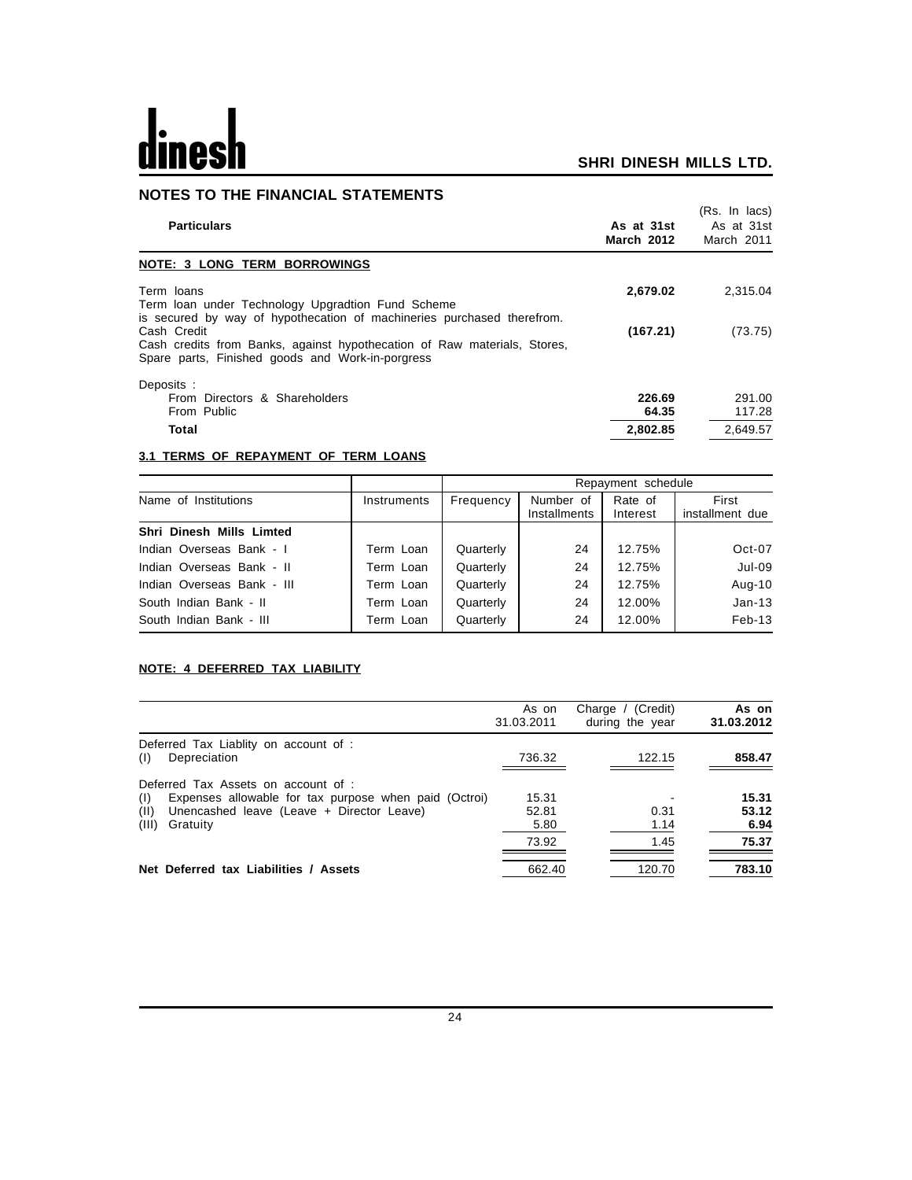# dinesh

## **SHRI DINESH MILLS LTD.**

### **NOTES TO THE FINANCIAL STATEMENTS**

| <b>Particulars</b>                                                                                                                          | As at 31st<br><b>March 2012</b> | (Rs. In lacs)<br>As at 31st<br>March 2011 |
|---------------------------------------------------------------------------------------------------------------------------------------------|---------------------------------|-------------------------------------------|
| <b>NOTE: 3 LONG TERM BORROWINGS</b>                                                                                                         |                                 |                                           |
| Term loans<br>Term loan under Technology Upgradtion Fund Scheme<br>is secured by way of hypothecation of machineries purchased therefrom.   | 2,679.02                        | 2,315.04                                  |
| Cash Credit<br>Cash credits from Banks, against hypothecation of Raw materials, Stores,<br>Spare parts, Finished goods and Work-in-porgress | (167.21)                        | (73.75)                                   |
| Deposits :                                                                                                                                  |                                 |                                           |
| From Directors & Shareholders<br>From Public                                                                                                | 226.69<br>64.35                 | 291.00<br>117.28                          |
| <b>Total</b>                                                                                                                                | 2,802.85                        | 2,649.57                                  |
|                                                                                                                                             |                                 |                                           |

### **3.1 TERMS OF REPAYMENT OF TERM LOANS**

|                            |             | Repayment schedule |                           |                     |                          |
|----------------------------|-------------|--------------------|---------------------------|---------------------|--------------------------|
| Name of Institutions       | Instruments | Frequency          | Number of<br>Installments | Rate of<br>Interest | First<br>installment due |
| Shri Dinesh Mills Limted   |             |                    |                           |                     |                          |
| Indian Overseas Bank - I   | Term Loan   | Quarterly          | 24                        | 12.75%              | $Oct-07$                 |
| Indian Overseas Bank - II  | Term Loan   | Quarterly          | 24                        | 12.75%              | Jul-09                   |
| Indian Overseas Bank - III | Term Loan   | Quarterly          | 24                        | 12.75%              | Aug-10                   |
| South Indian Bank - II     | Term Loan   | Quarterly          | 24                        | 12.00%              | $Jan-13$                 |
| South Indian Bank - III    | Term Loan   | Quarterly          | 24                        | 12.00%              | $Feb-13$                 |

### **NOTE: 4 DEFERRED TAX LIABILITY**

|                                                                                                                                                                               | As on                  | Charge / (Credit) | As on                  |
|-------------------------------------------------------------------------------------------------------------------------------------------------------------------------------|------------------------|-------------------|------------------------|
|                                                                                                                                                                               | 31.03.2011             | during the year   | 31.03.2012             |
| Deferred Tax Liablity on account of :<br>Depreciation<br>(1)                                                                                                                  | 736.32                 | 122.15            | 858.47                 |
| Deferred Tax Assets on account of :<br>Expenses allowable for tax purpose when paid (Octroi)<br>(1)<br>(11)<br>Unencashed leave (Leave + Director Leave)<br>(III)<br>Gratuity | 15.31<br>52.81<br>5.80 | 0.31<br>1.14      | 15.31<br>53.12<br>6.94 |
| Net Deferred tax Liabilities / Assets                                                                                                                                         | 73.92                  | 1.45              | 75.37                  |
|                                                                                                                                                                               | 662.40                 | 120.70            | 783.10                 |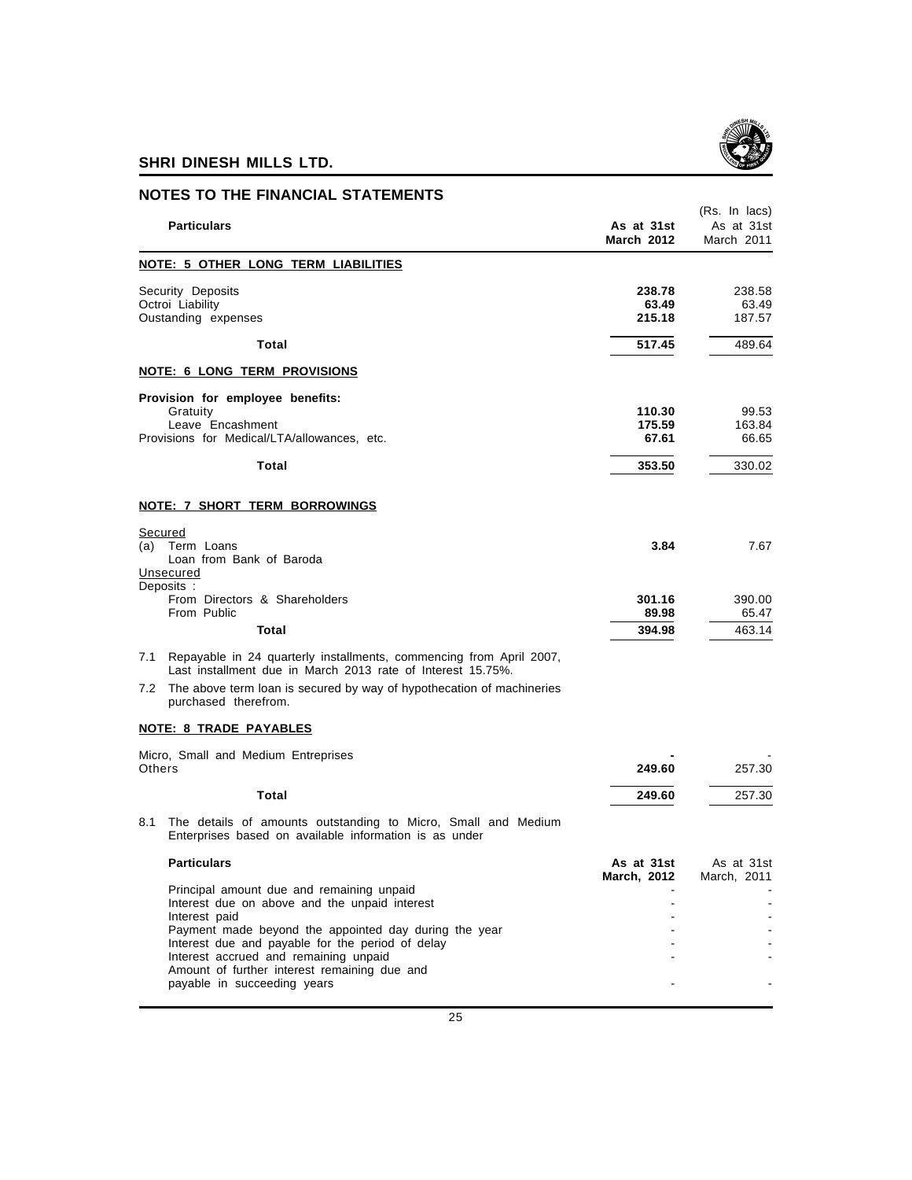

|                                                              | <b>NOTES TO THE FINANCIAL STATEMENTS</b>                                                                                                                                                                                                                                                         |                                     |                                           |
|--------------------------------------------------------------|--------------------------------------------------------------------------------------------------------------------------------------------------------------------------------------------------------------------------------------------------------------------------------------------------|-------------------------------------|-------------------------------------------|
| <b>Particulars</b>                                           |                                                                                                                                                                                                                                                                                                  | As at 31st<br><b>March 2012</b>     | (Rs. In lacs)<br>As at 31st<br>March 2011 |
|                                                              | NOTE: 5 OTHER LONG TERM LIABILITIES                                                                                                                                                                                                                                                              |                                     |                                           |
| Security Deposits<br>Octroi Liability<br>Oustanding expenses |                                                                                                                                                                                                                                                                                                  | 238.78<br>63.49<br>215.18           | 238.58<br>63.49<br>187.57                 |
|                                                              | Total                                                                                                                                                                                                                                                                                            | 517.45                              | 489.64                                    |
|                                                              | NOTE: 6 LONG TERM PROVISIONS                                                                                                                                                                                                                                                                     |                                     |                                           |
| Gratuity<br>Leave Encashment                                 | Provision for employee benefits:<br>Provisions for Medical/LTA/allowances, etc.<br>Total                                                                                                                                                                                                         | 110.30<br>175.59<br>67.61<br>353.50 | 99.53<br>163.84<br>66.65<br>330.02        |
|                                                              | NOTE: 7 SHORT TERM BORROWINGS                                                                                                                                                                                                                                                                    |                                     |                                           |
| Secured<br>Term Loans<br>(a)<br>Unsecured                    | Loan from Bank of Baroda                                                                                                                                                                                                                                                                         | 3.84                                | 7.67                                      |
| Deposits :<br>From Public                                    | From Directors & Shareholders                                                                                                                                                                                                                                                                    | 301.16<br>89.98                     | 390.00<br>65.47                           |
|                                                              | Total                                                                                                                                                                                                                                                                                            | 394.98                              | 463.14                                    |
| 7.1                                                          | Repayable in 24 quarterly installments, commencing from April 2007,<br>Last installment due in March 2013 rate of Interest 15.75%.                                                                                                                                                               |                                     |                                           |
|                                                              | 7.2 The above term loan is secured by way of hypothecation of machineries<br>purchased therefrom.                                                                                                                                                                                                |                                     |                                           |
| NOTE: 8 TRADE PAYABLES                                       |                                                                                                                                                                                                                                                                                                  |                                     |                                           |
| Others                                                       | Micro, Small and Medium Entreprises                                                                                                                                                                                                                                                              | 249.60                              | 257.30                                    |
|                                                              | Total                                                                                                                                                                                                                                                                                            | 249.60                              | 257.30                                    |
| 8.1                                                          | The details of amounts outstanding to Micro, Small and Medium<br>Enterprises based on available information is as under                                                                                                                                                                          |                                     |                                           |
| <b>Particulars</b>                                           |                                                                                                                                                                                                                                                                                                  | As at 31st<br>March, 2012           | As at 31st<br>March, 2011                 |
| Interest paid                                                | Principal amount due and remaining unpaid<br>Interest due on above and the unpaid interest<br>Payment made beyond the appointed day during the year<br>Interest due and payable for the period of delay<br>Interest accrued and remaining unpaid<br>Amount of further interest remaining due and |                                     |                                           |
|                                                              | payable in succeeding years                                                                                                                                                                                                                                                                      |                                     |                                           |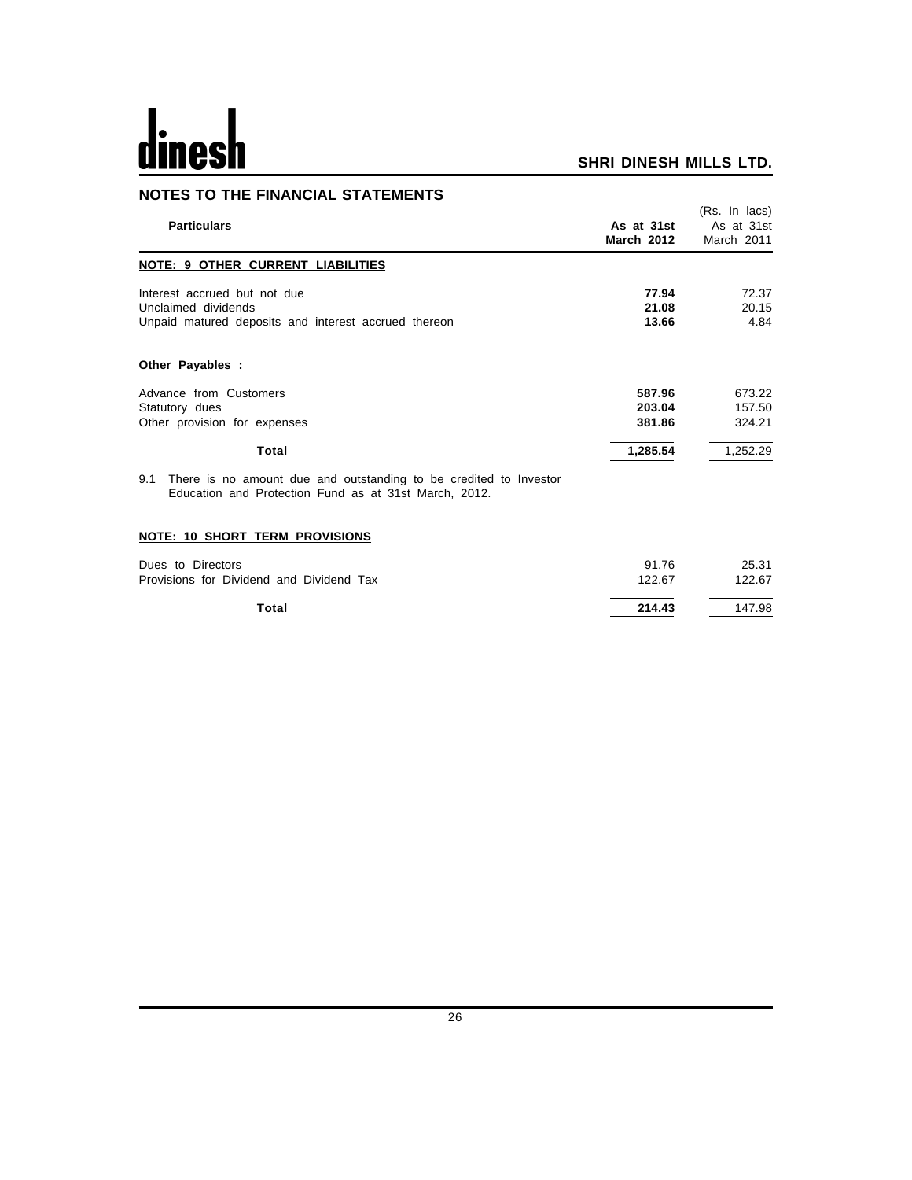# dines

## **SHRI DINESH MILLS LTD.**

### **NOTES TO THE FINANCIAL STATEMENTS**

| <b>Particulars</b>                                                                                                             | As at 31st<br><b>March 2012</b> | (Rs. In lacs)<br>As at 31st<br>March 2011 |
|--------------------------------------------------------------------------------------------------------------------------------|---------------------------------|-------------------------------------------|
| NOTE: 9 OTHER CURRENT LIABILITIES                                                                                              |                                 |                                           |
| Interest accrued but not due                                                                                                   | 77.94                           | 72.37                                     |
| Unclaimed dividends                                                                                                            | 21.08                           | 20.15                                     |
| Unpaid matured deposits and interest accrued thereon                                                                           | 13.66                           | 4.84                                      |
| Other Payables :                                                                                                               |                                 |                                           |
| Advance from Customers                                                                                                         | 587.96                          | 673.22                                    |
| Statutory dues                                                                                                                 | 203.04                          | 157.50                                    |
| Other provision for expenses                                                                                                   | 381.86                          | 324.21                                    |
| Total                                                                                                                          | 1,285.54                        | 1,252.29                                  |
| 9.1 There is no amount due and outstanding to be credited to Investor<br>Education and Protection Fund as at 31st March, 2012. |                                 |                                           |
| <b>NOTE: 10 SHORT TERM PROVISIONS</b>                                                                                          |                                 |                                           |
| Dues to Directors                                                                                                              | 91.76                           | 25.31                                     |
| Provisions for Dividend and Dividend Tax                                                                                       | 122.67                          | 122.67                                    |
| Total                                                                                                                          | 214.43                          | 147.98                                    |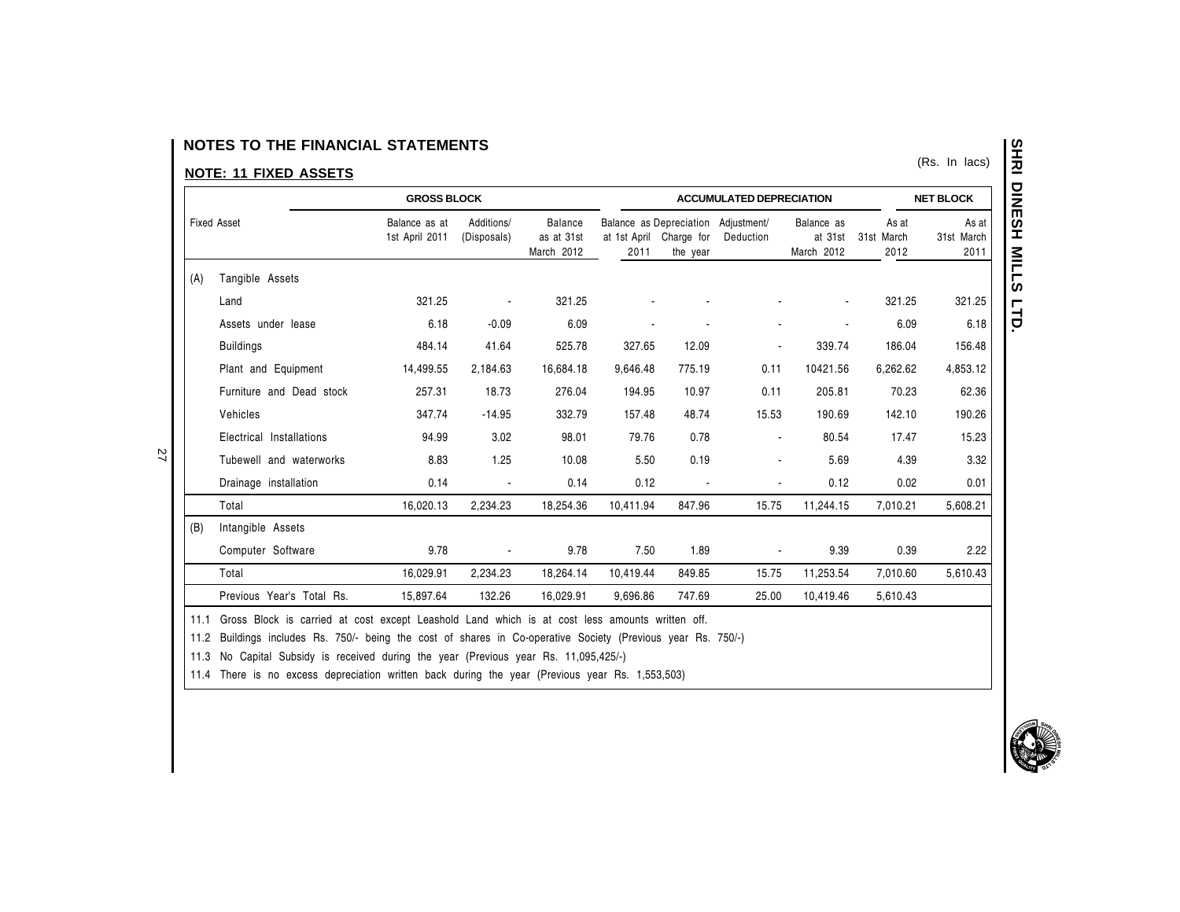## NOTES TO THE FINANCIAL STATEMENTS

## **NOTE: 11 FIXED ASSETS**

| <b>GROSS BLOCK</b> |                           | <b>ACCUMULATED DEPRECIATION</b> |                           |                                            |           | <b>NET BLOCK</b>                    |                                                  |                                     |                             |                             |
|--------------------|---------------------------|---------------------------------|---------------------------|--------------------------------------------|-----------|-------------------------------------|--------------------------------------------------|-------------------------------------|-----------------------------|-----------------------------|
|                    | <b>Fixed Asset</b>        | Balance as at<br>1st April 2011 | Additions/<br>(Disposals) | <b>Balance</b><br>as at 31st<br>March 2012 | 2011      | at 1st April Charge for<br>the year | Balance as Depreciation Adjustment/<br>Deduction | Balance as<br>at 31st<br>March 2012 | As at<br>31st March<br>2012 | As at<br>31st March<br>2011 |
| (A)                | Tangible Assets           |                                 |                           |                                            |           |                                     |                                                  |                                     |                             |                             |
|                    | Land                      | 321.25                          |                           | 321.25                                     |           |                                     |                                                  |                                     | 321.25                      | 321.25                      |
|                    | Assets under lease        | 6.18                            | $-0.09$                   | 6.09                                       |           |                                     |                                                  |                                     | 6.09                        | 6.18                        |
|                    | <b>Buildings</b>          | 484.14                          | 41.64                     | 525.78                                     | 327.65    | 12.09                               | $\blacksquare$                                   | 339.74                              | 186.04                      | 156.48                      |
|                    | Plant and Equipment       | 14,499.55                       | 2,184.63                  | 16,684.18                                  | 9,646.48  | 775.19                              | 0.11                                             | 10421.56                            | 6,262.62                    | 4,853.12                    |
|                    | Furniture and Dead stock  | 257.31                          | 18.73                     | 276.04                                     | 194.95    | 10.97                               | 0.11                                             | 205.81                              | 70.23                       | 62.36                       |
|                    | Vehicles                  | 347.74                          | $-14.95$                  | 332.79                                     | 157.48    | 48.74                               | 15.53                                            | 190.69                              | 142.10                      | 190.26                      |
|                    | Electrical Installations  | 94.99                           | 3.02                      | 98.01                                      | 79.76     | 0.78                                | $\blacksquare$                                   | 80.54                               | 17.47                       | 15.23                       |
|                    | Tubewell and waterworks   | 8.83                            | 1.25                      | 10.08                                      | 5.50      | 0.19                                |                                                  | 5.69                                | 4.39                        | 3.32                        |
|                    | Drainage installation     | 0.14                            |                           | 0.14                                       | 0.12      |                                     | ۰                                                | 0.12                                | 0.02                        | 0.01                        |
|                    | Total                     | 16,020.13                       | 2,234.23                  | 18,254.36                                  | 10,411.94 | 847.96                              | 15.75                                            | 11,244.15                           | 7,010.21                    | 5,608.21                    |
| (B)                | Intangible Assets         |                                 |                           |                                            |           |                                     |                                                  |                                     |                             |                             |
|                    | Computer Software         | 9.78                            |                           | 9.78                                       | 7.50      | 1.89                                |                                                  | 9.39                                | 0.39                        | 2.22                        |
|                    | Total                     | 16,029.91                       | 2,234.23                  | 18,264.14                                  | 10,419.44 | 849.85                              | 15.75                                            | 11,253.54                           | 7,010.60                    | 5,610.43                    |
|                    | Previous Year's Total Rs. | 15,897.64                       | 132.26                    | 16,029.91                                  | 9,696.86  | 747.69                              | 25.00                                            | 10,419.46                           | 5,610.43                    |                             |

Gross Block is carried at cost except Leashold Land which is at cost less amounts written off. 11.1

11.2 Buildings includes Rs. 750/- being the cost of shares in Co-operative Society (Previous year Rs. 750/-)

11.3 No Capital Subsidy is received during the year (Previous year Rs. 11,095,425/-)

11.4 There is no excess depreciation written back during the year (Previous year Rs. 1,553,503)

(Rs. In lacs)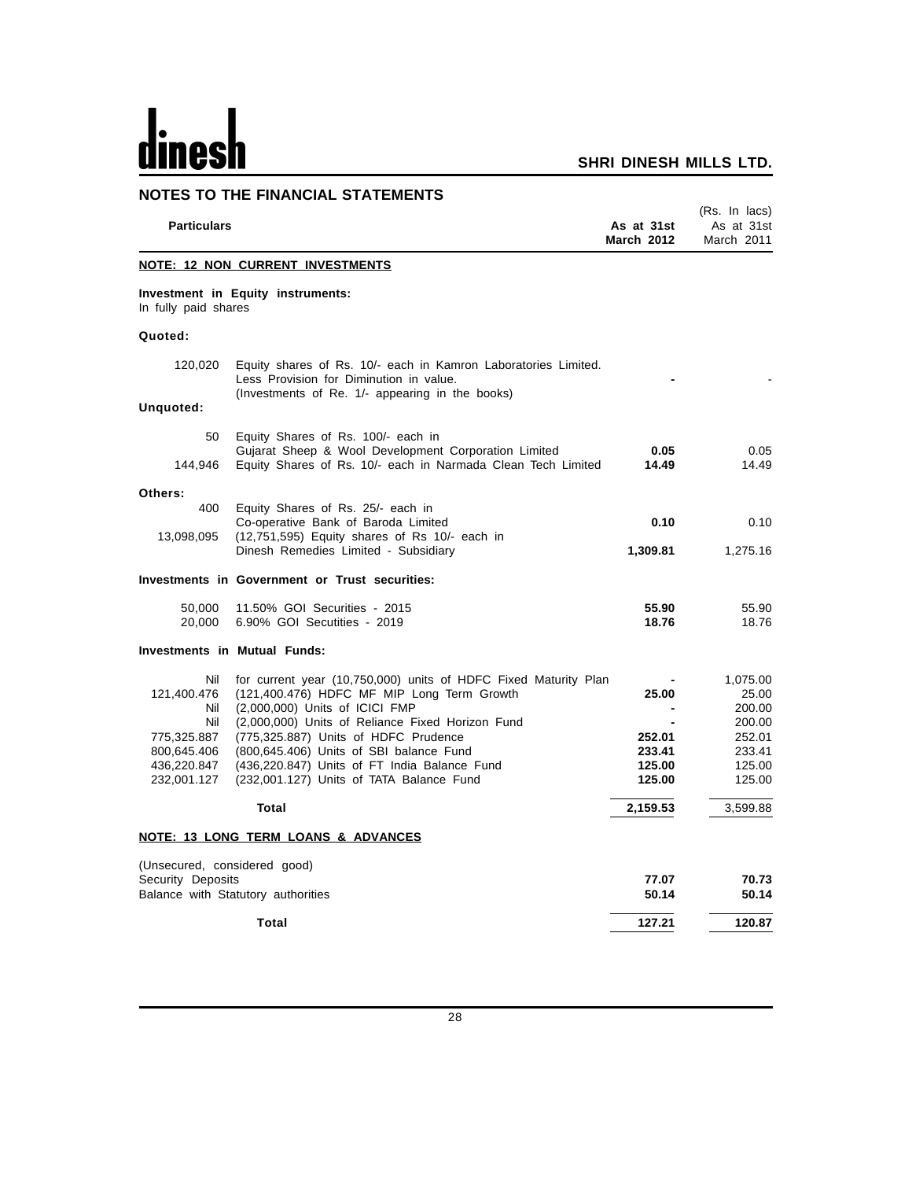## **NOTES TO THE FINANCIAL STATEMENTS** (Rs. In lacs) **Particulars As at 31st** As at 31st As at 31st As at 31st As at 31st As at 31st As at 31st As at 31st As at 31st As at 31st As at 31st As at 31st As at 31st As at 31st As at 31st As at 31st As at 31st As at 31st As at 31st **March 2012** March 2011 **NOTE: 12 NON CURRENT INVESTMENTS Investment in Equity instruments:** In fully paid shares **Quoted:** 120,020 Equity shares of Rs. 10/- each in Kamron Laboratories Limited. Less Provision for Diminution in value. (Investments of Re. 1/- appearing in the books) **Unquoted:** 50 Equity Shares of Rs. 100/- each in Gujarat Sheep & Wool Development Corporation Limited **0.05** 0.05 144,946 Equity Shares of Rs. 10/- each in Narmada Clean Tech Limited **Others:** 400 Equity Shares of Rs. 25/- each in Co-operative Bank of Baroda Limited **0.10** 0.10 13,098,095 (12,751,595) Equity shares of Rs 10/- each in Dinesh Remedies Limited - Subsidiary **1,309.81** 1,275.16 **Investments in Government or Trust securities:** 50,000 11.50% GOI Securities - 2015 **55.90** 55.90 20,000 6.90% GOI Secutities - 2019 **18.76** 18.76 **Investments in Mutual Funds:** Nil for current year (10,750,000) units of HDFC Fixed Maturity Plan **-** 1,075.00<br>121,400.476 (121,400.476) HDFC MF MIP Long Term Growth **25.00** 25.00 121,400.476 (121,400.476) HDFC MF MIP Long Term Growth **25.00** 25.00 Nil (2,000,000) Units of ICICI FMP **-** 200.00 Nil (2,000,000) Units of Reliance Fixed Horizon Fund<br>775.325.887 (775.325.887) Units of HDFC Prudence **252.01** 252.01 252.01 775,325.887 (775,325.887) Units of HDFC Prudence **252.01** 252.01 800,645.406 (800,645.406) Units of SBI balance Fund **233.41** 233.41 436,220.847 (436,220.847) Units of FT India Balance Fund **125.00** 125.00 232,001.127 (232,001.127) Units of TATA Balance Fund **125.00** 125.00 **Total 2,159.53** 3,599.88 **NOTE: 13 LONG TERM LOANS & ADVANCES** (Unsecured, considered good) Security Deposits **70.73**<br>
Balance with Statutory authorities **70.73**<br> **Balance with Statutory authorities** 60.14 Balance with Statutory authorities **Total 127.21 120.87**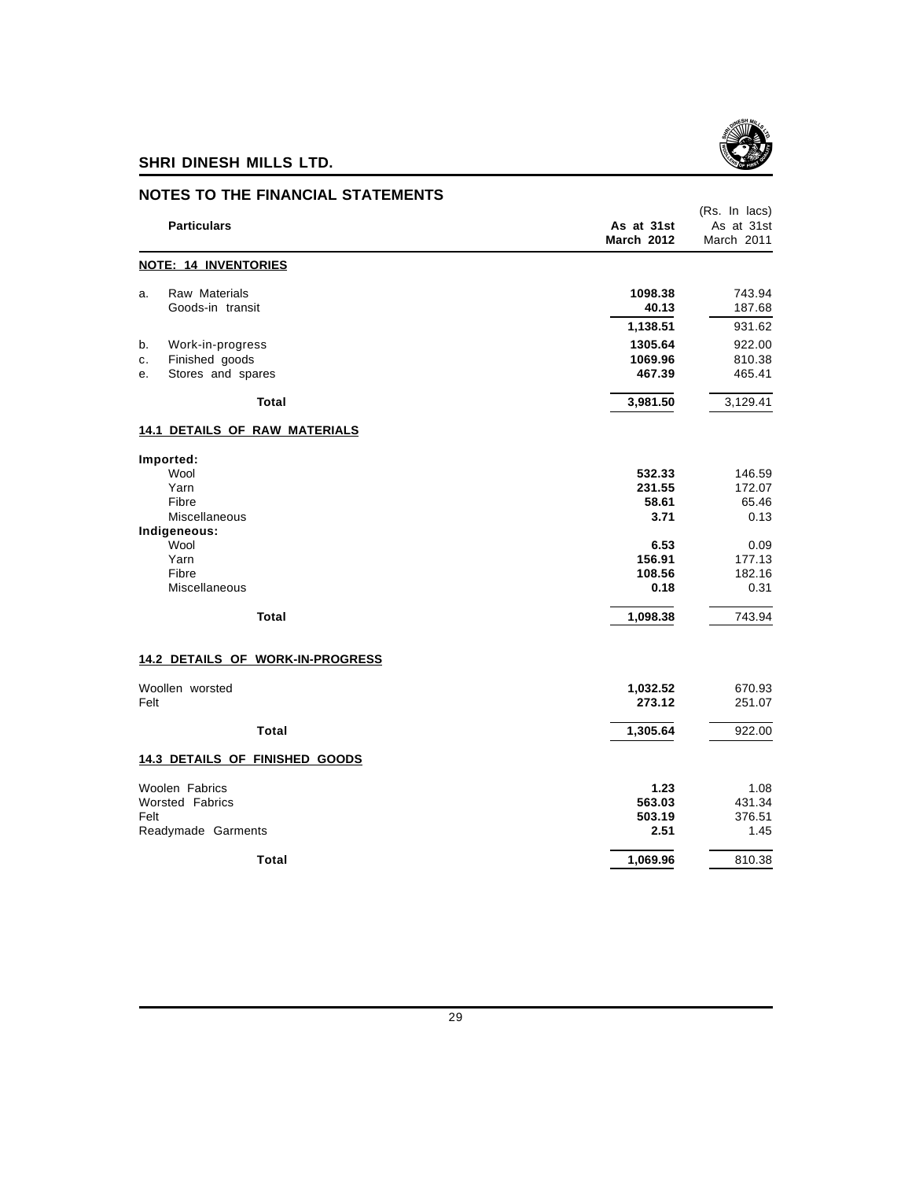

|      | <b>NOTES TO THE FINANCIAL STATEMENTS</b> |                                 |                                           |
|------|------------------------------------------|---------------------------------|-------------------------------------------|
|      | <b>Particulars</b>                       | As at 31st<br><b>March 2012</b> | (Rs. In lacs)<br>As at 31st<br>March 2011 |
|      | <b>NOTE: 14 INVENTORIES</b>              |                                 |                                           |
| a.   | Raw Materials<br>Goods-in transit        | 1098.38<br>40.13                | 743.94<br>187.68                          |
|      |                                          | 1,138.51                        | 931.62                                    |
| b.   | Work-in-progress                         | 1305.64                         | 922.00                                    |
| с.   | Finished goods                           | 1069.96                         | 810.38                                    |
| е.   | Stores and spares                        | 467.39                          | 465.41                                    |
|      | Total                                    | 3,981.50                        | 3,129.41                                  |
|      | <b>14.1 DETAILS OF RAW MATERIALS</b>     |                                 |                                           |
|      | Imported:                                |                                 |                                           |
|      | Wool<br>Yarn                             | 532.33<br>231.55                | 146.59<br>172.07                          |
|      | Fibre                                    | 58.61                           | 65.46                                     |
|      | Miscellaneous                            | 3.71                            | 0.13                                      |
|      | Indigeneous:                             |                                 |                                           |
|      | Wool                                     | 6.53                            | 0.09                                      |
|      | Yarn                                     | 156.91                          | 177.13                                    |
|      | Fibre                                    | 108.56                          | 182.16                                    |
|      | Miscellaneous                            | 0.18                            | 0.31                                      |
|      | Total                                    | 1,098.38                        | 743.94                                    |
|      | 14.2 DETAILS OF WORK-IN-PROGRESS         |                                 |                                           |
|      | Woollen worsted                          | 1,032.52                        | 670.93                                    |
| Felt |                                          | 273.12                          | 251.07                                    |
|      | <b>Total</b>                             | 1,305.64                        | 922.00                                    |
|      | 14.3 DETAILS OF FINISHED GOODS           |                                 |                                           |
|      | Woolen Fabrics                           | 1.23                            | 1.08                                      |
|      | Worsted Fabrics                          | 563.03                          | 431.34                                    |
| Felt |                                          | 503.19                          | 376.51                                    |
|      | Readymade Garments                       | 2.51                            | 1.45                                      |
|      | <b>Total</b>                             | 1,069.96                        | 810.38                                    |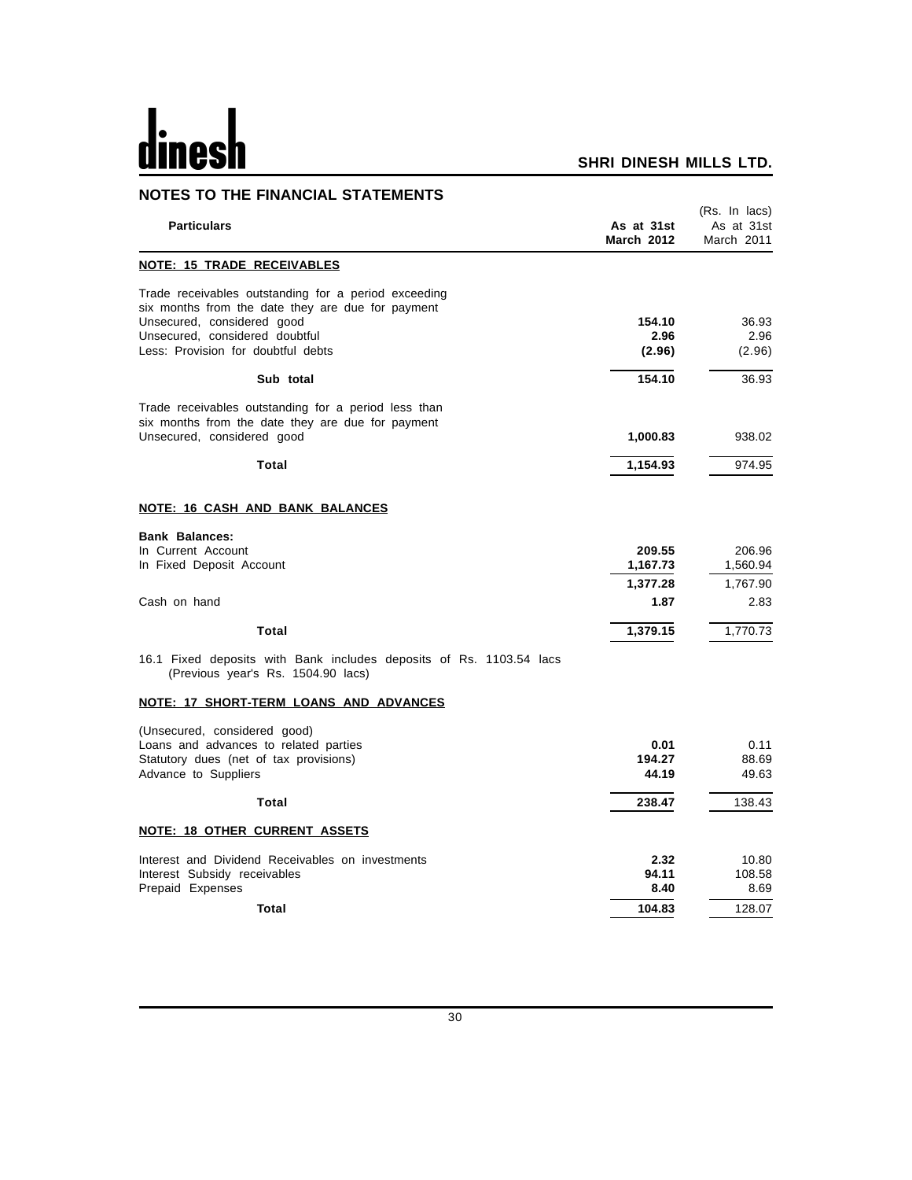# <u>dinesh</u>

| <b>NOTES TO THE FINANCIAL STATEMENTS</b>                                                                                                                                                                        |                                 |                                           |
|-----------------------------------------------------------------------------------------------------------------------------------------------------------------------------------------------------------------|---------------------------------|-------------------------------------------|
| <b>Particulars</b>                                                                                                                                                                                              | As at 31st<br><b>March 2012</b> | (Rs. In lacs)<br>As at 31st<br>March 2011 |
| <b>NOTE: 15 TRADE RECEIVABLES</b>                                                                                                                                                                               |                                 |                                           |
| Trade receivables outstanding for a period exceeding<br>six months from the date they are due for payment<br>Unsecured, considered good<br>Unsecured, considered doubtful<br>Less: Provision for doubtful debts | 154.10<br>2.96<br>(2.96)        | 36.93<br>2.96<br>(2.96)                   |
| Sub total                                                                                                                                                                                                       | 154.10                          | 36.93                                     |
| Trade receivables outstanding for a period less than<br>six months from the date they are due for payment<br>Unsecured, considered good                                                                         | 1,000.83                        | 938.02                                    |
| <b>Total</b>                                                                                                                                                                                                    | 1,154.93                        | 974.95                                    |
| NOTE: 16 CASH AND BANK BALANCES                                                                                                                                                                                 |                                 |                                           |
| <b>Bank Balances:</b><br>In Current Account<br>In Fixed Deposit Account                                                                                                                                         | 209.55<br>1,167.73              | 206.96<br>1,560.94                        |
| Cash on hand                                                                                                                                                                                                    | 1,377.28<br>1.87                | 1,767.90<br>2.83                          |
| <b>Total</b>                                                                                                                                                                                                    | 1,379.15                        | 1,770.73                                  |
| 16.1 Fixed deposits with Bank includes deposits of Rs. 1103.54 lacs<br>(Previous year's Rs. 1504.90 lacs)                                                                                                       |                                 |                                           |
| NOTE: 17 SHORT-TERM LOANS AND ADVANCES                                                                                                                                                                          |                                 |                                           |
| (Unsecured, considered good)<br>Loans and advances to related parties<br>Statutory dues (net of tax provisions)<br>Advance to Suppliers                                                                         | 0.01<br>194.27<br>44.19         | 0.11<br>88.69<br>49.63                    |
| Total                                                                                                                                                                                                           | 238.47                          | 138.43                                    |
| <b>NOTE: 18 OTHER CURRENT ASSETS</b>                                                                                                                                                                            |                                 |                                           |
| Interest and Dividend Receivables on investments<br>Interest Subsidy receivables<br>Prepaid Expenses                                                                                                            | 2.32<br>94.11<br>8.40           | 10.80<br>108.58<br>8.69                   |
| Total                                                                                                                                                                                                           | 104.83                          | 128.07                                    |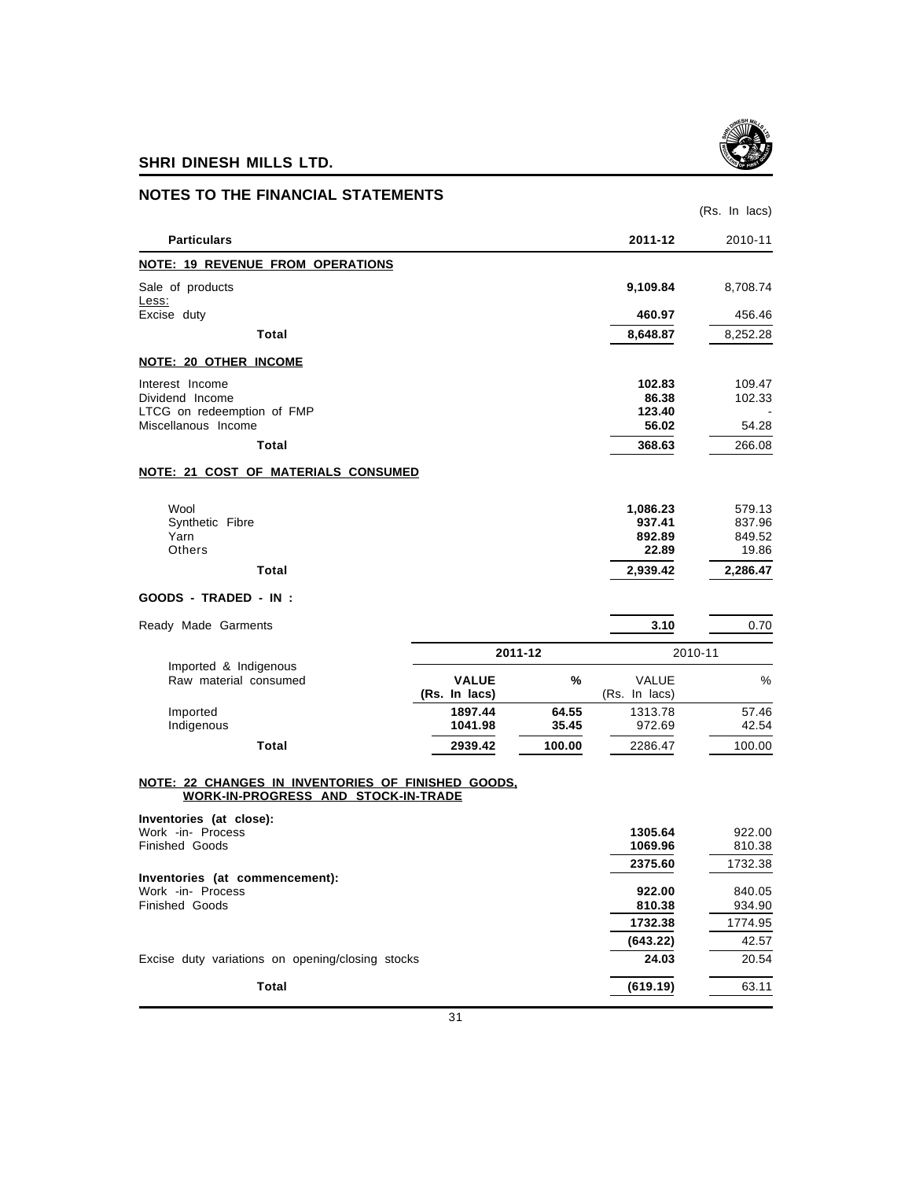

**(643.22)** 42.57

## **SHRI DINESH MILLS LTD.**

| <b>NOTES TO THE FINANCIAL STATEMENTS</b>                                                  |                               |         |                                       |                                     |
|-------------------------------------------------------------------------------------------|-------------------------------|---------|---------------------------------------|-------------------------------------|
|                                                                                           |                               |         |                                       | (Rs. In lacs)                       |
| <b>Particulars</b>                                                                        |                               |         | 2011-12                               | 2010-11                             |
| <b>NOTE: 19 REVENUE FROM OPERATIONS</b>                                                   |                               |         |                                       |                                     |
| Sale of products<br>Less:                                                                 |                               |         | 9,109.84                              | 8,708.74                            |
| Excise duty                                                                               |                               |         | 460.97                                | 456.46                              |
| <b>Total</b>                                                                              |                               |         | 8,648.87                              | 8,252.28                            |
| <b>NOTE: 20 OTHER INCOME</b>                                                              |                               |         |                                       |                                     |
| Interest Income<br>Dividend Income<br>LTCG on redeemption of FMP<br>Miscellanous Income   |                               |         | 102.83<br>86.38<br>123.40<br>56.02    | 109.47<br>102.33<br>54.28           |
| Total                                                                                     |                               |         | 368.63                                | 266.08                              |
| NOTE: 21 COST OF MATERIALS CONSUMED                                                       |                               |         |                                       |                                     |
| Wool<br>Synthetic Fibre<br>Yarn<br>Others                                                 |                               |         | 1,086.23<br>937.41<br>892.89<br>22.89 | 579.13<br>837.96<br>849.52<br>19.86 |
| <b>Total</b>                                                                              |                               |         | 2,939.42                              | 2,286.47                            |
| GOODS - TRADED - IN :                                                                     |                               |         |                                       |                                     |
| Ready Made Garments                                                                       |                               |         | 3.10                                  | 0.70                                |
|                                                                                           |                               | 2011-12 |                                       | 2010-11                             |
| Imported & Indigenous<br>Raw material consumed                                            | <b>VALUE</b><br>(Rs. In lacs) | %       | VALUE<br>(Rs. In lacs)                | $\%$                                |
| Imported                                                                                  | 1897.44                       | 64.55   | 1313.78                               | 57.46                               |
| Indigenous                                                                                | 1041.98                       | 35.45   | 972.69                                | 42.54                               |
| <b>Total</b>                                                                              | 2939.42                       | 100.00  | 2286.47                               | 100.00                              |
| NOTE: 22 CHANGES IN INVENTORIES OF FINISHED GOODS,<br>WORK-IN-PROGRESS AND STOCK-IN-TRADE |                               |         |                                       |                                     |
| Inventories (at close):                                                                   |                               |         |                                       |                                     |
| Work -in- Process<br>Finished Goods                                                       |                               |         | 1305.64<br>1069.96                    | 922.00<br>810.38                    |
|                                                                                           |                               |         | 2375.60                               | 1732.38                             |
| Inventories (at commencement):                                                            |                               |         |                                       |                                     |
| Work -in- Process<br><b>Finished Goods</b>                                                |                               |         | 922.00<br>810.38                      | 840.05                              |
|                                                                                           |                               |         | 1732.38                               | 934.90<br>1774.95                   |
|                                                                                           |                               |         |                                       |                                     |

Excise duty variations on opening/closing stocks **24.03** 20.54

**Total** (619.19) 63.11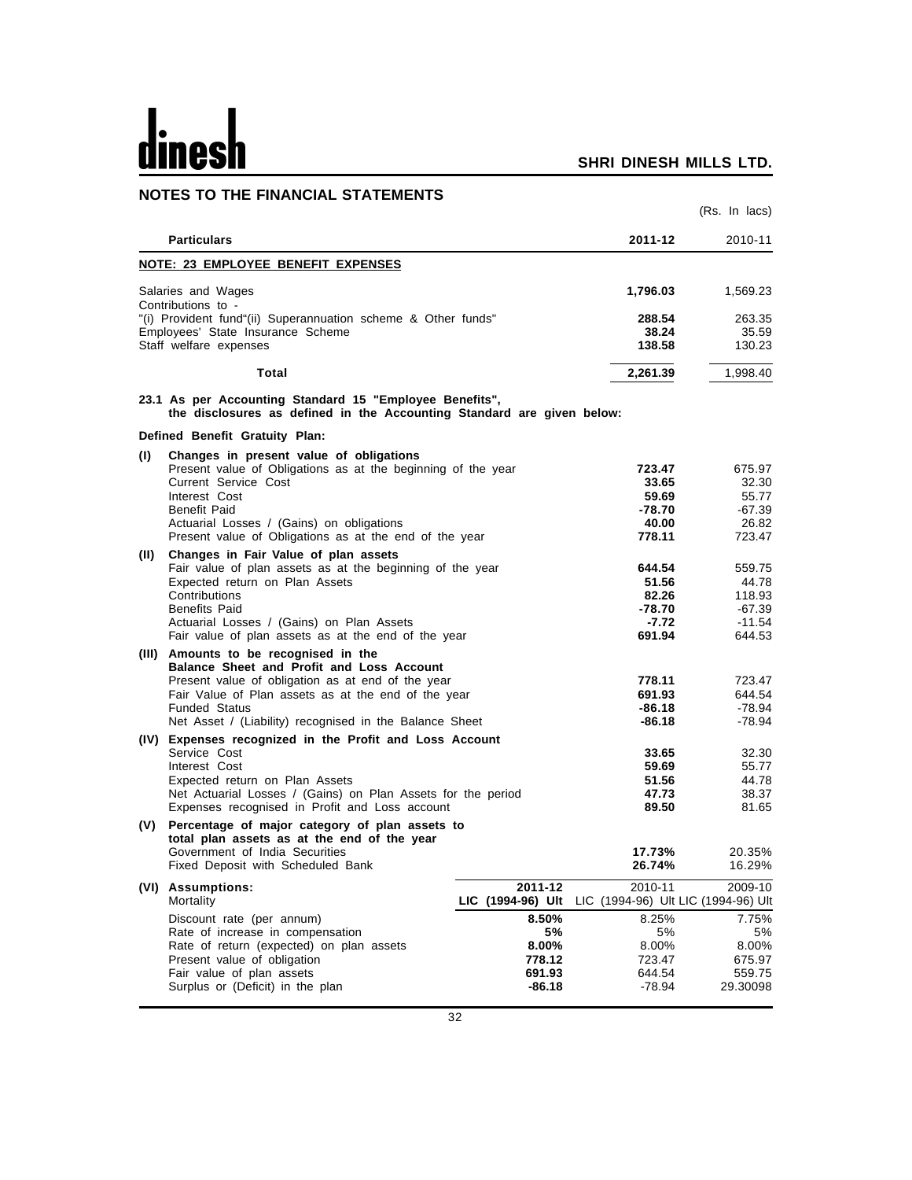# dinesh

|      | <b>NOTES TO THE FINANCIAL STATEMENTS</b>                                                                                          |                              |                                                |                    |
|------|-----------------------------------------------------------------------------------------------------------------------------------|------------------------------|------------------------------------------------|--------------------|
|      |                                                                                                                                   |                              |                                                | (Rs. In lacs)      |
|      | <b>Particulars</b>                                                                                                                |                              | 2011-12                                        | 2010-11            |
|      | NOTE: 23 EMPLOYEE BENEFIT EXPENSES                                                                                                |                              |                                                |                    |
|      | Salaries and Wages                                                                                                                |                              | 1,796.03                                       | 1,569.23           |
|      | Contributions to -<br>"(i) Provident fund"(ii) Superannuation scheme & Other funds"                                               |                              | 288.54                                         | 263.35             |
|      | Employees' State Insurance Scheme                                                                                                 |                              | 38.24                                          | 35.59              |
|      | Staff welfare expenses                                                                                                            |                              | 138.58                                         | 130.23             |
|      | Total                                                                                                                             |                              | 2,261.39                                       | 1,998.40           |
|      | 23.1 As per Accounting Standard 15 "Employee Benefits",<br>the disclosures as defined in the Accounting Standard are given below: |                              |                                                |                    |
|      | Defined Benefit Gratuity Plan:                                                                                                    |                              |                                                |                    |
| (1)  | Changes in present value of obligations                                                                                           |                              |                                                |                    |
|      | Present value of Obligations as at the beginning of the year<br>Current Service Cost                                              |                              | 723.47<br>33.65                                | 675.97<br>32.30    |
|      | Interest Cost                                                                                                                     |                              | 59.69                                          | 55.77              |
|      | <b>Benefit Paid</b>                                                                                                               |                              | $-78.70$                                       | $-67.39$           |
|      | Actuarial Losses / (Gains) on obligations                                                                                         |                              | 40.00                                          | 26.82              |
|      | Present value of Obligations as at the end of the year                                                                            |                              | 778.11                                         | 723.47             |
| (II) | Changes in Fair Value of plan assets<br>Fair value of plan assets as at the beginning of the year                                 |                              | 644.54                                         | 559.75             |
|      | Expected return on Plan Assets                                                                                                    |                              | 51.56                                          | 44.78              |
|      | Contributions                                                                                                                     |                              | 82.26                                          | 118.93             |
|      | <b>Benefits Paid</b>                                                                                                              |                              | -78.70                                         | -67.39             |
|      | Actuarial Losses / (Gains) on Plan Assets                                                                                         |                              | -7.72                                          | $-11.54$<br>644.53 |
|      | Fair value of plan assets as at the end of the year<br>(III) Amounts to be recognised in the                                      |                              | 691.94                                         |                    |
|      | Balance Sheet and Profit and Loss Account                                                                                         |                              |                                                |                    |
|      | Present value of obligation as at end of the year                                                                                 |                              | 778.11                                         | 723.47             |
|      | Fair Value of Plan assets as at the end of the year                                                                               |                              | 691.93                                         | 644.54             |
|      | <b>Funded Status</b>                                                                                                              |                              | -86.18                                         | $-78.94$           |
|      | Net Asset / (Liability) recognised in the Balance Sheet                                                                           |                              | -86.18                                         | $-78.94$           |
|      | (IV) Expenses recognized in the Profit and Loss Account                                                                           |                              |                                                |                    |
|      | Service Cost<br>Interest Cost                                                                                                     |                              | 33.65                                          | 32.30              |
|      | Expected return on Plan Assets                                                                                                    |                              | 59.69<br>51.56                                 | 55.77<br>44.78     |
|      | Net Actuarial Losses / (Gains) on Plan Assets for the period                                                                      |                              | 47.73                                          | 38.37              |
|      | Expenses recognised in Profit and Loss account                                                                                    |                              | 89.50                                          | 81.65              |
| (V)  | Percentage of major category of plan assets to<br>total plan assets as at the end of the year                                     |                              |                                                |                    |
|      | Government of India Securities                                                                                                    |                              | 17.73%                                         | 20.35%             |
|      | Fixed Deposit with Scheduled Bank                                                                                                 |                              | 26.74%                                         | 16.29%             |
|      | (VI) Assumptions:<br>Mortality                                                                                                    | 2011-12<br>LIC (1994-96) Ult | 2010-11<br>LIC (1994-96) Ult LIC (1994-96) Ult | 2009-10            |
|      |                                                                                                                                   | 8.50%                        | 8.25%                                          |                    |
|      | Discount rate (per annum)<br>Rate of increase in compensation                                                                     | 5%                           | 5%                                             | 7.75%<br>5%        |
|      | Rate of return (expected) on plan assets                                                                                          | 8.00%                        | 8.00%                                          | 8.00%              |
|      | Present value of obligation                                                                                                       | 778.12                       | 723.47                                         | 675.97             |
|      | Fair value of plan assets                                                                                                         | 691.93                       | 644.54                                         | 559.75             |
|      | Surplus or (Deficit) in the plan                                                                                                  | $-86.18$                     | -78.94                                         | 29.30098           |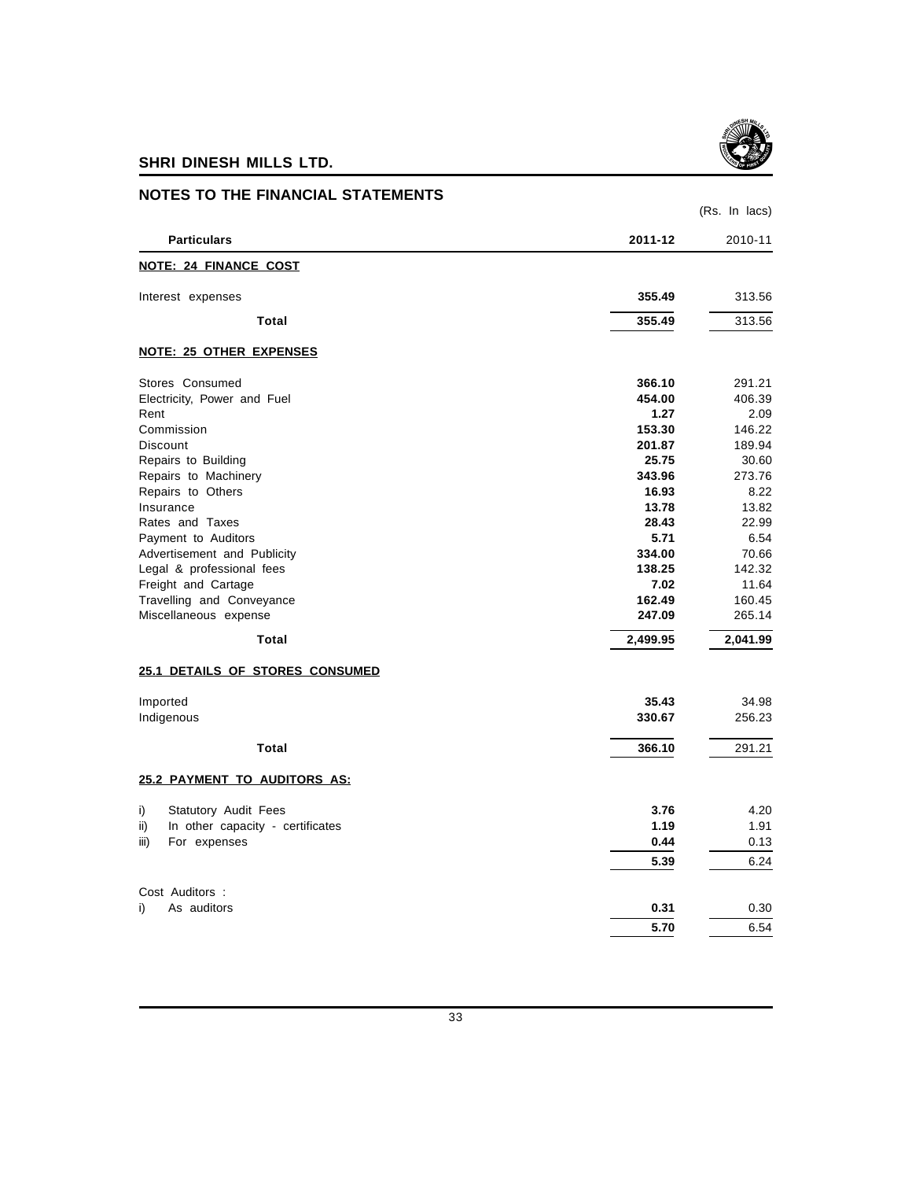

| NOTES TO THE FINANCIAL STATEMENTS                |                |                 |
|--------------------------------------------------|----------------|-----------------|
|                                                  |                | (Rs. In lacs)   |
| <b>Particulars</b>                               | 2011-12        | 2010-11         |
| <b>NOTE: 24 FINANCE COST</b>                     |                |                 |
| Interest expenses                                | 355.49         | 313.56          |
| <b>Total</b>                                     | 355.49         | 313.56          |
| <b>NOTE: 25 OTHER EXPENSES</b>                   |                |                 |
| Stores Consumed                                  | 366.10         | 291.21          |
| Electricity, Power and Fuel                      | 454.00         | 406.39          |
| Rent                                             | 1.27           | 2.09            |
| Commission                                       | 153.30         | 146.22          |
| Discount                                         | 201.87         | 189.94          |
| Repairs to Building                              | 25.75          | 30.60           |
| Repairs to Machinery                             | 343.96         | 273.76          |
| Repairs to Others                                | 16.93          | 8.22            |
| Insurance                                        | 13.78          | 13.82           |
| Rates and Taxes                                  | 28.43          | 22.99           |
| Payment to Auditors                              | 5.71           | 6.54            |
| Advertisement and Publicity                      | 334.00         | 70.66           |
| Legal & professional fees                        | 138.25<br>7.02 | 142.32<br>11.64 |
| Freight and Cartage<br>Travelling and Conveyance | 162.49         | 160.45          |
| Miscellaneous expense                            | 247.09         | 265.14          |
|                                                  |                |                 |
| <b>Total</b>                                     | 2,499.95       | 2,041.99        |
| <b>25.1 DETAILS OF STORES CONSUMED</b>           |                |                 |
| Imported                                         | 35.43          | 34.98           |
| Indigenous                                       | 330.67         | 256.23          |
| <b>Total</b>                                     | 366.10         | 291.21          |
| <b>25.2 PAYMENT TO AUDITORS AS:</b>              |                |                 |
| Statutory Audit Fees<br>i)                       | 3.76           | 4.20            |
| ii)<br>In other capacity - certificates          | 1.19           | 1.91            |
| For expenses<br>iii)                             | 0.44           | 0.13            |
|                                                  | 5.39           | 6.24            |
| Cost Auditors :                                  |                |                 |
| As auditors<br>i)                                | 0.31           | 0.30            |
|                                                  | 5.70           | 6.54            |
|                                                  |                |                 |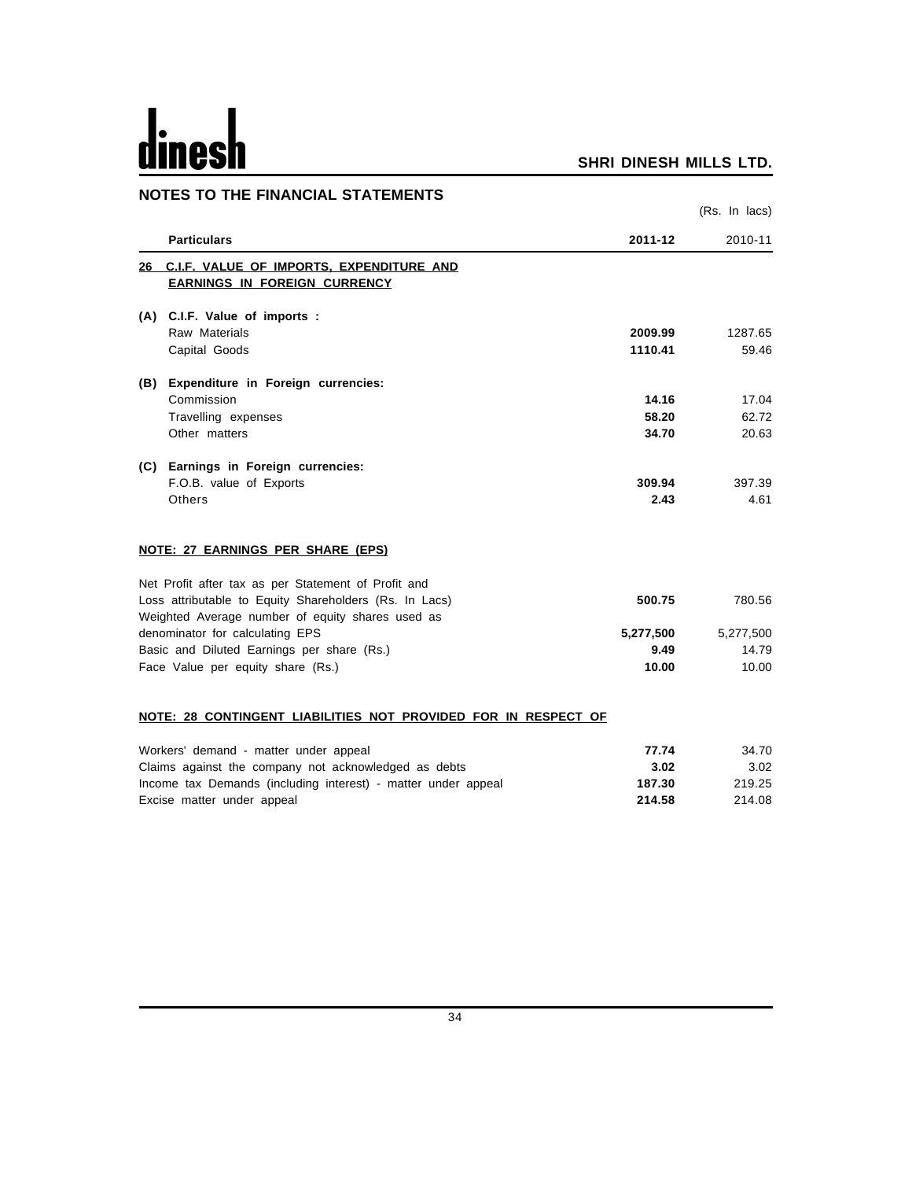# <u>dinesh</u>

| <b>NOTES TO THE FINANCIAL STATEMENTS</b>                                                                   |           |               |
|------------------------------------------------------------------------------------------------------------|-----------|---------------|
|                                                                                                            |           | (Rs. In lacs) |
| <b>Particulars</b>                                                                                         | 2011-12   | 2010-11       |
| 26 C.I.F. VALUE OF IMPORTS, EXPENDITURE AND<br><b>EARNINGS IN FOREIGN CURRENCY</b>                         |           |               |
| (A) C.I.F. Value of imports :                                                                              |           |               |
| Raw Materials                                                                                              | 2009.99   | 1287.65       |
| Capital Goods                                                                                              | 1110.41   | 59.46         |
| (B) Expenditure in Foreign currencies:                                                                     |           |               |
| Commission                                                                                                 | 14.16     | 17.04         |
| Travelling expenses                                                                                        | 58.20     | 62.72         |
| Other matters                                                                                              | 34.70     | 20.63         |
| (C) Earnings in Foreign currencies:                                                                        |           |               |
| F.O.B. value of Exports                                                                                    | 309.94    | 397.39        |
| Others                                                                                                     | 2.43      | 4.61          |
| NOTE: 27 EARNINGS PER SHARE (EPS)                                                                          |           |               |
| Net Profit after tax as per Statement of Profit and                                                        |           |               |
| Loss attributable to Equity Shareholders (Rs. In Lacs)<br>Weighted Average number of equity shares used as | 500.75    | 780.56        |
| denominator for calculating EPS                                                                            | 5,277,500 | 5,277,500     |
| Basic and Diluted Earnings per share (Rs.)                                                                 | 9.49      | 14.79         |
| Face Value per equity share (Rs.)                                                                          | 10.00     | 10.00         |
| NOTE: 28 CONTINGENT LIABILITIES NOT PROVIDED FOR IN RESPECT OF                                             |           |               |
| Workers' demand - matter under appeal                                                                      | 77.74     | 34.70         |
| Claims against the company not acknowledged as debts                                                       | 3.02      | 3.02          |
| Income tax Demands (including interest) - matter under appeal                                              | 187.30    | 219.25        |
| Excise matter under appeal                                                                                 | 214.58    | 214.08        |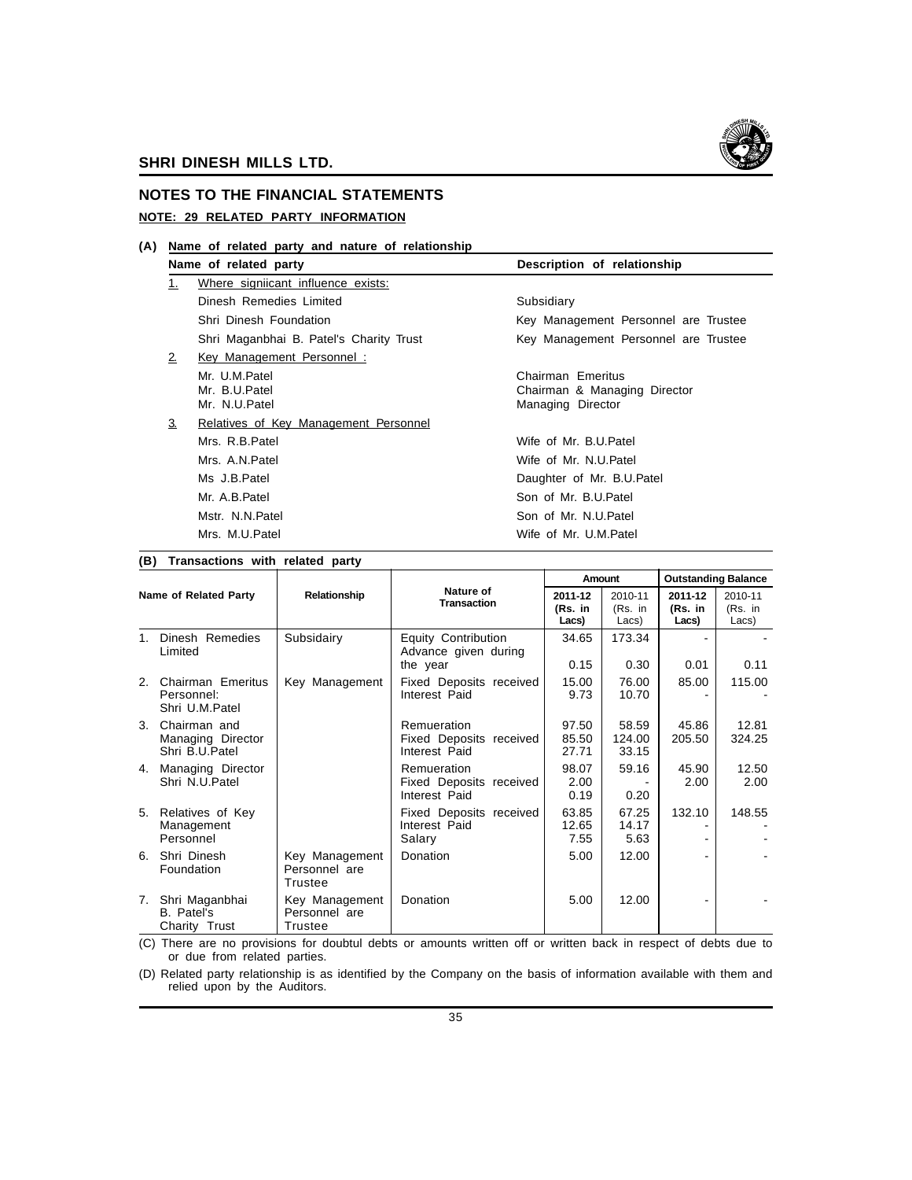

## **NOTES TO THE FINANCIAL STATEMENTS NOTE: 29 RELATED PARTY INFORMATION**

### **(A) Name of related party and nature of relationship**

|                | Name of related party                           | Description of relationship                                            |
|----------------|-------------------------------------------------|------------------------------------------------------------------------|
| 1.             | Where signiicant influence exists:              |                                                                        |
|                | Dinesh Remedies Limited                         | Subsidiary                                                             |
|                | Shri Dinesh Foundation                          | Key Management Personnel are Trustee                                   |
|                | Shri Maganbhai B. Patel's Charity Trust         | Key Management Personnel are Trustee                                   |
| 2.             | Key Management Personnel:                       |                                                                        |
|                | Mr. U.M.Patel<br>Mr. B.U.Patel<br>Mr. N.U.Patel | Chairman Emeritus<br>Chairman & Managing Director<br>Managing Director |
| 3 <sub>1</sub> | Relatives of Key Management Personnel           |                                                                        |
|                | Mrs. R.B.Patel                                  | Wife of Mr. B.U. Patel                                                 |
|                | Mrs. A.N.Patel                                  | Wife of Mr. N.U. Patel                                                 |
|                | Ms J.B.Patel                                    | Daughter of Mr. B.U.Patel                                              |
|                | Mr. A.B.Patel                                   | Son of Mr. B.U.Patel                                                   |
|                | Mstr. N.N.Patel                                 | Son of Mr. N.U.Patel                                                   |
|                | Mrs. M.U.Patel                                  | Wife of Mr. U.M.Patel                                                  |

### **(B) Transactions with related party**

| Name of Related Party |                                                     |                                            |                                                                | Amount                  |                               | <b>Outstanding Balance</b>  |                               |
|-----------------------|-----------------------------------------------------|--------------------------------------------|----------------------------------------------------------------|-------------------------|-------------------------------|-----------------------------|-------------------------------|
|                       |                                                     | Relationship                               | Nature of<br><b>Transaction</b>                                |                         | 2010-11<br>$(Rs.$ in<br>Lacs) | 2011-12<br>(Rs. in<br>Lacs) | 2010-11<br>$(Rs.$ in<br>Lacs) |
| 1.                    | Dinesh Remedies<br>Limited                          | Subsidairy                                 | <b>Equity Contribution</b><br>Advance given during<br>the year | 34.65<br>0.15           | 173.34<br>0.30                | 0.01                        | 0.11                          |
| 2.                    | Chairman Emeritus<br>Personnel:<br>Shri U.M.Patel   | Key Management                             | Fixed Deposits received<br>Interest Paid                       | 15.00<br>9.73           | 76.00<br>10.70                | 85.00                       | 115.00                        |
| 3.                    | Chairman and<br>Managing Director<br>Shri B.U.Patel |                                            | Remueration<br>Fixed Deposits received<br>Interest Paid        | 97.50<br>85.50<br>27.71 | 58.59<br>124.00<br>33.15      | 45.86<br>205.50             | 12.81<br>324.25               |
| 4.                    | Managing Director<br>Shri N.U.Patel                 |                                            | Remueration<br>Fixed Deposits received<br>Interest Paid        | 98.07<br>2.00<br>0.19   | 59.16<br>0.20                 | 45.90<br>2.00               | 12.50<br>2.00                 |
| 5.                    | Relatives of Key<br>Management<br>Personnel         |                                            | Fixed Deposits received<br>Interest Paid<br>Salary             | 63.85<br>12.65<br>7.55  | 67.25<br>14.17<br>5.63        | 132.10                      | 148.55                        |
| 6.                    | Shri Dinesh<br>Foundation                           | Key Management<br>Personnel are<br>Trustee | Donation                                                       | 5.00                    | 12.00                         |                             |                               |
| 7.                    | Shri Maganbhai<br>B. Patel's<br>Charity Trust       | Key Management<br>Personnel are<br>Trustee | Donation                                                       | 5.00                    | 12.00                         |                             |                               |

(C) There are no provisions for doubtul debts or amounts written off or written back in respect of debts due to or due from related parties.

(D) Related party relationship is as identified by the Company on the basis of information available with them and relied upon by the Auditors.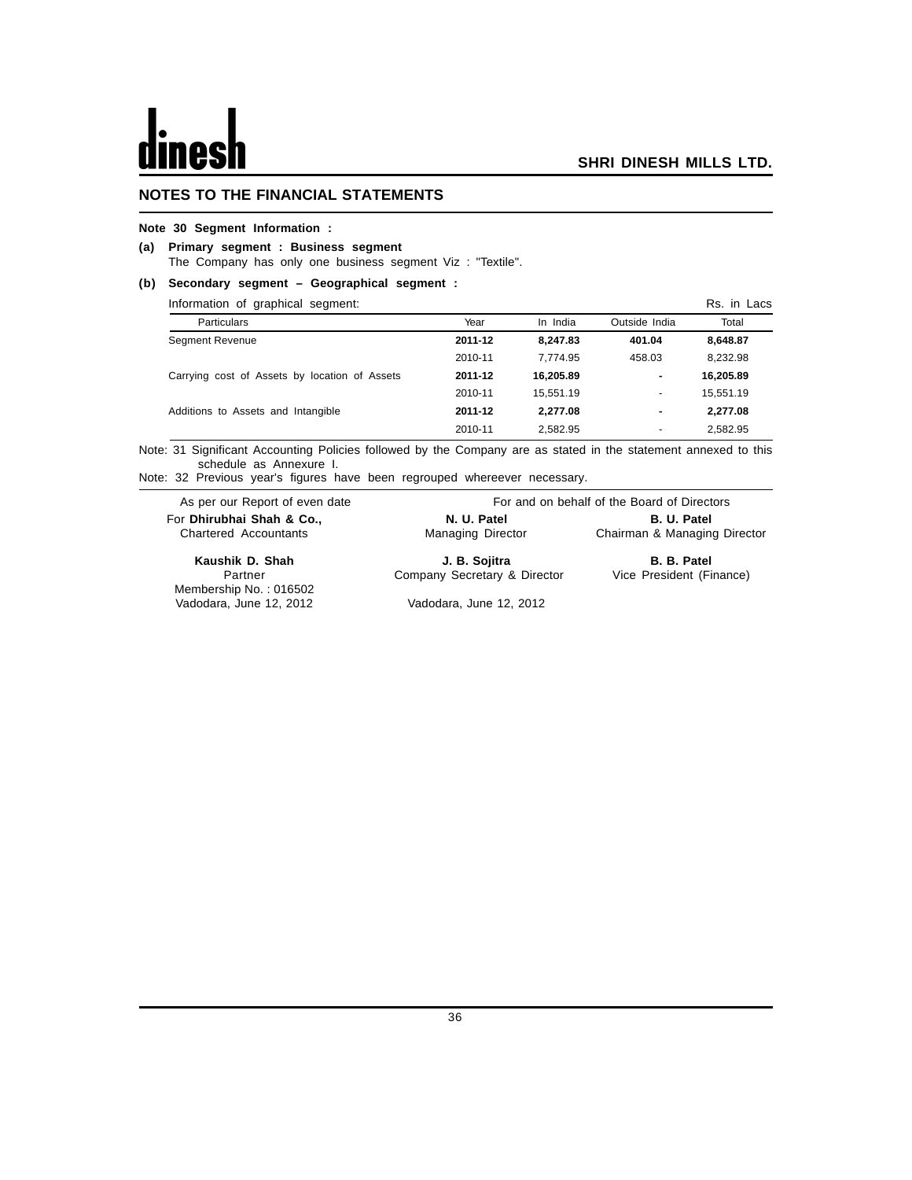### **NOTES TO THE FINANCIAL STATEMENTS**

### **Note 30 Segment Information :**

### **(a) Primary segment : Business segment**

The Company has only one business segment Viz : "Textile".

### **(b) Secondary segment – Geographical segment :**

| Information of graphical segment:             | Rs. in Lacs |           |                          |           |
|-----------------------------------------------|-------------|-----------|--------------------------|-----------|
| <b>Particulars</b>                            | Year        | In India  | Outside India            | Total     |
| Segment Revenue                               | 2011-12     | 8.247.83  | 401.04                   | 8,648.87  |
|                                               | 2010-11     | 7.774.95  | 458.03                   | 8.232.98  |
| Carrying cost of Assets by location of Assets | 2011-12     | 16.205.89 | ۰                        | 16,205.89 |
|                                               | 2010-11     | 15.551.19 | $\overline{\phantom{a}}$ | 15.551.19 |
| Additions to Assets and Intangible            | 2011-12     | 2.277.08  | ۰                        | 2.277.08  |
|                                               | 2010-11     | 2,582.95  | ٠                        | 2.582.95  |

Note: 31 Significant Accounting Policies followed by the Company are as stated in the statement annexed to this schedule as Annexure I.

Note: 32 Previous year's figures have been regrouped whereever necessary.

As per our Report of even date For and on behalf of the Board of Directors For **Dhirubhai Shah & Co., Co., Ratel B. U. Patel B. U. Patel B. U. Patel B. U. Patel B. U. Patel B. U. Patel B. U. Patel B. U. Patel B. U. Patel B. U. Patel B. U. Patel B. D. Patel B. D. Patel B. D. Patel B. D. Patel B. D** 

**Kaushik D. Shah M. B. Sojitra J. B. Sojitra B. B. Patel**<br>Partner **B. B. Patel** Company Secretary & Director Vice President (Finance) Membership No. : 016502 Vadodara, June 12, 2012 Vadodara, June 12, 2012

Managing Director Chairman & Managing Director

Company Secretary & Director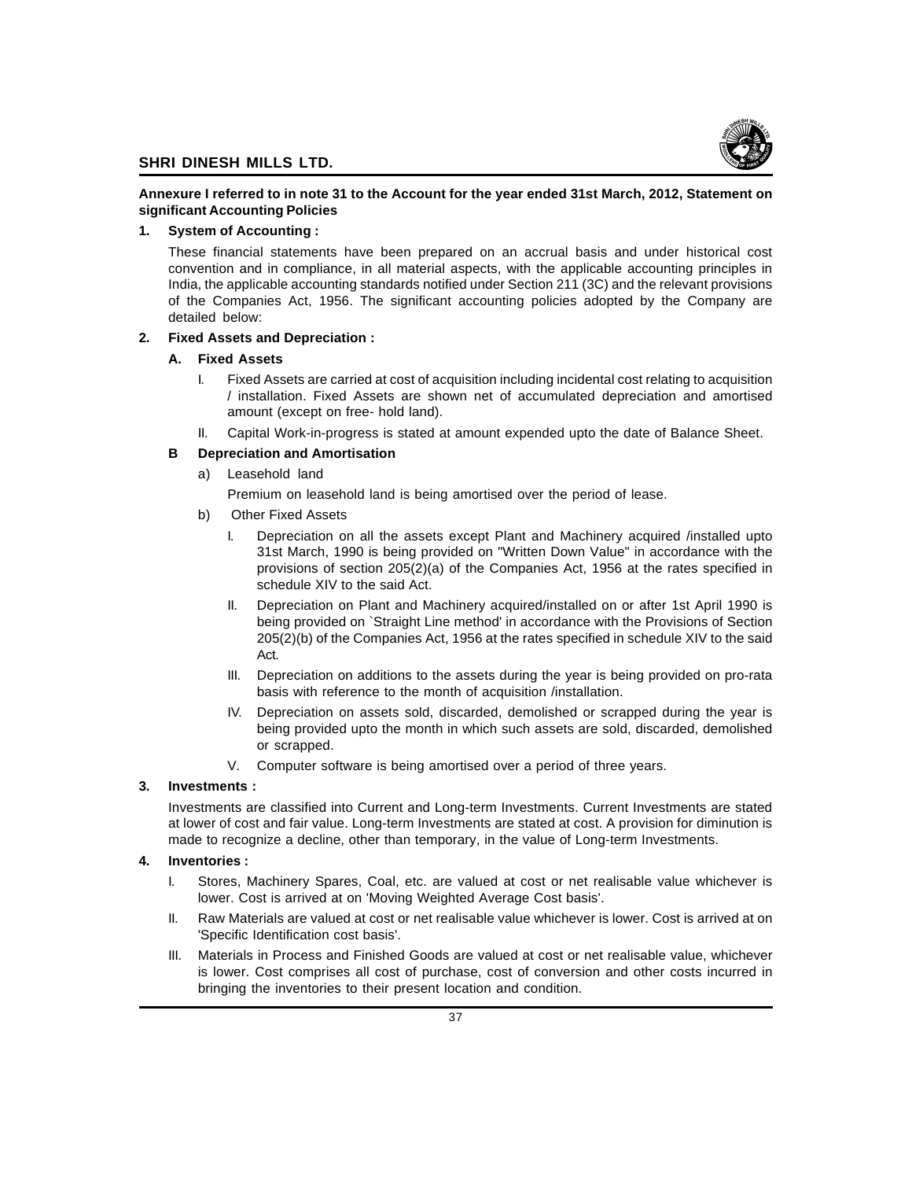

### **Annexure I referred to in note 31 to the Account for the year ended 31st March, 2012, Statement on significant Accounting Policies**

### **1. System of Accounting :**

These financial statements have been prepared on an accrual basis and under historical cost convention and in compliance, in all material aspects, with the applicable accounting principles in India, the applicable accounting standards notified under Section 211 (3C) and the relevant provisions of the Companies Act, 1956. The significant accounting policies adopted by the Company are detailed below:

### **2. Fixed Assets and Depreciation :**

### **A. Fixed Assets**

- I. Fixed Assets are carried at cost of acquisition including incidental cost relating to acquisition / installation. Fixed Assets are shown net of accumulated depreciation and amortised amount (except on free- hold land).
- II. Capital Work-in-progress is stated at amount expended upto the date of Balance Sheet.

### **B Depreciation and Amortisation**

a) Leasehold land

Premium on leasehold land is being amortised over the period of lease.

- b) Other Fixed Assets
	- I. Depreciation on all the assets except Plant and Machinery acquired /installed upto 31st March, 1990 is being provided on "Written Down Value" in accordance with the provisions of section 205(2)(a) of the Companies Act, 1956 at the rates specified in schedule XIV to the said Act.
	- II. Depreciation on Plant and Machinery acquired/installed on or after 1st April 1990 is being provided on `Straight Line method' in accordance with the Provisions of Section 205(2)(b) of the Companies Act, 1956 at the rates specified in schedule XIV to the said Act.
	- III. Depreciation on additions to the assets during the year is being provided on pro-rata basis with reference to the month of acquisition /installation.
	- IV. Depreciation on assets sold, discarded, demolished or scrapped during the year is being provided upto the month in which such assets are sold, discarded, demolished or scrapped.
	- V. Computer software is being amortised over a period of three years.

## **3. Investments :**

Investments are classified into Current and Long-term Investments. Current Investments are stated at lower of cost and fair value. Long-term Investments are stated at cost. A provision for diminution is made to recognize a decline, other than temporary, in the value of Long-term Investments.

## **4. Inventories :**

- I. Stores, Machinery Spares, Coal, etc. are valued at cost or net realisable value whichever is lower. Cost is arrived at on 'Moving Weighted Average Cost basis'.
- II. Raw Materials are valued at cost or net realisable value whichever is lower. Cost is arrived at on 'Specific Identification cost basis'.
- III. Materials in Process and Finished Goods are valued at cost or net realisable value, whichever is lower. Cost comprises all cost of purchase, cost of conversion and other costs incurred in bringing the inventories to their present location and condition.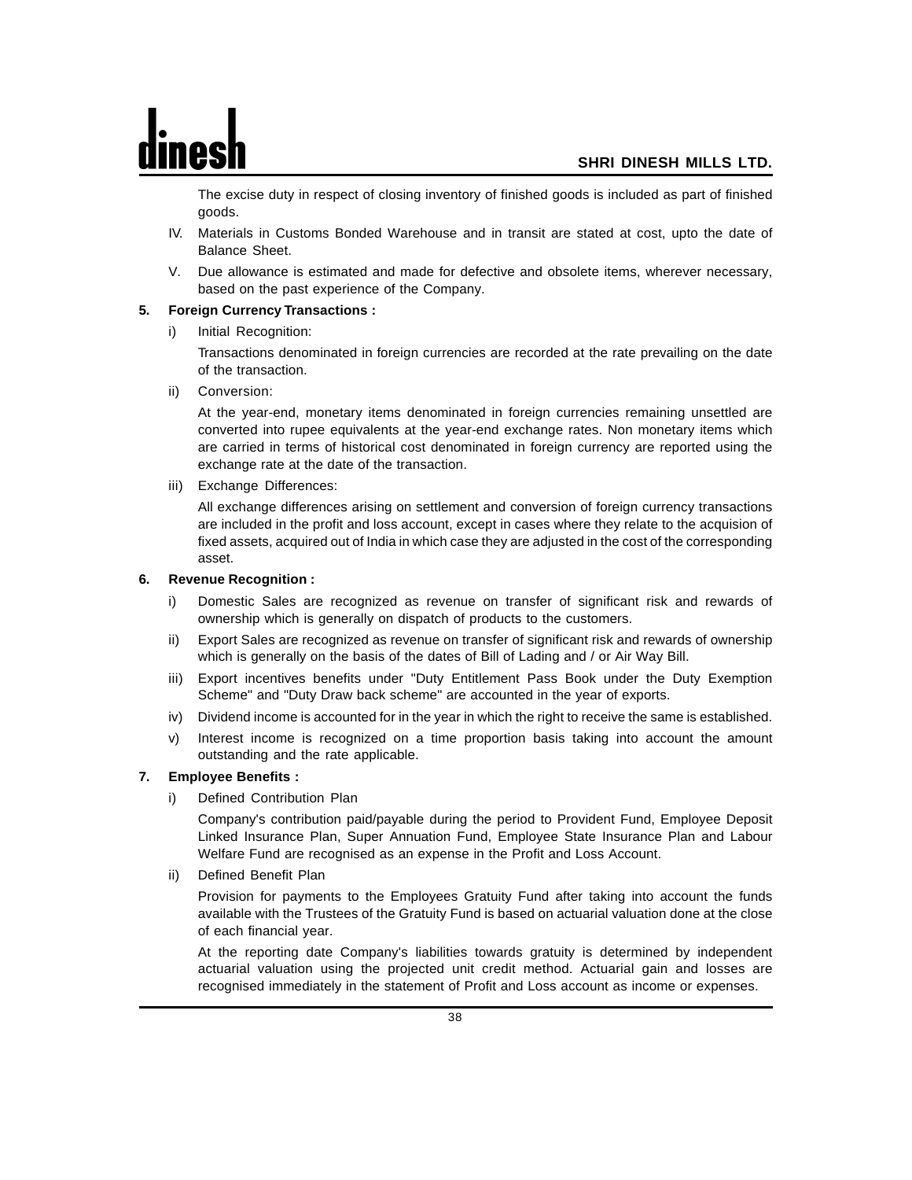The excise duty in respect of closing inventory of finished goods is included as part of finished goods.

- IV. Materials in Customs Bonded Warehouse and in transit are stated at cost, upto the date of Balance Sheet.
- V. Due allowance is estimated and made for defective and obsolete items, wherever necessary, based on the past experience of the Company.

## **5. Foreign Currency Transactions :**

i) Initial Recognition:

Transactions denominated in foreign currencies are recorded at the rate prevailing on the date of the transaction.

ii) Conversion:

At the year-end, monetary items denominated in foreign currencies remaining unsettled are converted into rupee equivalents at the year-end exchange rates. Non monetary items which are carried in terms of historical cost denominated in foreign currency are reported using the exchange rate at the date of the transaction.

iii) Exchange Differences:

All exchange differences arising on settlement and conversion of foreign currency transactions are included in the profit and loss account, except in cases where they relate to the acquision of fixed assets, acquired out of India in which case they are adjusted in the cost of the corresponding asset.

## **6. Revenue Recognition :**

- i) Domestic Sales are recognized as revenue on transfer of significant risk and rewards of ownership which is generally on dispatch of products to the customers.
- ii) Export Sales are recognized as revenue on transfer of significant risk and rewards of ownership which is generally on the basis of the dates of Bill of Lading and / or Air Way Bill.
- iii) Export incentives benefits under "Duty Entitlement Pass Book under the Duty Exemption Scheme" and "Duty Draw back scheme" are accounted in the year of exports.
- iv) Dividend income is accounted for in the year in which the right to receive the same is established.
- v) Interest income is recognized on a time proportion basis taking into account the amount outstanding and the rate applicable.

## **7. Employee Benefits :**

i) Defined Contribution Plan

Company's contribution paid/payable during the period to Provident Fund, Employee Deposit Linked Insurance Plan, Super Annuation Fund, Employee State Insurance Plan and Labour Welfare Fund are recognised as an expense in the Profit and Loss Account.

ii) Defined Benefit Plan

Provision for payments to the Employees Gratuity Fund after taking into account the funds available with the Trustees of the Gratuity Fund is based on actuarial valuation done at the close of each financial year.

At the reporting date Company's liabilities towards gratuity is determined by independent actuarial valuation using the projected unit credit method. Actuarial gain and losses are recognised immediately in the statement of Profit and Loss account as income or expenses.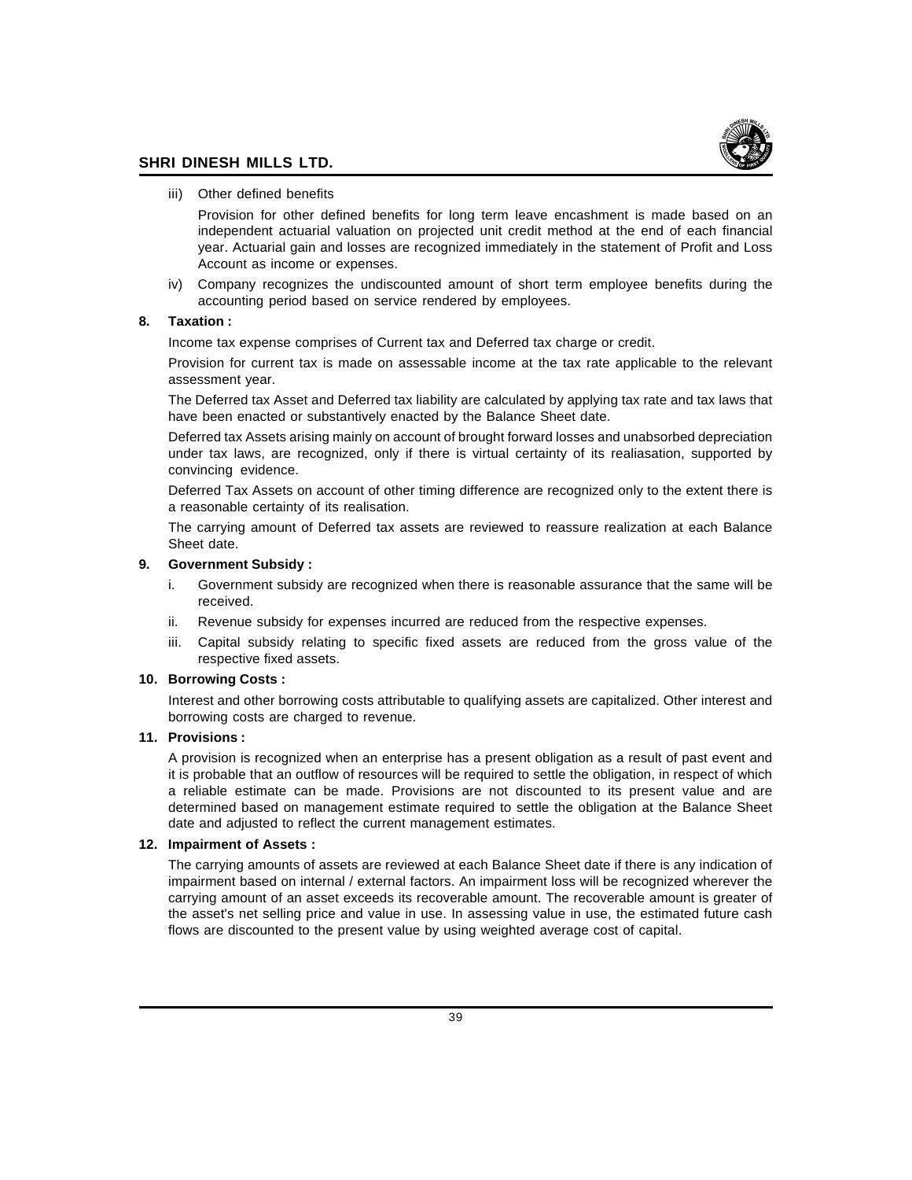

iii) Other defined benefits

Provision for other defined benefits for long term leave encashment is made based on an independent actuarial valuation on projected unit credit method at the end of each financial year. Actuarial gain and losses are recognized immediately in the statement of Profit and Loss Account as income or expenses.

iv) Company recognizes the undiscounted amount of short term employee benefits during the accounting period based on service rendered by employees.

### **8. Taxation :**

Income tax expense comprises of Current tax and Deferred tax charge or credit.

Provision for current tax is made on assessable income at the tax rate applicable to the relevant assessment year.

The Deferred tax Asset and Deferred tax liability are calculated by applying tax rate and tax laws that have been enacted or substantively enacted by the Balance Sheet date.

Deferred tax Assets arising mainly on account of brought forward losses and unabsorbed depreciation under tax laws, are recognized, only if there is virtual certainty of its realiasation, supported by convincing evidence.

Deferred Tax Assets on account of other timing difference are recognized only to the extent there is a reasonable certainty of its realisation.

The carrying amount of Deferred tax assets are reviewed to reassure realization at each Balance Sheet date.

### **9. Government Subsidy :**

- i. Government subsidy are recognized when there is reasonable assurance that the same will be received.
- ii. Revenue subsidy for expenses incurred are reduced from the respective expenses.
- iii. Capital subsidy relating to specific fixed assets are reduced from the gross value of the respective fixed assets.

### **10. Borrowing Costs :**

Interest and other borrowing costs attributable to qualifying assets are capitalized. Other interest and borrowing costs are charged to revenue.

## **11. Provisions :**

A provision is recognized when an enterprise has a present obligation as a result of past event and it is probable that an outflow of resources will be required to settle the obligation, in respect of which a reliable estimate can be made. Provisions are not discounted to its present value and are determined based on management estimate required to settle the obligation at the Balance Sheet date and adjusted to reflect the current management estimates.

### **12. Impairment of Assets :**

The carrying amounts of assets are reviewed at each Balance Sheet date if there is any indication of impairment based on internal / external factors. An impairment loss will be recognized wherever the carrying amount of an asset exceeds its recoverable amount. The recoverable amount is greater of the asset's net selling price and value in use. In assessing value in use, the estimated future cash flows are discounted to the present value by using weighted average cost of capital.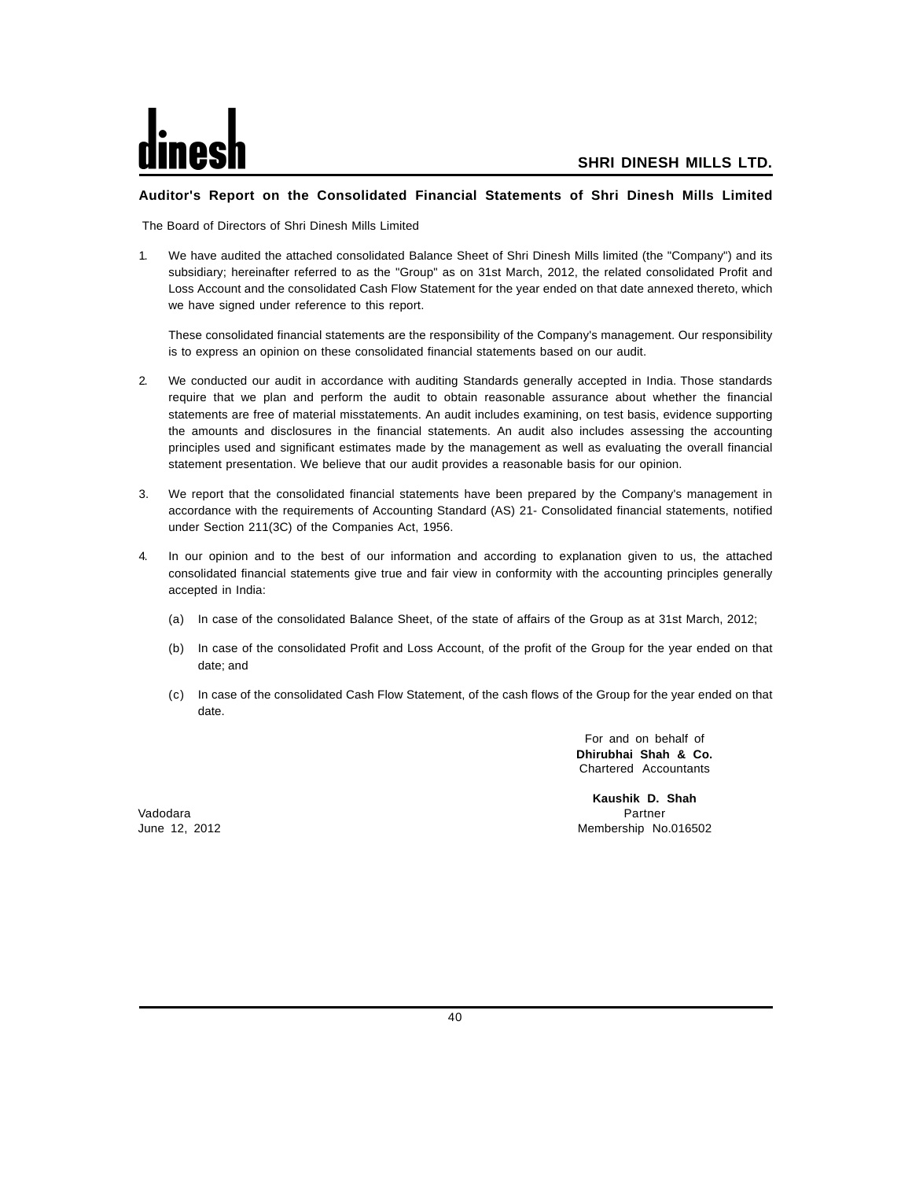### **Auditor's Report on the Consolidated Financial Statements of Shri Dinesh Mills Limited**

The Board of Directors of Shri Dinesh Mills Limited

1. We have audited the attached consolidated Balance Sheet of Shri Dinesh Mills limited (the "Company") and its subsidiary; hereinafter referred to as the "Group" as on 31st March, 2012, the related consolidated Profit and Loss Account and the consolidated Cash Flow Statement for the year ended on that date annexed thereto, which we have signed under reference to this report.

These consolidated financial statements are the responsibility of the Company's management. Our responsibility is to express an opinion on these consolidated financial statements based on our audit.

- 2. We conducted our audit in accordance with auditing Standards generally accepted in India. Those standards require that we plan and perform the audit to obtain reasonable assurance about whether the financial statements are free of material misstatements. An audit includes examining, on test basis, evidence supporting the amounts and disclosures in the financial statements. An audit also includes assessing the accounting principles used and significant estimates made by the management as well as evaluating the overall financial statement presentation. We believe that our audit provides a reasonable basis for our opinion.
- 3. We report that the consolidated financial statements have been prepared by the Company's management in accordance with the requirements of Accounting Standard (AS) 21- Consolidated financial statements, notified under Section 211(3C) of the Companies Act, 1956.
- 4. In our opinion and to the best of our information and according to explanation given to us, the attached consolidated financial statements give true and fair view in conformity with the accounting principles generally accepted in India:
	- (a) In case of the consolidated Balance Sheet, of the state of affairs of the Group as at 31st March, 2012;
	- (b) In case of the consolidated Profit and Loss Account, of the profit of the Group for the year ended on that date; and
	- (c) In case of the consolidated Cash Flow Statement, of the cash flows of the Group for the year ended on that date.

For and on behalf of **Dhirubhai Shah & Co.** Chartered Accountants

**Kaushik D. Shah** Vadodara Partner June 12, 2012 Membership No.016502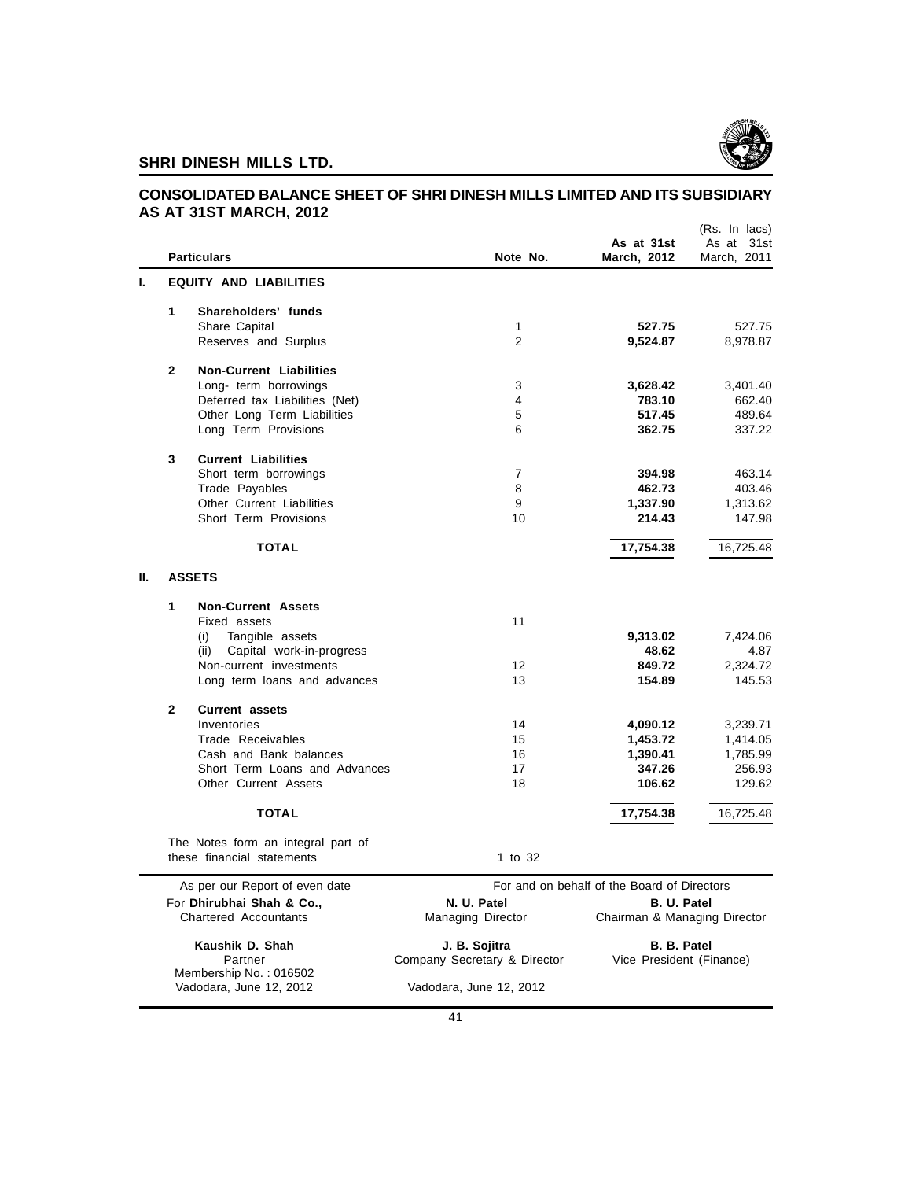

### **CONSOLIDATED BALANCE SHEET OF SHRI DINESH MILLS LIMITED AND ITS SUBSIDIARY AS AT 31ST MARCH, 2012**  $(D_0, \text{ln } \text{ln} \text{ln})$

|    |                                | <b>Particulars</b>                          | Note No.                                      | As at 31st<br>March, 2012                      | (Rs. In lacs)<br>As at<br>31st<br>March, 2011 |
|----|--------------------------------|---------------------------------------------|-----------------------------------------------|------------------------------------------------|-----------------------------------------------|
| L. | <b>EQUITY AND LIABILITIES</b>  |                                             |                                               |                                                |                                               |
|    | 1                              | Shareholders' funds                         |                                               |                                                |                                               |
|    |                                | Share Capital                               | 1                                             | 527.75                                         | 527.75                                        |
|    |                                | Reserves and Surplus                        | $\overline{2}$                                | 9,524.87                                       | 8,978.87                                      |
|    | $\mathbf{2}$                   | <b>Non-Current Liabilities</b>              |                                               |                                                |                                               |
|    |                                | Long- term borrowings                       | 3                                             | 3,628.42                                       | 3,401.40                                      |
|    |                                | Deferred tax Liabilities (Net)              | 4                                             | 783.10                                         | 662.40                                        |
|    |                                | Other Long Term Liabilities                 | 5                                             | 517.45                                         | 489.64                                        |
|    |                                | Long Term Provisions                        | 6                                             | 362.75                                         | 337.22                                        |
|    | 3                              | <b>Current Liabilities</b>                  |                                               |                                                |                                               |
|    |                                | Short term borrowings                       | $\overline{7}$<br>8                           | 394.98                                         | 463.14                                        |
|    |                                | Trade Payables<br>Other Current Liabilities | 9                                             | 462.73                                         | 403.46<br>1,313.62                            |
|    |                                | Short Term Provisions                       | 10                                            | 1,337.90<br>214.43                             | 147.98                                        |
|    |                                |                                             |                                               |                                                |                                               |
|    |                                | <b>TOTAL</b>                                |                                               | 17,754.38                                      | 16,725.48                                     |
| Ш. |                                | <b>ASSETS</b>                               |                                               |                                                |                                               |
|    | 1                              | <b>Non-Current Assets</b>                   |                                               |                                                |                                               |
|    |                                | Fixed assets                                | 11                                            |                                                |                                               |
|    |                                | (i)<br>Tangible assets                      |                                               | 9,313.02                                       | 7,424.06                                      |
|    |                                | (ii) Capital work-in-progress               |                                               | 48.62                                          | 4.87                                          |
|    |                                | Non-current investments                     | $12 \overline{ }$                             | 849.72                                         | 2,324.72                                      |
|    |                                | Long term loans and advances                | 13                                            | 154.89                                         | 145.53                                        |
|    | $\mathbf{2}$                   | <b>Current assets</b>                       |                                               |                                                |                                               |
|    |                                | Inventories<br>Trade Receivables            | 14<br>15                                      | 4,090.12                                       | 3,239.71                                      |
|    |                                | Cash and Bank balances                      | 16                                            | 1,453.72<br>1,390.41                           | 1,414.05<br>1,785.99                          |
|    |                                | Short Term Loans and Advances               | 17                                            | 347.26                                         | 256.93                                        |
|    |                                | <b>Other Current Assets</b>                 | 18                                            | 106.62                                         | 129.62                                        |
|    |                                | <b>TOTAL</b>                                |                                               | 17,754.38                                      | 16,725.48                                     |
|    |                                | The Notes form an integral part of          |                                               |                                                |                                               |
|    |                                | these financial statements                  | 1 to 32                                       |                                                |                                               |
|    | As per our Report of even date |                                             |                                               | For and on behalf of the Board of Directors    |                                               |
|    |                                | For Dhirubhai Shah & Co.,                   | N. U. Patel                                   | B. U. Patel                                    |                                               |
|    |                                | <b>Chartered Accountants</b>                | Managing Director                             | Chairman & Managing Director                   |                                               |
|    |                                | Kaushik D. Shah<br>Partner                  | J. B. Sojitra<br>Company Secretary & Director | <b>B. B. Patel</b><br>Vice President (Finance) |                                               |
|    |                                | Membership No.: 016502                      |                                               |                                                |                                               |
|    |                                | Vadodara, June 12, 2012                     | Vadodara, June 12, 2012                       |                                                |                                               |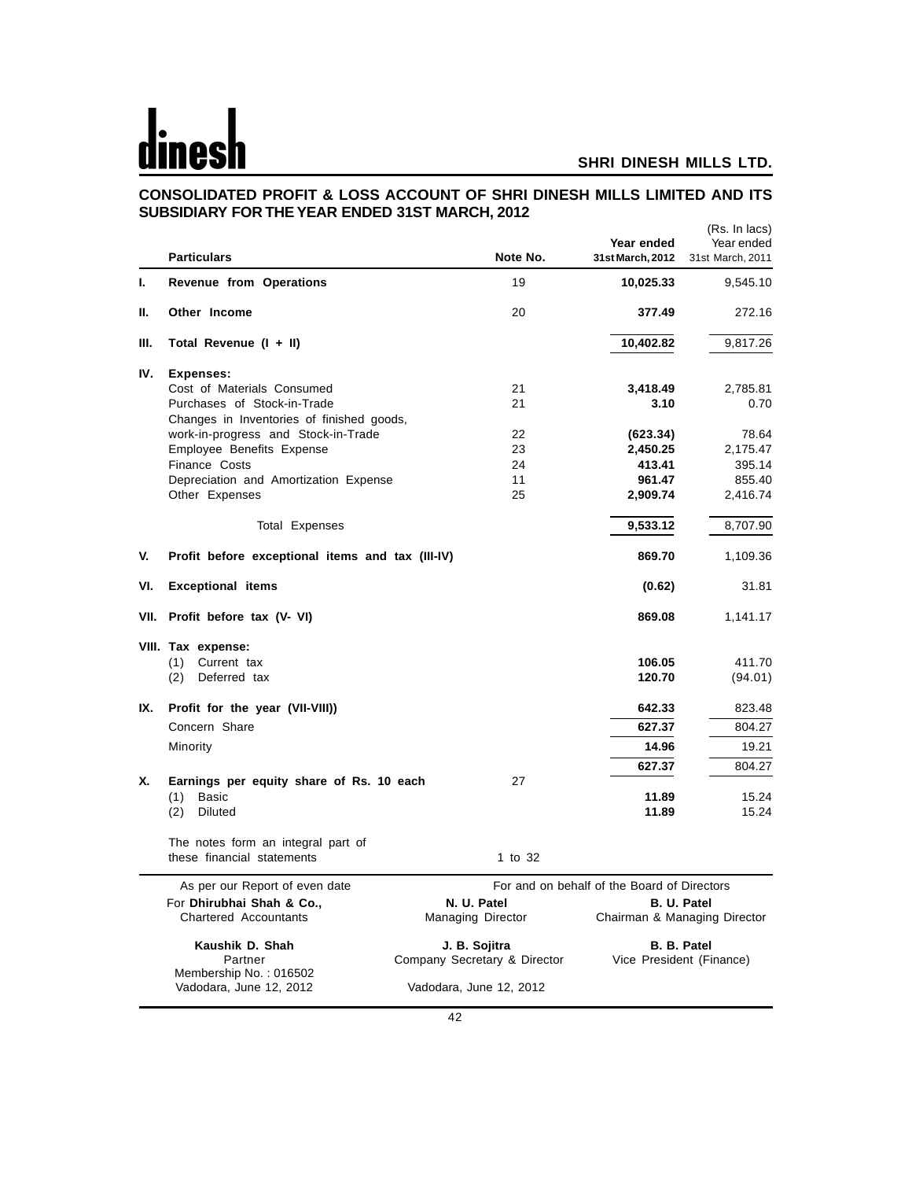# $\mathbf d$

## **SHRI DINESH MILLS LTD.**

### **CONSOLIDATED PROFIT & LOSS ACCOUNT OF SHRI DINESH MILLS LIMITED AND ITS SUBSIDIARY FOR THE YEAR ENDED 31ST MARCH, 2012**  $(D_0, \ln \ln \cos \theta)$

|     | <b>Particulars</b>                                               | Note No.                                                | Year ended<br>31st March, 2012              | (RS. In lacs)<br>Year ended<br>31st March, 2011 |
|-----|------------------------------------------------------------------|---------------------------------------------------------|---------------------------------------------|-------------------------------------------------|
| ı.  | <b>Revenue from Operations</b>                                   | 19                                                      | 10,025.33                                   | 9,545.10                                        |
| Н.  | Other Income                                                     | 20                                                      | 377.49                                      | 272.16                                          |
| Ш.  | Total Revenue (I + II)                                           |                                                         | 10,402.82                                   | 9,817.26                                        |
| IV. | <b>Expenses:</b>                                                 |                                                         |                                             |                                                 |
|     | Cost of Materials Consumed                                       | 21                                                      | 3,418.49                                    | 2,785.81                                        |
|     | Purchases of Stock-in-Trade                                      | 21                                                      | 3.10                                        | 0.70                                            |
|     | Changes in Inventories of finished goods,                        |                                                         |                                             |                                                 |
|     | work-in-progress and Stock-in-Trade                              | 22                                                      | (623.34)                                    | 78.64                                           |
|     | Employee Benefits Expense                                        | 23                                                      | 2,450.25                                    | 2,175.47                                        |
|     | Finance Costs                                                    | 24                                                      | 413.41                                      | 395.14                                          |
|     | Depreciation and Amortization Expense                            | 11                                                      | 961.47                                      | 855.40                                          |
|     | Other Expenses                                                   | 25                                                      | 2,909.74                                    | 2,416.74                                        |
|     | <b>Total Expenses</b>                                            |                                                         | 9,533.12                                    | 8,707.90                                        |
| V.  | Profit before exceptional items and tax (III-IV)                 |                                                         | 869.70                                      | 1,109.36                                        |
| VI. | <b>Exceptional items</b>                                         |                                                         | (0.62)                                      | 31.81                                           |
|     | VII. Profit before tax (V- VI)                                   |                                                         | 869.08                                      | 1,141.17                                        |
|     | VIII. Tax expense:                                               |                                                         |                                             |                                                 |
|     | Current tax<br>(1)                                               |                                                         | 106.05                                      | 411.70                                          |
|     | (2)<br>Deferred tax                                              |                                                         | 120.70                                      | (94.01)                                         |
| IX. | Profit for the year (VII-VIII))                                  |                                                         | 642.33                                      | 823.48                                          |
|     | Concern Share                                                    |                                                         | 627.37                                      | 804.27                                          |
|     | Minority                                                         |                                                         | 14.96                                       | 19.21                                           |
|     |                                                                  |                                                         | 627.37                                      | 804.27                                          |
| х.  | Earnings per equity share of Rs. 10 each                         | 27                                                      |                                             |                                                 |
|     | <b>Basic</b><br>(1)<br>(2)<br><b>Diluted</b>                     |                                                         | 11.89<br>11.89                              | 15.24<br>15.24                                  |
|     | The notes form an integral part of<br>these financial statements | 1 to 32                                                 |                                             |                                                 |
|     | As per our Report of even date                                   |                                                         | For and on behalf of the Board of Directors |                                                 |
|     | For Dhirubhai Shah & Co.,<br><b>Chartered Accountants</b>        | N. U. Patel<br>Managing Director                        |                                             | B. U. Patel<br>Chairman & Managing Director     |
|     | Kaushik D. Shah                                                  | J. B. Sojitra                                           |                                             | B. B. Patel                                     |
|     | Partner<br>Membership No.: 016502<br>Vadodara, June 12, 2012     | Company Secretary & Director<br>Vadodara, June 12, 2012 |                                             | Vice President (Finance)                        |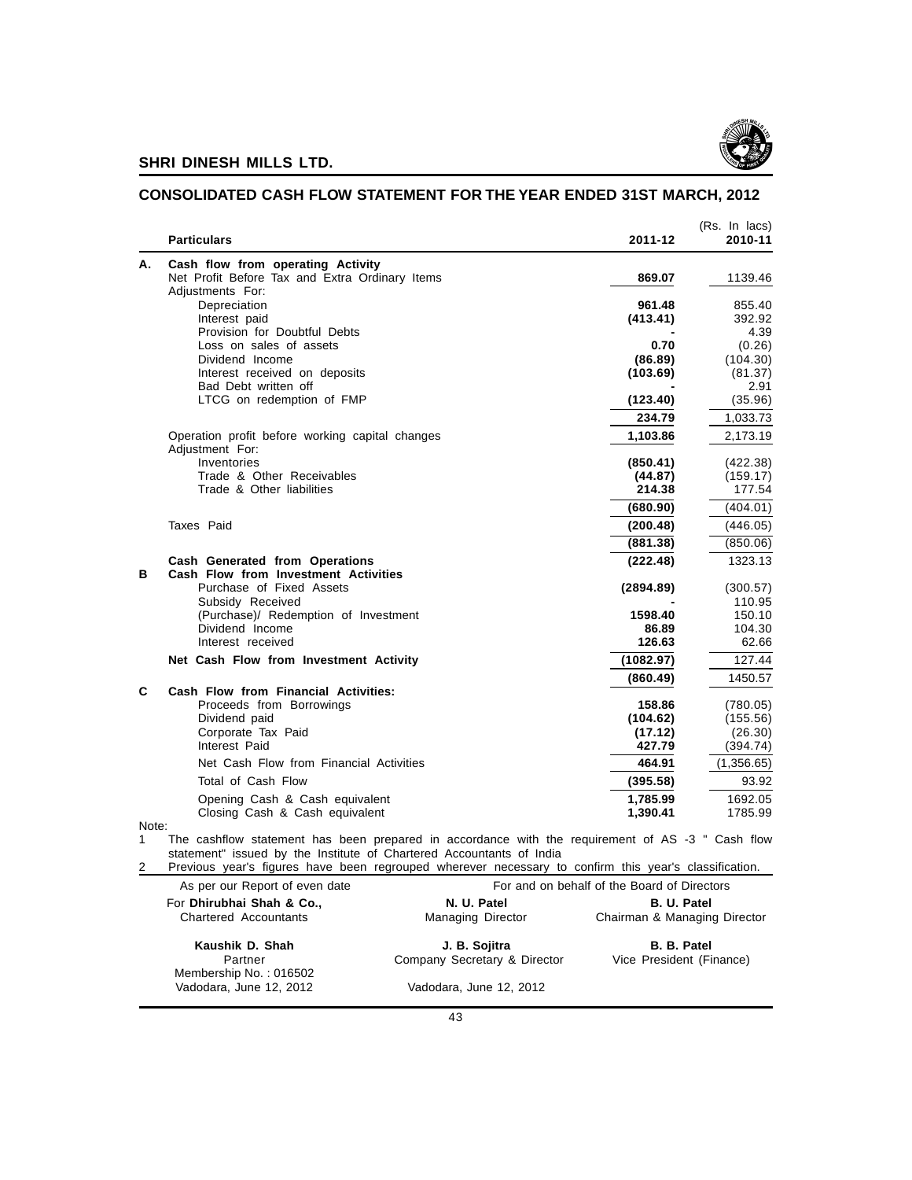

### (Rs. In lacs) **Particulars 2011-12 2010-11 A. Cash flow from operating Activity** Net Profit Before Tax and Extra Ordinary Items **869.07** 1139.46 Adjustments For: Depreciation **961.48** 855.40 Interest paid **(413.41)** 392.922.92 Provision for Doubtful Debts **4.39**<br>
Loss on sales of assets **1.4.39** (0.26) **1.4.39** Loss on sales of assets **0.70** (0.26)<br>Dividend Income **1.800 (0.26)** (104.30) (104.30) Dividend Income Interest received on deposits **(103.69)** (81.37) Bad Debt written off **and Debt written of the state of the state of the state of the state of the state of the state of the state of the state of the state of the state of the state of the state of the state of the state o** LTCG on redemption of FMP **(123.40)** (35.96) **234.79** 1,033.73 Operation profit before working capital changes **1,103.86** 2,173.19 Adjustment For: Inventories **(850.41)** (422.38) Trade & Other Receivables **(44.87)** (159.17) Trade & Other liabilities **214.38** 177.54 **(680.90)** (404.01) Taxes Paid **(200.48)** (446.05) **(881.38)** (850.06) **Cash Generated from Operations (222.48)** 1323.13 **B Cash Flow from Investment Activities** Purchase of Fixed Assets **(2894.89)** (300.57) Subsidy Received<br>
(Purchase) Redemotion of Investment<br>
150.10<br>
150.10<br>
150.10 (Purchase)/ Redemption of Investment **1598.40** 150.10 Dividend Income Interest received **126.63** 62.66 **Net Cash Flow from Investment Activity (1082.97)** 127.44 **(860.49)** 1450.57 **C Cash Flow from Financial Activities:** Proceeds from Borrowings **158.86** (780.05) Dividend paid **(104.62)** (155.56) Corporate Tax Paid **(17.12)** (26.30) Interest Paid **427.79** (394.74) Net Cash Flow from Financial Activities **464.91** (1,356.65) Total of Cash Flow **(395.58)** 93.92 Opening Cash & Cash equivalent **1,785.99** 1692.05 Closing Cash & Cash equivalent **1,390.41** 1785.99 Note:

**CONSOLIDATED CASH FLOW STATEMENT FOR THE YEAR ENDED 31ST MARCH, 2012**

1 The cashflow statement has been prepared in accordance with the requirement of AS -3 " Cash flow statement" issued by the Institute of Chartered Accountants of India

|  |  |  |  |  |  | Previous year's figures have been regrouped wherever necessary to confirm this year's classification. |  |
|--|--|--|--|--|--|-------------------------------------------------------------------------------------------------------|--|
|  |  |  |  |  |  |                                                                                                       |  |

| As per our Report of even date    | For and on behalf of the Board of Directors |                              |  |  |  |
|-----------------------------------|---------------------------------------------|------------------------------|--|--|--|
| For Dhirubhai Shah & Co.,         | N. U. Patel                                 | B. U. Patel                  |  |  |  |
| <b>Chartered Accountants</b>      | <b>Managing Director</b>                    | Chairman & Managing Director |  |  |  |
| Kaushik D. Shah                   | J. B. Sojitra                               | <b>B. B. Patel</b>           |  |  |  |
| Partner<br>Membership No.: 016502 | Company Secretary & Director                | Vice President (Finance)     |  |  |  |
| Vadodara, June 12, 2012           | Vadodara, June 12, 2012                     |                              |  |  |  |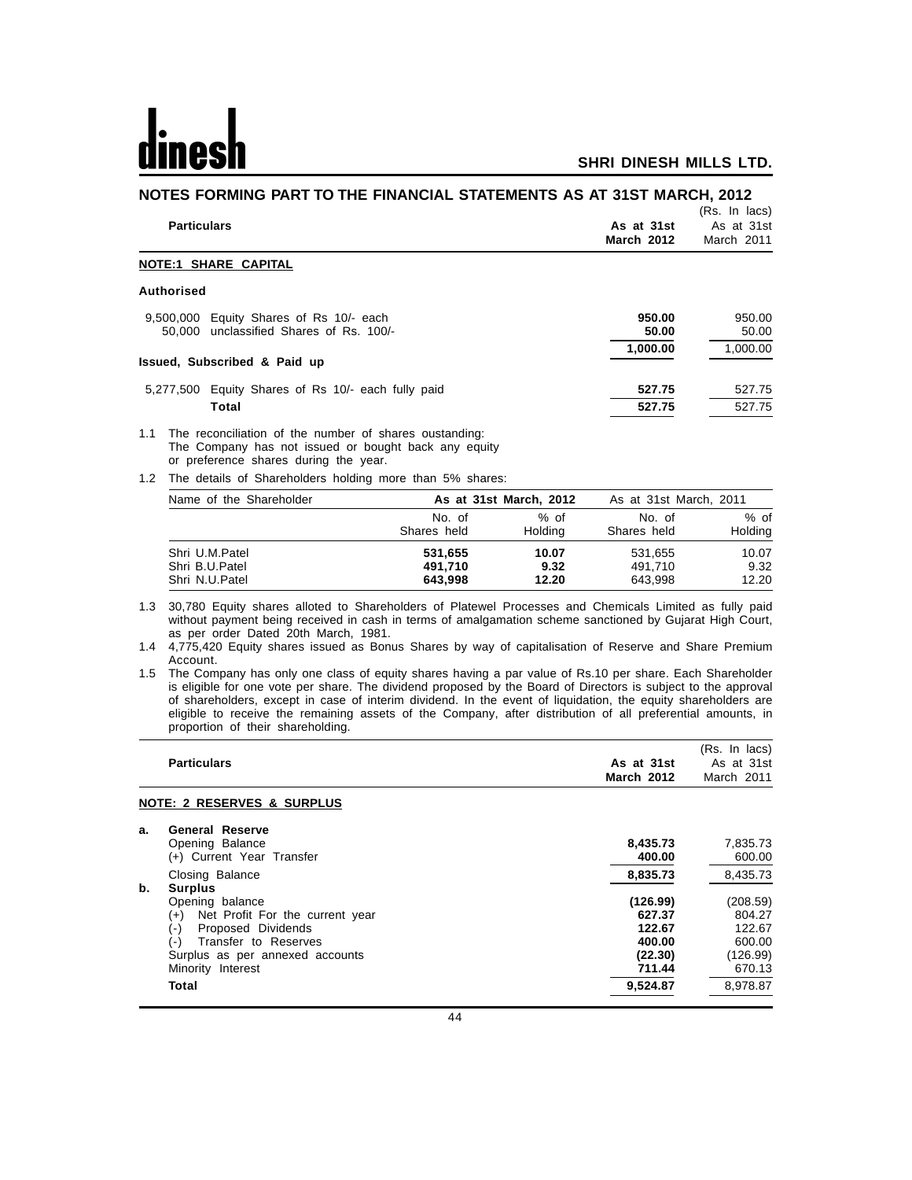# **dinesh**

## **SHRI DINESH MILLS LTD.**

|            | NOTES FORMING PART TO THE FINANCIAL STATEMENTS AS AT 31ST MARCH, 2012                                                                                                                                                                                      |                               |                        |                                 |                                           |
|------------|------------------------------------------------------------------------------------------------------------------------------------------------------------------------------------------------------------------------------------------------------------|-------------------------------|------------------------|---------------------------------|-------------------------------------------|
|            | <b>Particulars</b>                                                                                                                                                                                                                                         |                               |                        | As at 31st<br><b>March 2012</b> | (Rs. In lacs)<br>As at 31st<br>March 2011 |
|            | <b>NOTE:1 SHARE CAPITAL</b>                                                                                                                                                                                                                                |                               |                        |                                 |                                           |
|            | <b>Authorised</b>                                                                                                                                                                                                                                          |                               |                        |                                 |                                           |
|            | 9,500,000 Equity Shares of Rs 10/- each<br>50,000 unclassified Shares of Rs. 100/-                                                                                                                                                                         |                               |                        | 950.00<br>50.00                 | 950.00<br>50.00                           |
|            | Issued, Subscribed & Paid up                                                                                                                                                                                                                               |                               |                        | 1,000.00                        | 1,000.00                                  |
|            | 5,277,500 Equity Shares of Rs 10/- each fully paid<br>Total                                                                                                                                                                                                |                               |                        | 527.75<br>527.75                | 527.75<br>527.75                          |
| 1.1<br>1.2 | The reconciliation of the number of shares oustanding:<br>The Company has not issued or bought back any equity<br>or preference shares during the year.<br>The details of Shareholders holding more than 5% shares:                                        |                               |                        |                                 |                                           |
|            | Name of the Shareholder                                                                                                                                                                                                                                    | As at 31st March, 2012        |                        |                                 | As at 31st March, 2011                    |
|            |                                                                                                                                                                                                                                                            | No. of<br>Shares held         | $%$ of<br>Holding      | No. of<br>Shares held           | $%$ of<br>Holding                         |
|            | Shri U.M.Patel<br>Shri B.U.Patel<br>Shri N.U.Patel                                                                                                                                                                                                         | 531,655<br>491,710<br>643,998 | 10.07<br>9.32<br>12.20 | 531,655<br>491,710<br>643,998   | 10.07<br>9.32<br>12.20                    |
| 1.3        | 30,780 Equity shares alloted to Shareholders of Platewel Processes and Chemicals Limited as fully paid<br>without payment being received in cash in terms of amalgamation scheme sanctioned by Gujarat High Court,<br>as per order Dated 20th March, 1981. |                               |                        |                                 |                                           |
| 1.4        | 4,775,420 Equity shares issued as Bonus Shares by way of capitalisation of Reserve and Share Premium<br>Account.                                                                                                                                           |                               |                        |                                 |                                           |
| 1.5        | The Company has only one class of equity shares having a par value of Rs.10 per share. Each Shareholder                                                                                                                                                    |                               |                        |                                 |                                           |

is eligible for one vote per share. The dividend proposed by the Board of Directors is subject to the approval of shareholders, except in case of interim dividend. In the event of liquidation, the equity shareholders are eligible to receive the remaining assets of the Company, after distribution of all preferential amounts, in proportion of their shareholding.

|    | <b>Particulars</b>                                                                                                                                                              | As at 31st<br><b>March 2012</b>                             | (Rs. In lacs)<br>As at 31st<br>March 2011                    |
|----|---------------------------------------------------------------------------------------------------------------------------------------------------------------------------------|-------------------------------------------------------------|--------------------------------------------------------------|
|    | <b>NOTE: 2 RESERVES &amp; SURPLUS</b>                                                                                                                                           |                                                             |                                                              |
| а. | <b>General Reserve</b><br>Opening Balance<br>(+) Current Year Transfer                                                                                                          | 8,435.73<br>400.00                                          | 7,835.73<br>600.00                                           |
| b. | Closing Balance<br><b>Surplus</b>                                                                                                                                               | 8,835.73                                                    | 8,435.73                                                     |
|    | Opening balance<br>Net Profit For the current year<br>$(+)$<br>Proposed Dividends<br>(-)<br>Transfer to Reserves<br>(-)<br>Surplus as per annexed accounts<br>Minority Interest | (126.99)<br>627.37<br>122.67<br>400.00<br>(22.30)<br>711.44 | (208.59)<br>804.27<br>122.67<br>600.00<br>(126.99)<br>670.13 |
|    | Total                                                                                                                                                                           | 9,524.87                                                    | 8.978.87                                                     |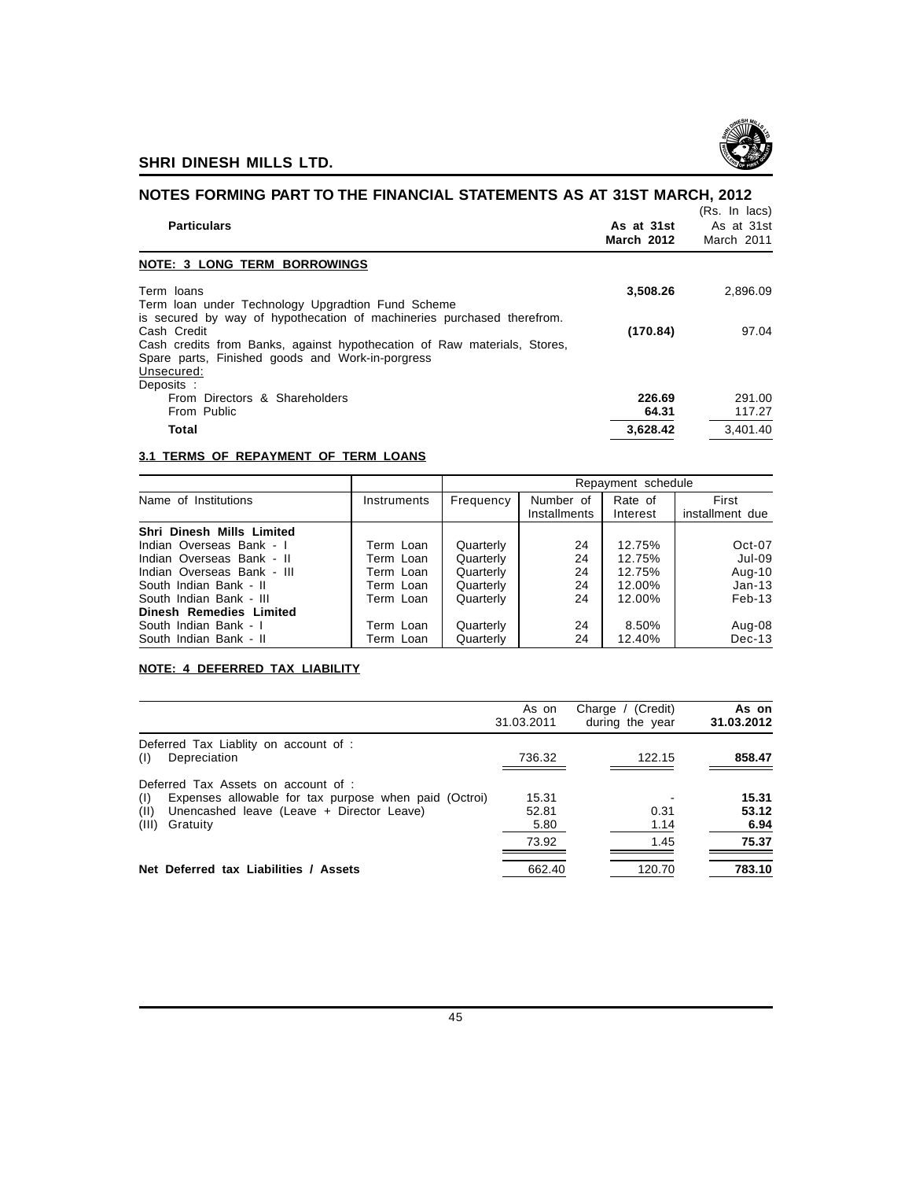

| NOTES FORMING PART TO THE FINANCIAL STATEMENTS AS AT 31ST MARCH, 2012                 |            |                             |  |  |  |
|---------------------------------------------------------------------------------------|------------|-----------------------------|--|--|--|
| <b>Particulars</b>                                                                    | As at 31st | (Rs. In lacs)<br>As at 31st |  |  |  |
|                                                                                       | March 2012 | March 2011                  |  |  |  |
| <b>NOTE: 3 LONG TERM BORROWINGS</b>                                                   |            |                             |  |  |  |
| Term loans                                                                            | 3,508.26   | 2,896.09                    |  |  |  |
| Term loan under Technology Upgradtion Fund Scheme                                     |            |                             |  |  |  |
| is secured by way of hypothecation of machineries purchased therefrom.<br>Cash Credit | (170.84)   | 97.04                       |  |  |  |
| Cash credits from Banks, against hypothecation of Raw materials, Stores,              |            |                             |  |  |  |
| Spare parts, Finished goods and Work-in-porgress                                      |            |                             |  |  |  |
| Unsecured:                                                                            |            |                             |  |  |  |
| Deposits :<br>From Directors & Shareholders                                           | 226.69     | 291.00                      |  |  |  |
| From Public                                                                           | 64.31      | 117.27                      |  |  |  |
| Total                                                                                 | 3.628.42   | 3.401.40                    |  |  |  |
|                                                                                       |            |                             |  |  |  |

### **3.1 TERMS OF REPAYMENT OF TERM LOANS**

|                            |             |           |                           | Repayment schedule  |                          |
|----------------------------|-------------|-----------|---------------------------|---------------------|--------------------------|
| Name of Institutions       | Instruments | Frequency | Number of<br>Installments | Rate of<br>Interest | First<br>installment due |
| Shri Dinesh Mills Limited  |             |           |                           |                     |                          |
| Indian Overseas Bank - I   | Term Loan   | Quarterly | 24                        | 12.75%              | $Oct-07$                 |
| Indian Overseas Bank - II  | Term Loan   | Quarterly | 24                        | 12.75%              | Jul-09                   |
| Indian Overseas Bank - III | Term Loan   | Quarterly | 24                        | 12.75%              | Aug-10                   |
| South Indian Bank - II     | Term Loan   | Quarterly | 24                        | 12.00%              | $Jan-13$                 |
| South Indian Bank - III    | Term Loan   | Quarterly | 24                        | 12.00%              | $Feb-13$                 |
| Dinesh Remedies Limited    |             |           |                           |                     |                          |
| South Indian Bank - I      | Term Loan   | Quarterly | 24                        | 8.50%               | Aug-08                   |
| South Indian Bank - II     | Term Loan   | Quarterly | 24                        | 12.40%              | $Dec-13$                 |

## **NOTE: 4 DEFERRED TAX LIABILITY**

|                                                                                                                                                                               | As on<br>31.03.2011             | Charge / (Credit)<br>during the year | As on<br>31.03.2012             |
|-------------------------------------------------------------------------------------------------------------------------------------------------------------------------------|---------------------------------|--------------------------------------|---------------------------------|
| Deferred Tax Liablity on account of :<br>Depreciation<br>(1)                                                                                                                  | 736.32                          | 122.15                               | 858.47                          |
| Deferred Tax Assets on account of :<br>Expenses allowable for tax purpose when paid (Octroi)<br>(1)<br>(11)<br>Unencashed leave (Leave + Director Leave)<br>(III)<br>Gratuity | 15.31<br>52.81<br>5.80<br>73.92 | 0.31<br>1.14<br>1.45                 | 15.31<br>53.12<br>6.94<br>75.37 |
| Net Deferred tax Liabilities / Assets                                                                                                                                         | 662.40                          | 120.70                               | 783.10                          |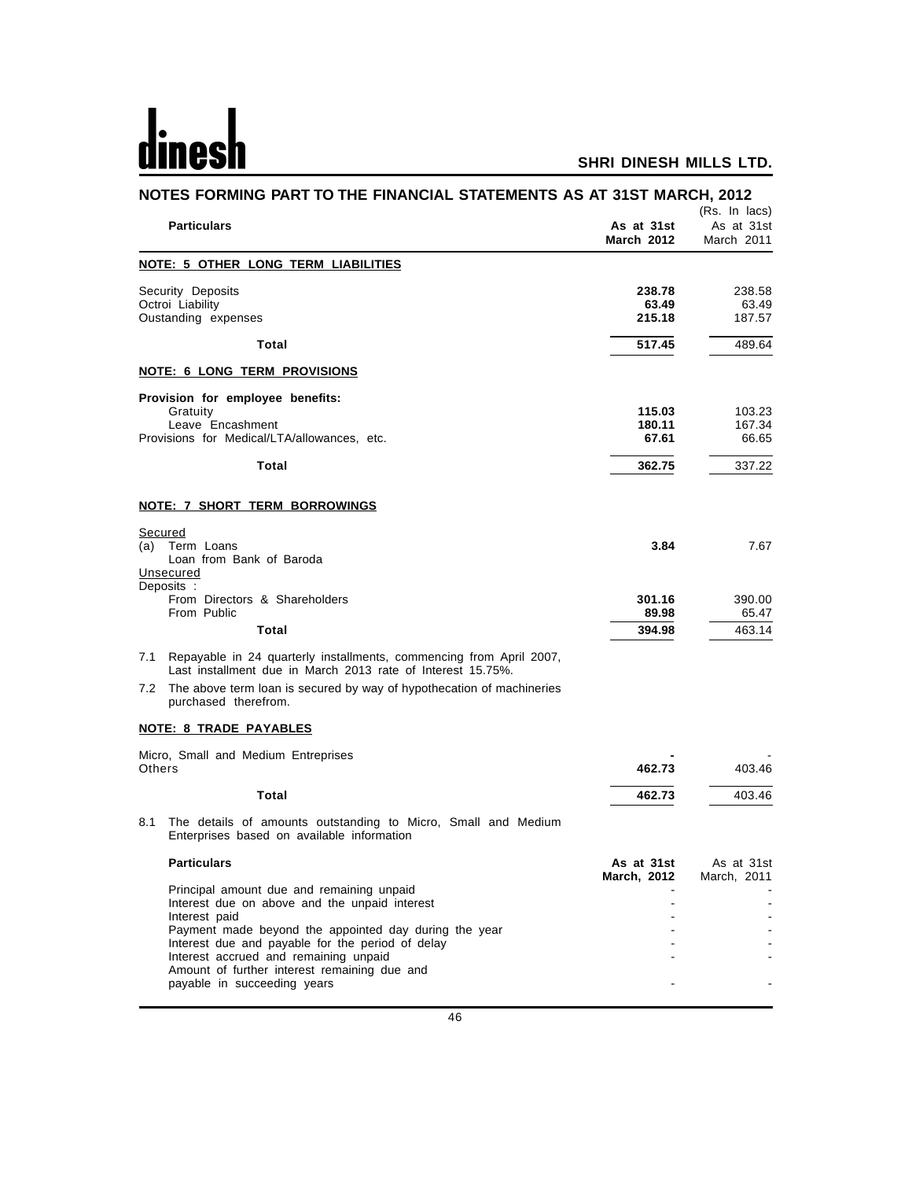# dinesh

|                | NOTES FORMING PART TO THE FINANCIAL STATEMENTS AS AT 31ST MARCH, 2012                                                                                                                                                                                                                                             |                                     | (Rs. In lacs)                       |
|----------------|-------------------------------------------------------------------------------------------------------------------------------------------------------------------------------------------------------------------------------------------------------------------------------------------------------------------|-------------------------------------|-------------------------------------|
|                | <b>Particulars</b>                                                                                                                                                                                                                                                                                                | As at 31st<br><b>March 2012</b>     | As at 31st<br>March 2011            |
|                | NOTE: 5 OTHER LONG TERM LIABILITIES                                                                                                                                                                                                                                                                               |                                     |                                     |
|                | Security Deposits<br>Octroi Liability<br>Oustanding expenses                                                                                                                                                                                                                                                      | 238.78<br>63.49<br>215.18           | 238.58<br>63.49<br>187.57           |
|                | Total                                                                                                                                                                                                                                                                                                             | 517.45                              | 489.64                              |
|                | <b>NOTE: 6 LONG TERM PROVISIONS</b>                                                                                                                                                                                                                                                                               |                                     |                                     |
|                | Provision for employee benefits:<br>Gratuity<br>Leave Encashment<br>Provisions for Medical/LTA/allowances, etc.<br>Total                                                                                                                                                                                          | 115.03<br>180.11<br>67.61<br>362.75 | 103.23<br>167.34<br>66.65<br>337.22 |
|                | NOTE: 7 SHORT TERM BORROWINGS                                                                                                                                                                                                                                                                                     |                                     |                                     |
| Secured<br>(a) | Term Loans<br>Loan from Bank of Baroda<br>Unsecured<br>Deposits :                                                                                                                                                                                                                                                 | 3.84                                | 7.67                                |
|                | From Directors & Shareholders<br>From Public                                                                                                                                                                                                                                                                      | 301.16<br>89.98                     | 390.00<br>65.47                     |
|                | Total                                                                                                                                                                                                                                                                                                             | 394.98                              | 463.14                              |
| 7.1<br>7.2     | Repayable in 24 quarterly installments, commencing from April 2007,<br>Last installment due in March 2013 rate of Interest 15.75%.<br>The above term loan is secured by way of hypothecation of machineries<br>purchased therefrom.                                                                               |                                     |                                     |
|                | NOTE: 8 TRADE PAYABLES                                                                                                                                                                                                                                                                                            |                                     |                                     |
| Others         | Micro, Small and Medium Entreprises                                                                                                                                                                                                                                                                               | 462.73                              | 403.46                              |
|                | Total                                                                                                                                                                                                                                                                                                             | 462.73                              | 403.46                              |
| 8.1            | The details of amounts outstanding to Micro, Small and Medium<br>Enterprises based on available information                                                                                                                                                                                                       |                                     |                                     |
|                | <b>Particulars</b>                                                                                                                                                                                                                                                                                                | As at 31st<br>March, 2012           | As at 31st<br>March. 2011           |
|                | Principal amount due and remaining unpaid<br>Interest due on above and the unpaid interest<br>Interest paid<br>Payment made beyond the appointed day during the year<br>Interest due and payable for the period of delay<br>Interest accrued and remaining unpaid<br>Amount of further interest remaining due and |                                     |                                     |
|                | payable in succeeding years                                                                                                                                                                                                                                                                                       |                                     |                                     |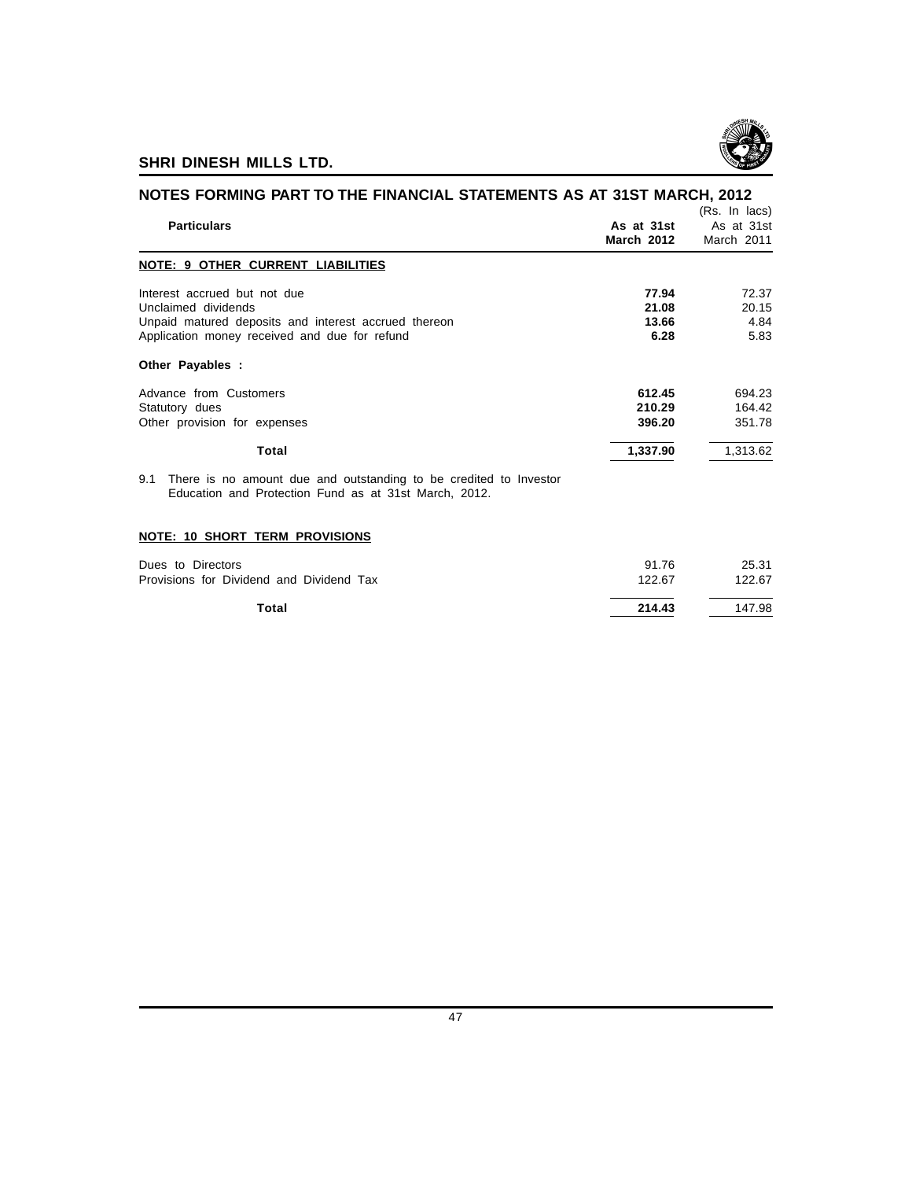

| NOTES FORMING PART TO THE FINANCIAL STATEMENTS AS AT 31ST MARCH, 2012                                                          |                                 |                                           |
|--------------------------------------------------------------------------------------------------------------------------------|---------------------------------|-------------------------------------------|
| <b>Particulars</b>                                                                                                             | As at 31st<br><b>March 2012</b> | (Rs. In lacs)<br>As at 31st<br>March 2011 |
| <b>NOTE: 9 OTHER CURRENT LIABILITIES</b>                                                                                       |                                 |                                           |
| Interest accrued but not due<br>Unclaimed dividends                                                                            | 77.94<br>21.08                  | 72.37<br>20.15                            |
| Unpaid matured deposits and interest accrued thereon                                                                           | 13.66                           | 4.84                                      |
| Application money received and due for refund                                                                                  | 6.28                            | 5.83                                      |
| Other Payables :                                                                                                               |                                 |                                           |
| Advance from Customers                                                                                                         | 612.45                          | 694.23                                    |
| Statutory dues<br>Other provision for expenses                                                                                 | 210.29<br>396.20                | 164.42<br>351.78                          |
| Total                                                                                                                          | 1,337.90                        | 1,313.62                                  |
| 9.1 There is no amount due and outstanding to be credited to Investor<br>Education and Protection Fund as at 31st March, 2012. |                                 |                                           |
| <b>NOTE: 10 SHORT TERM PROVISIONS</b>                                                                                          |                                 |                                           |
| Dues to Directors                                                                                                              | 91.76                           | 25.31                                     |
| Provisions for Dividend and Dividend Tax                                                                                       | 122.67                          | 122.67                                    |
| Total                                                                                                                          | 214.43                          | 147.98                                    |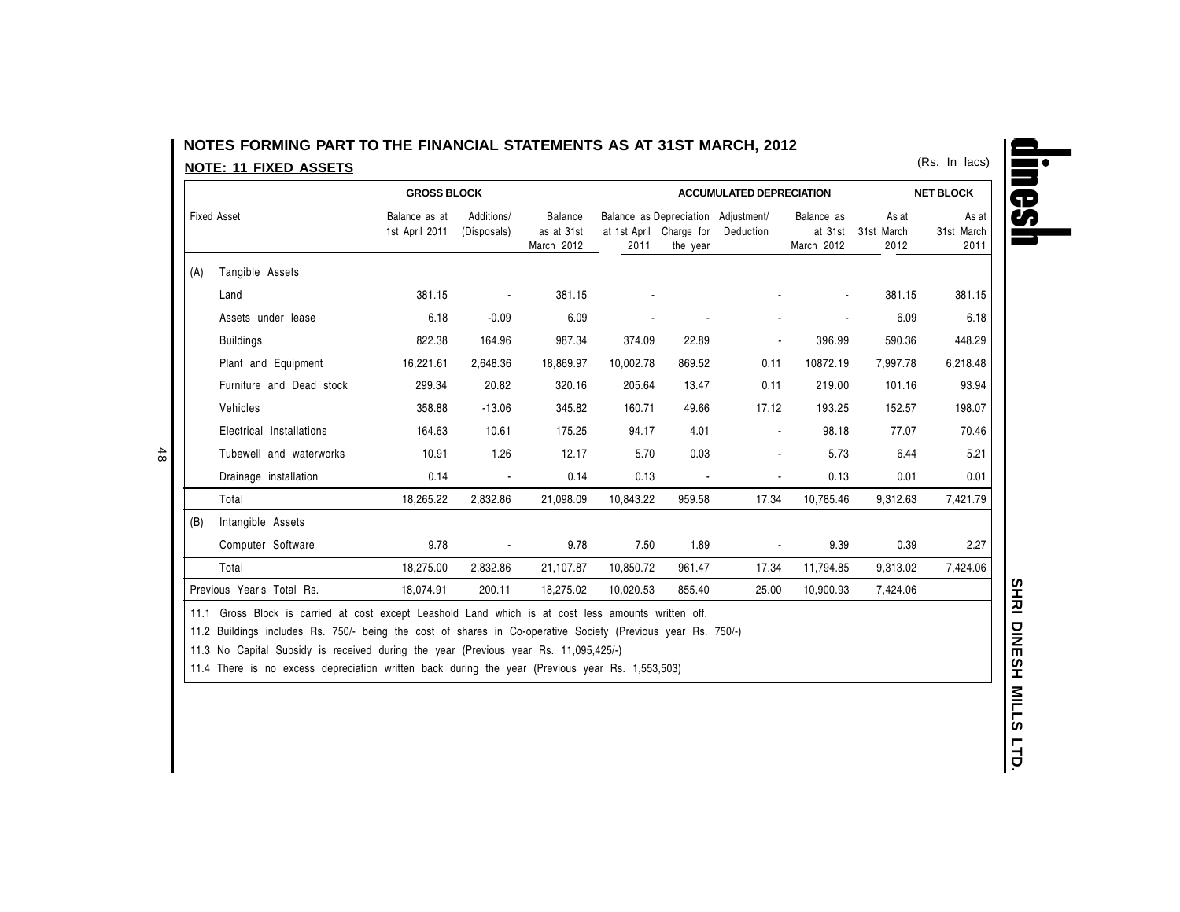## **NOTES FORMING PART TO THE FINANCIAL STATEMENTS AS AT 31ST MARCH, 2012**

## (Rs. In lacs) **NOTE: 11 FIXED ASSETS**

48

|     |                           | <b>GROSS BLOCK</b>              |                           |                                            | <b>ACCUMULATED DEPRECIATION</b> |                        |                                                  |                                     | <b>NET BLOCK</b>            |                             |
|-----|---------------------------|---------------------------------|---------------------------|--------------------------------------------|---------------------------------|------------------------|--------------------------------------------------|-------------------------------------|-----------------------------|-----------------------------|
|     | <b>Fixed Asset</b>        | Balance as at<br>1st April 2011 | Additions/<br>(Disposals) | <b>Balance</b><br>as at 31st<br>March 2012 | at 1st April<br>2011            | Charge for<br>the year | Balance as Depreciation Adjustment/<br>Deduction | Balance as<br>at 31st<br>March 2012 | As at<br>31st March<br>2012 | As at<br>31st March<br>2011 |
| (A) | Tangible Assets           |                                 |                           |                                            |                                 |                        |                                                  |                                     |                             |                             |
|     | Land                      | 381.15                          |                           | 381.15                                     |                                 |                        |                                                  | $\blacksquare$                      | 381.15                      | 381.15                      |
|     | Assets under lease        | 6.18                            | $-0.09$                   | 6.09                                       |                                 |                        |                                                  |                                     | 6.09                        | 6.18                        |
|     | <b>Buildings</b>          | 822.38                          | 164.96                    | 987.34                                     | 374.09                          | 22.89                  | $\blacksquare$                                   | 396.99                              | 590.36                      | 448.29                      |
|     | Plant and Equipment       | 16,221.61                       | 2,648.36                  | 18,869.97                                  | 10,002.78                       | 869.52                 | 0.11                                             | 10872.19                            | 7,997.78                    | 6,218.48                    |
|     | Furniture and Dead stock  | 299.34                          | 20.82                     | 320.16                                     | 205.64                          | 13.47                  | 0.11                                             | 219.00                              | 101.16                      | 93.94                       |
|     | Vehicles                  | 358.88                          | $-13.06$                  | 345.82                                     | 160.71                          | 49.66                  | 17.12                                            | 193.25                              | 152.57                      | 198.07                      |
|     | Electrical Installations  | 164.63                          | 10.61                     | 175.25                                     | 94.17                           | 4.01                   |                                                  | 98.18                               | 77.07                       | 70.46                       |
|     | Tubewell and waterworks   | 10.91                           | 1.26                      | 12.17                                      | 5.70                            | 0.03                   | $\blacksquare$                                   | 5.73                                | 6.44                        | 5.21                        |
|     | Drainage installation     | 0.14                            |                           | 0.14                                       | 0.13                            |                        |                                                  | 0.13                                | 0.01                        | 0.01                        |
|     | Total                     | 18.265.22                       | 2,832.86                  | 21,098.09                                  | 10,843.22                       | 959.58                 | 17.34                                            | 10.785.46                           | 9,312.63                    | 7,421.79                    |
| (B) | Intangible Assets         |                                 |                           |                                            |                                 |                        |                                                  |                                     |                             |                             |
|     | Computer Software         | 9.78                            |                           | 9.78                                       | 7.50                            | 1.89                   |                                                  | 9.39                                | 0.39                        | 2.27                        |
|     | Total                     | 18,275.00                       | 2,832.86                  | 21,107.87                                  | 10,850.72                       | 961.47                 | 17.34                                            | 11,794.85                           | 9,313.02                    | 7,424.06                    |
|     | Previous Year's Total Rs. | 18,074.91                       | 200.11                    | 18,275.02                                  | 10,020.53                       | 855.40                 | 25.00                                            | 10,900.93                           | 7,424.06                    |                             |

11.1 Gross Block is carried at cost except Leashold Land which is at cost less amounts written off.<br>11.2 Buildings includes Rs. 750/- being the cost of shares in Co-operative Society (Previous year Rs. 750/-)

11.3 No Capital Subsidy is received during the year (Previous year Rs. 11,095,425/-)

11.4 There is no excess depreciation written back during the year (Previous year Rs. 1,553,503)

SHRI DINESH MILLS LTD. **SHRI DINESH MILLS LTD.**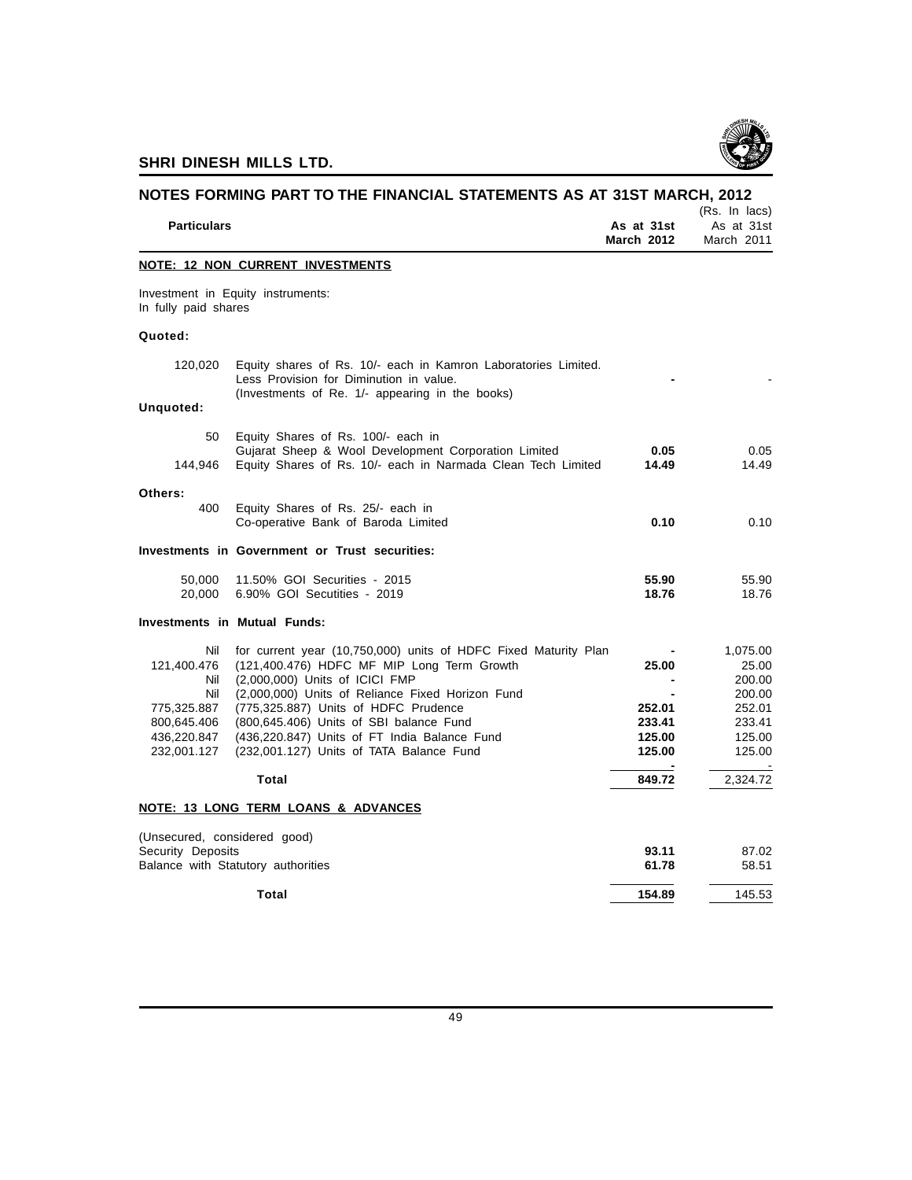

| NOTES FORMING PART TO THE FINANCIAL STATEMENTS AS AT 31ST MARCH, 2012<br>(Rs. In lacs) |                                                                                                                                                                                                                                                                                                                                        |                                     |                                                                     |  |  |  |
|----------------------------------------------------------------------------------------|----------------------------------------------------------------------------------------------------------------------------------------------------------------------------------------------------------------------------------------------------------------------------------------------------------------------------------------|-------------------------------------|---------------------------------------------------------------------|--|--|--|
| <b>Particulars</b>                                                                     |                                                                                                                                                                                                                                                                                                                                        | As at 31st<br><b>March 2012</b>     | As at 31st<br>March 2011                                            |  |  |  |
|                                                                                        | <b>NOTE: 12 NON CURRENT INVESTMENTS</b>                                                                                                                                                                                                                                                                                                |                                     |                                                                     |  |  |  |
| In fully paid shares                                                                   | Investment in Equity instruments:                                                                                                                                                                                                                                                                                                      |                                     |                                                                     |  |  |  |
| Quoted:                                                                                |                                                                                                                                                                                                                                                                                                                                        |                                     |                                                                     |  |  |  |
| 120,020<br>Unquoted:                                                                   | Equity shares of Rs. 10/- each in Kamron Laboratories Limited.<br>Less Provision for Diminution in value.<br>(Investments of Re. 1/- appearing in the books)                                                                                                                                                                           |                                     |                                                                     |  |  |  |
|                                                                                        |                                                                                                                                                                                                                                                                                                                                        |                                     |                                                                     |  |  |  |
| 50<br>144,946                                                                          | Equity Shares of Rs. 100/- each in<br>Gujarat Sheep & Wool Development Corporation Limited<br>Equity Shares of Rs. 10/- each in Narmada Clean Tech Limited                                                                                                                                                                             | 0.05<br>14.49                       | 0.05<br>14.49                                                       |  |  |  |
| Others:                                                                                |                                                                                                                                                                                                                                                                                                                                        |                                     |                                                                     |  |  |  |
| 400                                                                                    | Equity Shares of Rs. 25/- each in<br>Co-operative Bank of Baroda Limited                                                                                                                                                                                                                                                               | 0.10                                | 0.10                                                                |  |  |  |
|                                                                                        | Investments in Government or Trust securities:                                                                                                                                                                                                                                                                                         |                                     |                                                                     |  |  |  |
| 50,000<br>20,000                                                                       | 11.50% GOI Securities - 2015<br>6.90% GOI Secutities - 2019                                                                                                                                                                                                                                                                            | 55.90<br>18.76                      | 55.90<br>18.76                                                      |  |  |  |
|                                                                                        | <b>Investments in Mutual Funds:</b>                                                                                                                                                                                                                                                                                                    |                                     |                                                                     |  |  |  |
| Nil<br>121,400.476<br>Nil<br>Nil<br>775,325.887<br>800,645.406<br>436,220.847          | for current year (10,750,000) units of HDFC Fixed Maturity Plan<br>(121,400.476) HDFC MF MIP Long Term Growth<br>(2,000,000) Units of ICICI FMP<br>(2,000,000) Units of Reliance Fixed Horizon Fund<br>(775,325.887) Units of HDFC Prudence<br>(800,645.406) Units of SBI balance Fund<br>(436,220.847) Units of FT India Balance Fund | 25.00<br>252.01<br>233.41<br>125.00 | 1.075.00<br>25.00<br>200.00<br>200.00<br>252.01<br>233.41<br>125.00 |  |  |  |
| 232,001.127                                                                            | (232,001.127) Units of TATA Balance Fund                                                                                                                                                                                                                                                                                               | 125.00                              | 125.00                                                              |  |  |  |
|                                                                                        | Total                                                                                                                                                                                                                                                                                                                                  | 849.72                              | 2,324.72                                                            |  |  |  |
|                                                                                        | NOTE: 13 LONG TERM LOANS & ADVANCES                                                                                                                                                                                                                                                                                                    |                                     |                                                                     |  |  |  |
| (Unsecured, considered good)<br>Security Deposits                                      |                                                                                                                                                                                                                                                                                                                                        | 93.11                               | 87.02                                                               |  |  |  |
|                                                                                        | Balance with Statutory authorities                                                                                                                                                                                                                                                                                                     | 61.78                               | 58.51                                                               |  |  |  |
|                                                                                        | Total                                                                                                                                                                                                                                                                                                                                  | 154.89                              | 145.53                                                              |  |  |  |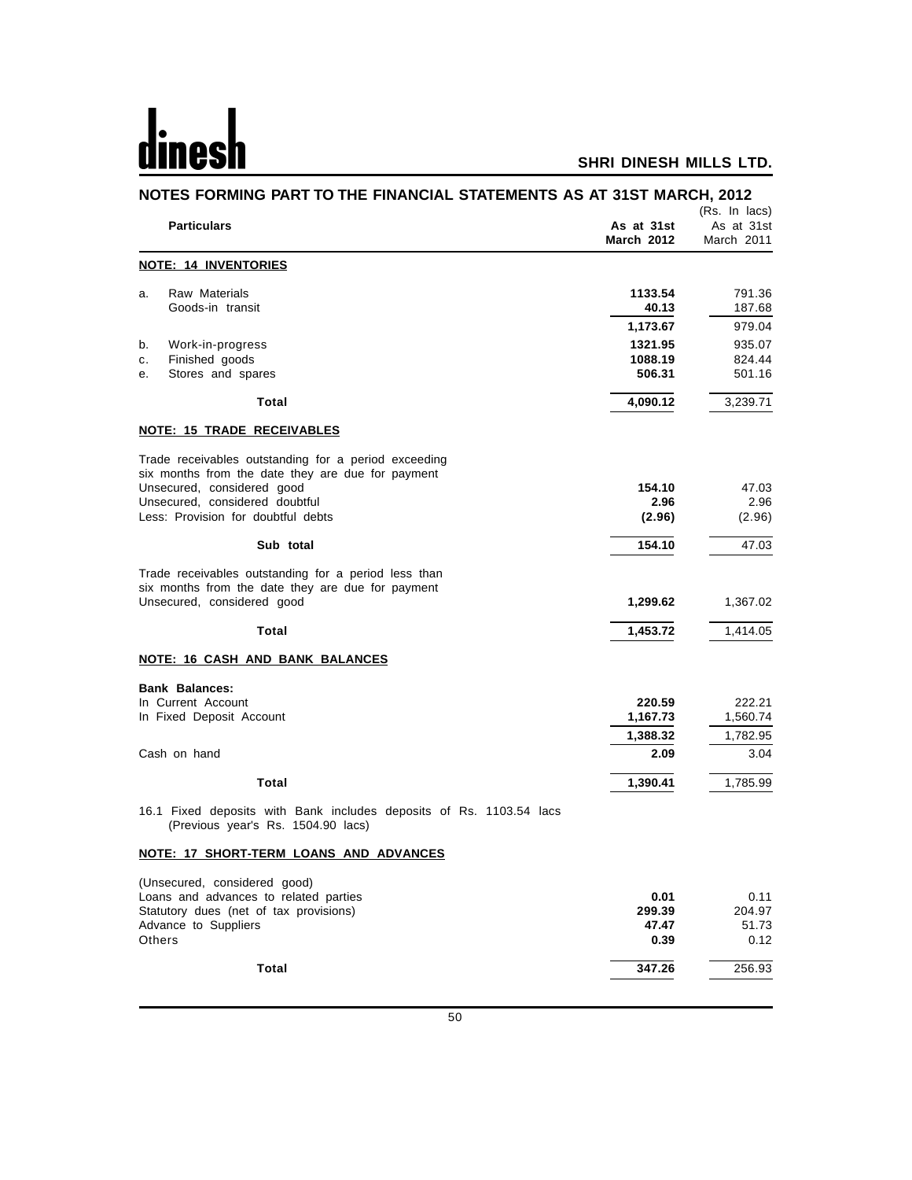# <u>dinesh</u>

|        | NOTES FORMING PART TO THE FINANCIAL STATEMENTS AS AT 31ST MARCH, 2012                                     |            |               |
|--------|-----------------------------------------------------------------------------------------------------------|------------|---------------|
|        |                                                                                                           |            | (Rs. In lacs) |
|        | <b>Particulars</b>                                                                                        | As at 31st | As at 31st    |
|        |                                                                                                           | March 2012 | March 2011    |
|        | <b>NOTE: 14 INVENTORIES</b>                                                                               |            |               |
| a.     | Raw Materials                                                                                             | 1133.54    | 791.36        |
|        | Goods-in transit                                                                                          | 40.13      | 187.68        |
|        |                                                                                                           | 1,173.67   | 979.04        |
| b.     | Work-in-progress                                                                                          | 1321.95    | 935.07        |
| с.     | Finished goods                                                                                            | 1088.19    | 824.44        |
| е.     | Stores and spares                                                                                         | 506.31     | 501.16        |
|        | Total                                                                                                     | 4,090.12   | 3,239.71      |
|        | <b>NOTE: 15 TRADE RECEIVABLES</b>                                                                         |            |               |
|        | Trade receivables outstanding for a period exceeding                                                      |            |               |
|        | six months from the date they are due for payment                                                         |            |               |
|        | Unsecured, considered good                                                                                | 154.10     | 47.03         |
|        | Unsecured, considered doubtful                                                                            | 2.96       | 2.96          |
|        | Less: Provision for doubtful debts                                                                        | (2.96)     | (2.96)        |
|        | Sub total                                                                                                 | 154.10     | 47.03         |
|        | Trade receivables outstanding for a period less than                                                      |            |               |
|        | six months from the date they are due for payment                                                         |            |               |
|        | Unsecured, considered good                                                                                | 1,299.62   | 1,367.02      |
|        | Total                                                                                                     | 1,453.72   | 1,414.05      |
|        | NOTE: 16 CASH AND BANK BALANCES                                                                           |            |               |
|        | <b>Bank Balances:</b>                                                                                     |            |               |
|        | In Current Account                                                                                        | 220.59     | 222.21        |
|        | In Fixed Deposit Account                                                                                  | 1,167.73   | 1,560.74      |
|        |                                                                                                           | 1,388.32   | 1,782.95      |
|        | Cash on hand                                                                                              | 2.09       | 3.04          |
|        | <b>Total</b>                                                                                              | 1,390.41   | 1,785.99      |
|        | 16.1 Fixed deposits with Bank includes deposits of Rs. 1103.54 lacs<br>(Previous year's Rs. 1504.90 lacs) |            |               |
|        | NOTE: 17 SHORT-TERM LOANS AND ADVANCES                                                                    |            |               |
|        | (Unsecured, considered good)                                                                              |            |               |
|        | Loans and advances to related parties                                                                     | 0.01       | 0.11          |
|        | Statutory dues (net of tax provisions)                                                                    | 299.39     | 204.97        |
|        | Advance to Suppliers                                                                                      | 47.47      | 51.73         |
| Others |                                                                                                           | 0.39       | 0.12          |
|        | <b>Total</b>                                                                                              | 347.26     | 256.93        |
|        |                                                                                                           |            |               |
|        |                                                                                                           |            |               |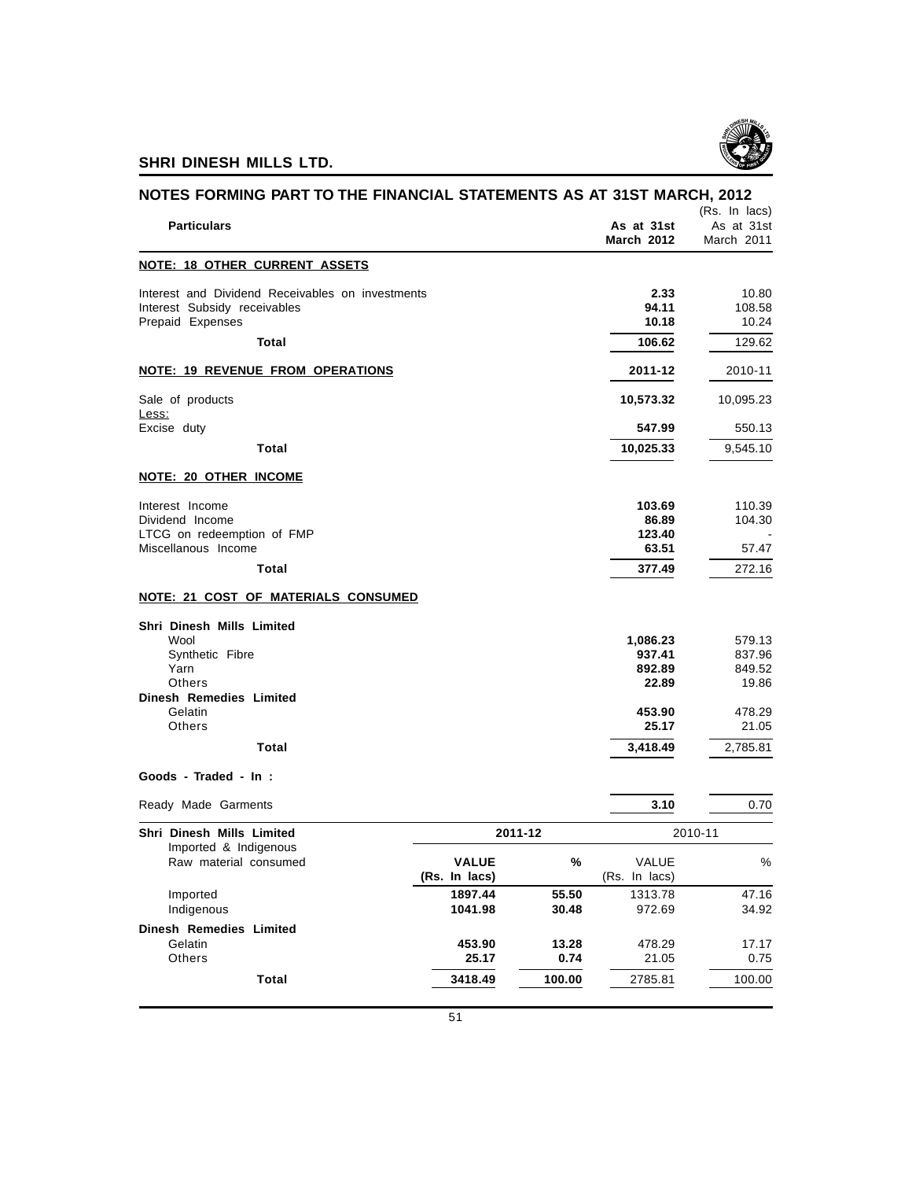

| NOTES FORMING PART TO THE FINANCIAL STATEMENTS AS AT 31ST MARCH, 2012                                |                    |                |                                    |                                           |
|------------------------------------------------------------------------------------------------------|--------------------|----------------|------------------------------------|-------------------------------------------|
| <b>Particulars</b>                                                                                   |                    |                | As at 31st<br><b>March 2012</b>    | (Rs. In lacs)<br>As at 31st<br>March 2011 |
| <b>NOTE: 18 OTHER CURRENT ASSETS</b>                                                                 |                    |                |                                    |                                           |
| Interest and Dividend Receivables on investments<br>Interest Subsidy receivables<br>Prepaid Expenses |                    |                | 2.33<br>94.11<br>10.18             | 10.80<br>108.58<br>10.24                  |
| <b>Total</b>                                                                                         |                    |                | 106.62                             | 129.62                                    |
| NOTE: 19 REVENUE FROM OPERATIONS                                                                     |                    |                | 2011-12                            | 2010-11                                   |
| Sale of products                                                                                     |                    |                | 10,573.32                          | 10,095.23                                 |
| Less:<br>Excise duty                                                                                 |                    |                | 547.99                             | 550.13                                    |
| Total                                                                                                |                    |                | 10,025.33                          | 9,545.10                                  |
| <b>NOTE: 20 OTHER INCOME</b>                                                                         |                    |                |                                    |                                           |
| Interest Income<br>Dividend Income<br>LTCG on redeemption of FMP<br>Miscellanous Income              |                    |                | 103.69<br>86.89<br>123.40<br>63.51 | 110.39<br>104.30<br>57.47                 |
| Total                                                                                                |                    |                | 377.49                             | 272.16                                    |
| NOTE: 21 COST OF MATERIALS CONSUMED                                                                  |                    |                |                                    |                                           |
| Shri Dinesh Mills Limited                                                                            |                    |                |                                    |                                           |
| Wool                                                                                                 |                    |                | 1,086.23                           | 579.13                                    |
| Synthetic Fibre<br>Yarn                                                                              |                    |                | 937.41<br>892.89                   | 837.96<br>849.52                          |
| Others                                                                                               |                    |                | 22.89                              | 19.86                                     |
| <b>Dinesh Remedies Limited</b>                                                                       |                    |                |                                    |                                           |
| Gelatin                                                                                              |                    |                | 453.90                             | 478.29                                    |
| Others                                                                                               |                    |                | 25.17                              | 21.05                                     |
| Total                                                                                                |                    |                | 3,418.49                           | 2,785.81                                  |
| Goods - Traded - In :                                                                                |                    |                |                                    |                                           |
| Ready Made Garments                                                                                  |                    |                | 3.10                               | 0.70                                      |
| Shri Dinesh Mills Limited<br>Imported & Indigenous                                                   | 2011-12            |                |                                    | 2010-11                                   |
| Raw material consumed                                                                                | <b>VALUE</b>       | %              | VALUE                              | %                                         |
|                                                                                                      | (Rs. In lacs)      |                | (Rs. In lacs)                      |                                           |
| Imported<br>Indigenous                                                                               | 1897.44<br>1041.98 | 55.50<br>30.48 | 1313.78<br>972.69                  | 47.16<br>34.92                            |
|                                                                                                      |                    |                |                                    |                                           |
| Dinesh Remedies Limited<br>Gelatin                                                                   | 453.90             | 13.28          | 478.29                             | 17.17                                     |
| Others                                                                                               | 25.17              | 0.74           | 21.05                              | 0.75                                      |
| <b>Total</b>                                                                                         | 3418.49            | 100.00         | 2785.81                            | 100.00                                    |
|                                                                                                      |                    |                |                                    |                                           |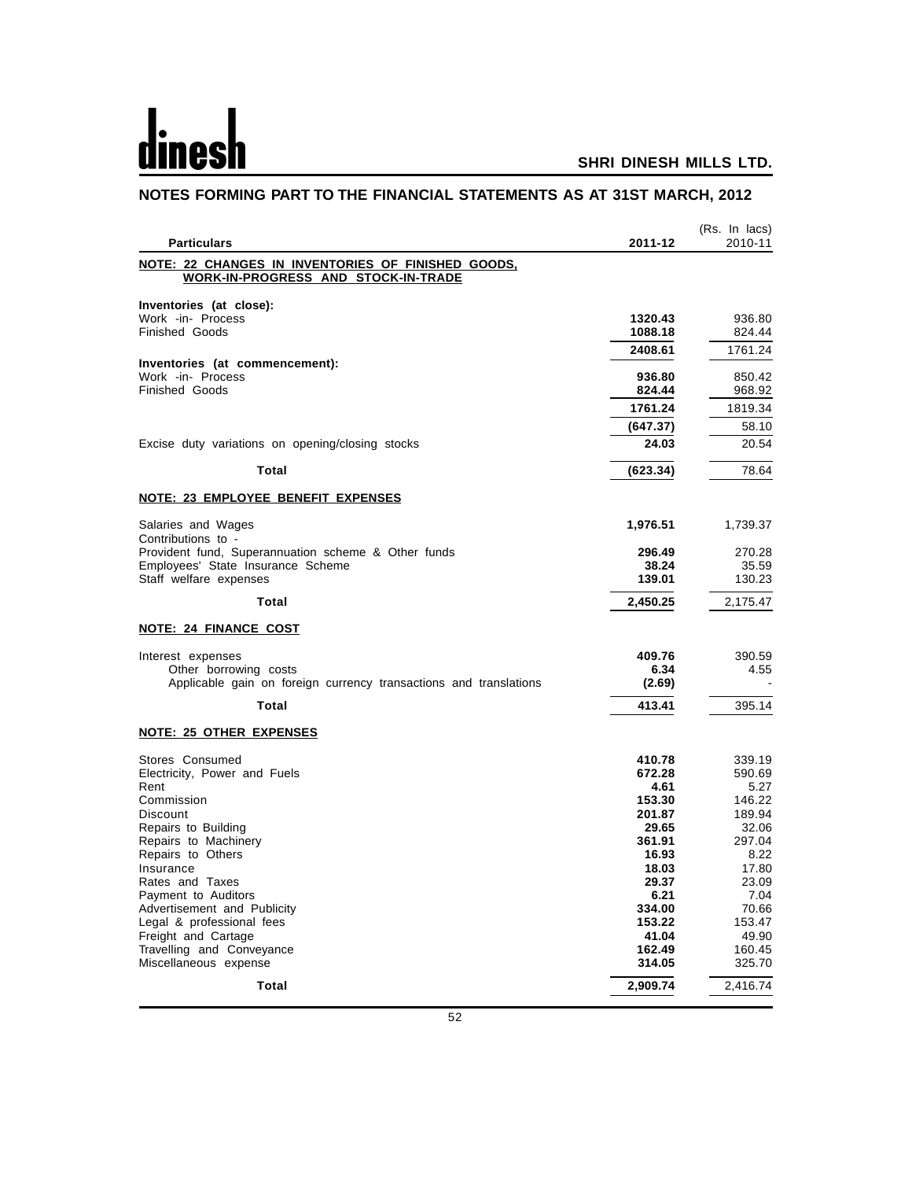# dines

## **SHRI DINESH MILLS LTD.**

| <b>Particulars</b>                                                                        | 2011-12            | (Rs. In lacs)<br>2010-11 |
|-------------------------------------------------------------------------------------------|--------------------|--------------------------|
| NOTE: 22 CHANGES IN INVENTORIES OF FINISHED GOODS,<br>WORK-IN-PROGRESS AND STOCK-IN-TRADE |                    |                          |
| Inventories (at close):                                                                   |                    |                          |
| Work -in- Process<br><b>Finished Goods</b>                                                | 1320.43<br>1088.18 | 936.80<br>824.44         |
|                                                                                           | 2408.61            | 1761.24                  |
| Inventories (at commencement):                                                            |                    |                          |
| Work -in- Process                                                                         | 936.80             | 850.42                   |
| <b>Finished Goods</b>                                                                     | 824.44             | 968.92                   |
|                                                                                           | 1761.24            | 1819.34                  |
|                                                                                           | (647.37)           | 58.10                    |
| Excise duty variations on opening/closing stocks                                          | 24.03              | 20.54                    |
| Total                                                                                     | (623.34)           | 78.64                    |
| NOTE: 23 EMPLOYEE BENEFIT EXPENSES                                                        |                    |                          |
| Salaries and Wages<br>Contributions to -                                                  | 1,976.51           | 1,739.37                 |
| Provident fund, Superannuation scheme & Other funds                                       | 296.49             | 270.28                   |
| Employees' State Insurance Scheme                                                         | 38.24              | 35.59                    |
| Staff welfare expenses                                                                    | 139.01             | 130.23                   |
| Total                                                                                     | 2,450.25           | 2,175.47                 |
| <b>NOTE: 24 FINANCE COST</b>                                                              |                    |                          |
| Interest expenses                                                                         | 409.76             | 390.59                   |
| Other borrowing costs                                                                     | 6.34               | 4.55                     |
| Applicable gain on foreign currency transactions and translations                         | (2.69)             |                          |
| Total                                                                                     | 413.41             | 395.14                   |
| <b>NOTE: 25 OTHER EXPENSES</b>                                                            |                    |                          |
| Stores Consumed                                                                           | 410.78             | 339.19                   |
| Electricity, Power and Fuels                                                              | 672.28             | 590.69                   |
| Rent<br>Commission                                                                        | 4.61<br>153.30     | 5.27<br>146.22           |
| Discount                                                                                  | 201.87             | 189.94                   |
| Repairs to Building                                                                       | 29.65              | 32.06                    |
| Repairs to Machinery                                                                      | 361.91             | 297.04<br>8.22           |
| Repairs to Others<br>Insurance                                                            | 16.93<br>18.03     | 17.80                    |
| Rates and Taxes                                                                           | 29.37              | 23.09                    |
| Payment to Auditors                                                                       | 6.21               | 7.04                     |
| Advertisement and Publicity<br>Legal & professional fees                                  | 334.00<br>153.22   | 70.66<br>153.47          |
| Freight and Cartage                                                                       | 41.04              | 49.90                    |
| Travelling and Conveyance                                                                 | 162.49             | 160.45                   |
| Miscellaneous expense                                                                     | 314.05             | 325.70                   |
| Total                                                                                     | 2,909.74           | 2,416.74                 |

## **NOTES FORMING PART TO THE FINANCIAL STATEMENTS AS AT 31ST MARCH, 2012**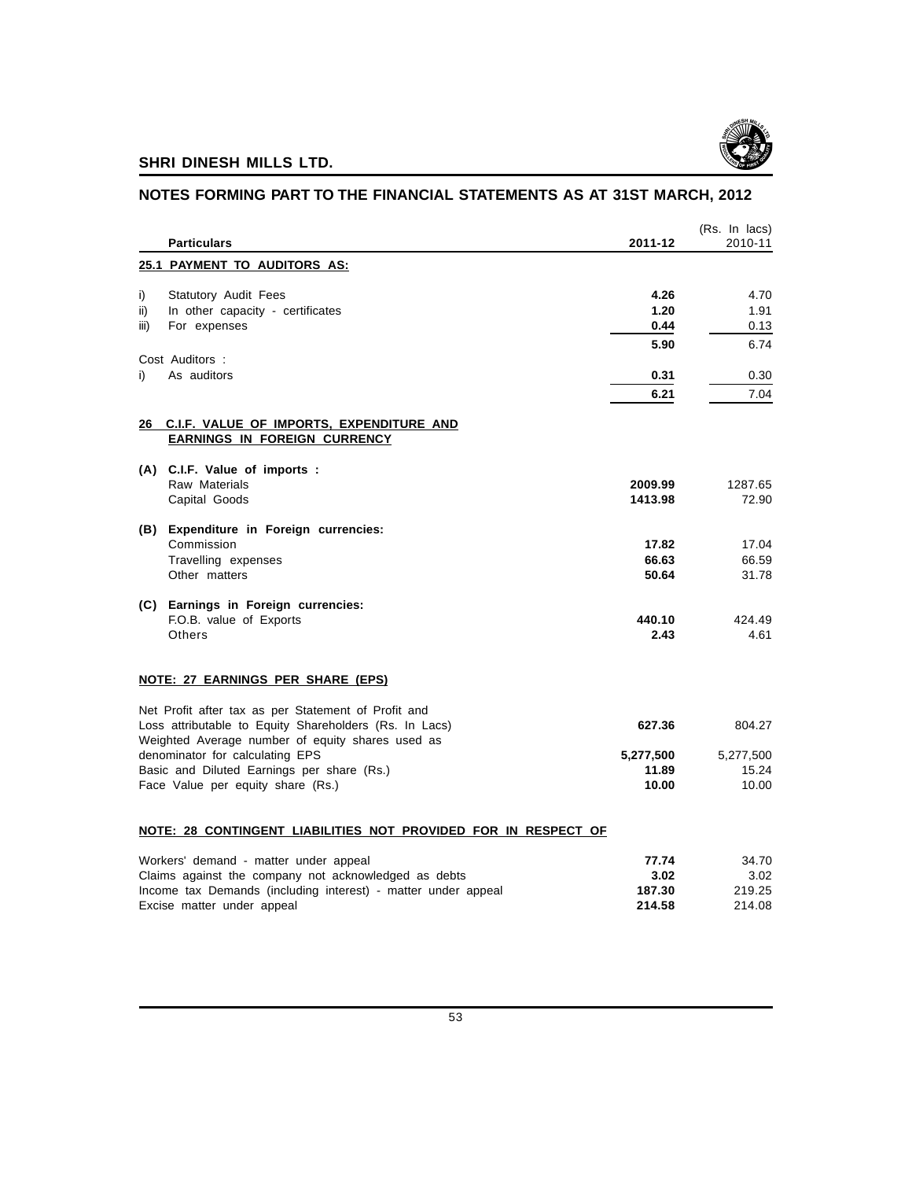

Excise matter under appeal

## **NOTES FORMING PART TO THE FINANCIAL STATEMENTS AS AT 31ST MARCH, 2012**

| <b>Particulars</b>            |                                                                                                            | 2011-12   | (Rs. In lacs)<br>2010-11 |
|-------------------------------|------------------------------------------------------------------------------------------------------------|-----------|--------------------------|
|                               | 25.1 PAYMENT TO AUDITORS AS:                                                                               |           |                          |
| i)                            | Statutory Audit Fees                                                                                       | 4.26      | 4.70                     |
| ii)                           | In other capacity - certificates                                                                           | 1.20      | 1.91                     |
| iii)                          | For expenses                                                                                               | 0.44      | 0.13                     |
|                               |                                                                                                            | 5.90      | 6.74                     |
| Cost Auditors:<br>As auditors |                                                                                                            |           |                          |
| i)                            |                                                                                                            | 0.31      | 0.30                     |
|                               |                                                                                                            | 6.21      | 7.04                     |
|                               | 26 C.I.F. VALUE OF IMPORTS, EXPENDITURE AND<br><b>EARNINGS IN FOREIGN CURRENCY</b>                         |           |                          |
|                               | (A) C.I.F. Value of imports :                                                                              |           |                          |
|                               | Raw Materials                                                                                              | 2009.99   | 1287.65                  |
|                               | Capital Goods                                                                                              | 1413.98   | 72.90                    |
|                               | (B) Expenditure in Foreign currencies:                                                                     |           |                          |
|                               | Commission                                                                                                 | 17.82     | 17.04                    |
|                               | Travelling expenses                                                                                        | 66.63     | 66.59                    |
|                               | Other matters                                                                                              | 50.64     | 31.78                    |
|                               | (C) Earnings in Foreign currencies:                                                                        |           |                          |
|                               | F.O.B. value of Exports                                                                                    | 440.10    | 424.49                   |
| Others                        |                                                                                                            | 2.43      | 4.61                     |
|                               | NOTE: 27 EARNINGS PER SHARE (EPS)                                                                          |           |                          |
|                               | Net Profit after tax as per Statement of Profit and                                                        |           |                          |
|                               | Loss attributable to Equity Shareholders (Rs. In Lacs)<br>Weighted Average number of equity shares used as | 627.36    | 804.27                   |
|                               | denominator for calculating EPS                                                                            | 5,277,500 | 5,277,500                |
|                               | Basic and Diluted Earnings per share (Rs.)                                                                 | 11.89     | 15.24                    |
|                               | Face Value per equity share (Rs.)                                                                          | 10.00     | 10.00                    |
|                               | NOTE: 28 CONTINGENT LIABILITIES NOT PROVIDED FOR IN RESPECT OF                                             |           |                          |
|                               | Workers' demand - matter under appeal                                                                      | 77.74     | 34.70                    |
|                               | Claims against the company not acknowledged as debts                                                       | 3.02      | 3.02                     |
|                               | Income tax Demands (including interest) - matter under appeal                                              | 187.30    | 219.25                   |
|                               | Excise matter under appeal                                                                                 | 214.58    | 214.08                   |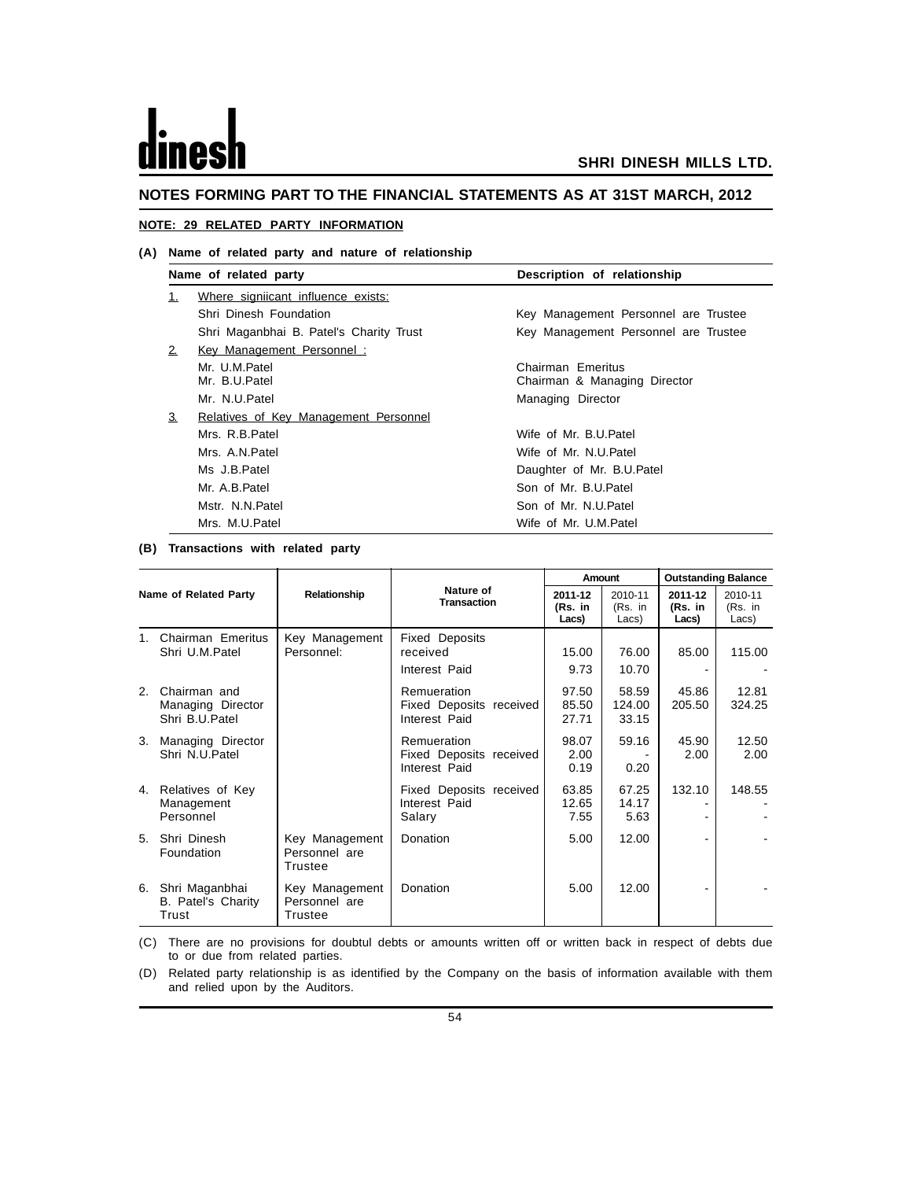# les

## **NOTES FORMING PART TO THE FINANCIAL STATEMENTS AS AT 31ST MARCH, 2012**

### **NOTE: 29 RELATED PARTY INFORMATION**

### **(A) Name of related party and nature of relationship**

|    | Name of related party                   | Description of relationship                       |  |  |
|----|-----------------------------------------|---------------------------------------------------|--|--|
| 1. | Where signiicant influence exists:      |                                                   |  |  |
|    | Shri Dinesh Foundation                  | Key Management Personnel are Trustee              |  |  |
|    | Shri Maganbhai B. Patel's Charity Trust | Key Management Personnel are Trustee              |  |  |
| 2. | Key Management Personnel:               |                                                   |  |  |
|    | Mr. U.M.Patel<br>Mr. B.U.Patel          | Chairman Emeritus<br>Chairman & Managing Director |  |  |
|    | Mr. N.U.Patel                           | Managing Director                                 |  |  |
| 3. | Relatives of Key Management Personnel   |                                                   |  |  |
|    | Mrs. R.B.Patel                          | Wife of Mr. B.U.Patel                             |  |  |
|    | Mrs. A.N. Patel                         | Wife of Mr. N.U.Patel                             |  |  |
|    | Ms J.B.Patel                            | Daughter of Mr. B.U. Patel                        |  |  |
|    | Mr. A.B.Patel                           | Son of Mr. B.U.Patel                              |  |  |
|    | Mstr. N.N. Patel                        | Son of Mr. N.U.Patel                              |  |  |
|    | Mrs. M.U.Patel                          | Wife of Mr. U.M.Patel                             |  |  |

### **(B) Transactions with related party**

|         |                                                     |                                            |                                                         | Amount                      |                             | <b>Outstanding Balance</b>  |                             |
|---------|-----------------------------------------------------|--------------------------------------------|---------------------------------------------------------|-----------------------------|-----------------------------|-----------------------------|-----------------------------|
|         | Name of Related Party                               | Relationship                               | Nature of<br><b>Transaction</b>                         | 2011-12<br>(Rs. in<br>Lacs) | 2010-11<br>(Rs. in<br>Lacs) | 2011-12<br>(Rs. in<br>Lacs) | 2010-11<br>(Rs. in<br>Lacs) |
| $1_{-}$ | Chairman Emeritus<br>Shri U.M.Patel                 | Key Management<br>Personnel:               | <b>Fixed Deposits</b><br>received<br>Interest Paid      | 15.00<br>9.73               | 76.00<br>10.70              | 85.00                       | 115.00                      |
| 2.      | Chairman and<br>Managing Director<br>Shri B.U.Patel |                                            | Remueration<br>Fixed Deposits received<br>Interest Paid | 97.50<br>85.50<br>27.71     | 58.59<br>124.00<br>33.15    | 45.86<br>205.50             | 12.81<br>324.25             |
| 3.      | Managing Director<br>Shri N.U.Patel                 |                                            | Remueration<br>Fixed Deposits received<br>Interest Paid | 98.07<br>2.00<br>0.19       | 59.16<br>0.20               | 45.90<br>2.00               | 12.50<br>2.00               |
| 4.      | Relatives of Key<br>Management<br>Personnel         |                                            | Fixed Deposits received<br>Interest Paid<br>Salary      | 63.85<br>12.65<br>7.55      | 67.25<br>14.17<br>5.63      | 132.10                      | 148.55                      |
| 5.      | Shri Dinesh<br>Foundation                           | Key Management<br>Personnel are<br>Trustee | Donation                                                | 5.00                        | 12.00                       |                             |                             |
| 6.      | Shri Maganbhai<br>B. Patel's Charity<br>Trust       | Key Management<br>Personnel are<br>Trustee | Donation                                                | 5.00                        | 12.00                       |                             |                             |

(C) There are no provisions for doubtul debts or amounts written off or written back in respect of debts due to or due from related parties.

(D) Related party relationship is as identified by the Company on the basis of information available with them and relied upon by the Auditors.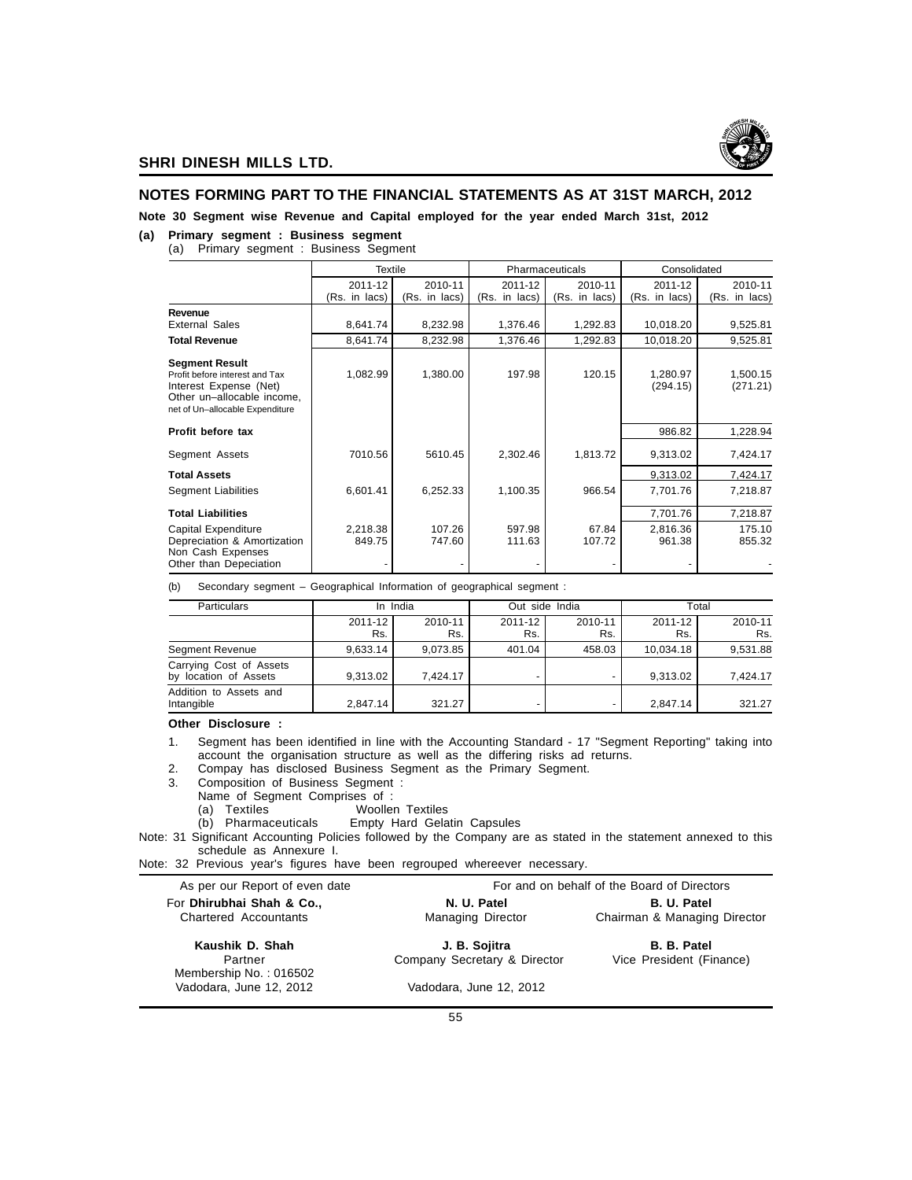

### **NOTES FORMING PART TO THE FINANCIAL STATEMENTS AS AT 31ST MARCH, 2012**

### **Note 30 Segment wise Revenue and Capital employed for the year ended March 31st, 2012**

### **(a) Primary segment : Business segment**

(a) Primary segment : Business Segment

|                                                                                                                                                    | <b>Textile</b>           |                          | Pharmaceuticals          |                          | Consolidated             |                          |
|----------------------------------------------------------------------------------------------------------------------------------------------------|--------------------------|--------------------------|--------------------------|--------------------------|--------------------------|--------------------------|
|                                                                                                                                                    | 2011-12<br>(Rs. in lacs) | 2010-11<br>(Rs. in lacs) | 2011-12<br>(Rs. in lacs) | 2010-11<br>(Rs. in lacs) | 2011-12<br>(Rs. in lacs) | 2010-11<br>(Rs. in lacs) |
| Revenue<br><b>External Sales</b>                                                                                                                   | 8,641.74                 | 8,232.98                 | 1,376.46                 | 1,292.83                 | 10,018.20                | 9,525.81                 |
| <b>Total Revenue</b>                                                                                                                               | 8,641.74                 | 8,232.98                 | 1,376.46                 | 1,292.83                 | 10,018.20                | 9,525.81                 |
| <b>Segment Result</b><br>Profit before interest and Tax<br>Interest Expense (Net)<br>Other un-allocable income,<br>net of Un-allocable Expenditure | 1,082.99                 | 1,380.00                 | 197.98                   | 120.15                   | 1,280.97<br>(294.15)     | 1,500.15<br>(271.21)     |
| Profit before tax                                                                                                                                  |                          |                          |                          |                          | 986.82                   | 1,228.94                 |
| Segment Assets                                                                                                                                     | 7010.56                  | 5610.45                  | 2,302.46                 | 1,813.72                 | 9,313.02                 | 7,424.17                 |
| <b>Total Assets</b>                                                                                                                                |                          |                          |                          |                          | 9,313.02                 | 7,424.17                 |
| <b>Segment Liabilities</b>                                                                                                                         | 6,601.41                 | 6,252.33                 | 1,100.35                 | 966.54                   | 7,701.76                 | 7,218.87                 |
| <b>Total Liabilities</b>                                                                                                                           |                          |                          |                          |                          | 7,701.76                 | 7,218.87                 |
| Capital Expenditure<br>Depreciation & Amortization<br>Non Cash Expenses<br>Other than Depeciation                                                  | 2,218.38<br>849.75       | 107.26<br>747.60         | 597.98<br>111.63         | 67.84<br>107.72          | 2,816.36<br>961.38       | 175.10<br>855.32         |

(b) Secondary segment – Geographical Information of geographical segment :

| Particulars                                      |                | In India       | Out side India |                |                | Total          |
|--------------------------------------------------|----------------|----------------|----------------|----------------|----------------|----------------|
|                                                  | 2011-12<br>Rs. | 2010-11<br>Rs. | 2011-12<br>Rs. | 2010-11<br>Rs. | 2011-12<br>Rs. | 2010-11<br>Rs. |
| <b>Segment Revenue</b>                           | 9.633.14       | 9.073.85       | 401.04         | 458.03         | 10.034.18      | 9,531.88       |
| Carrying Cost of Assets<br>by location of Assets | 9.313.02       | 7.424.17       |                |                | 9.313.02       | 7.424.17       |
| Addition to Assets and<br>Intangible             | 2.847.14       | 321.27         |                |                | 2.847.14       | 321.27         |

**Other Disclosure :**

- 1. Segment has been identified in line with the Accounting Standard 17 "Segment Reporting" taking into account the organisation structure as well as the differing risks ad returns.
- 2. Compay has disclosed Business Segment as the Primary Segment.
- 3. Composition of Business Segment :
- - Name of Segment Comprises of :<br>(a) Textiles Wooller
	- (a) Textiles **Woollen Textiles**<br>
	(b) Pharmaceuticals Empty Hard Gela Empty Hard Gelatin Capsules

Note: 31 Significant Accounting Policies followed by the Company are as stated in the statement annexed to this schedule as Annexure I.

Note: 32 Previous year's figures have been regrouped whereever necessary.

| As per our Report of even date    |                              | For and on behalf of the Board of Directors |
|-----------------------------------|------------------------------|---------------------------------------------|
| For Dhirubhai Shah & Co.,         | N. U. Patel                  | B. U. Patel                                 |
| <b>Chartered Accountants</b>      | Managing Director            | Chairman & Managing Director                |
| Kaushik D. Shah                   | J. B. Sojitra                | B. B. Patel                                 |
| Partner<br>Membership No.: 016502 | Company Secretary & Director | Vice President (Finance)                    |
| Vadodara, June 12, 2012           | Vadodara, June 12, 2012      |                                             |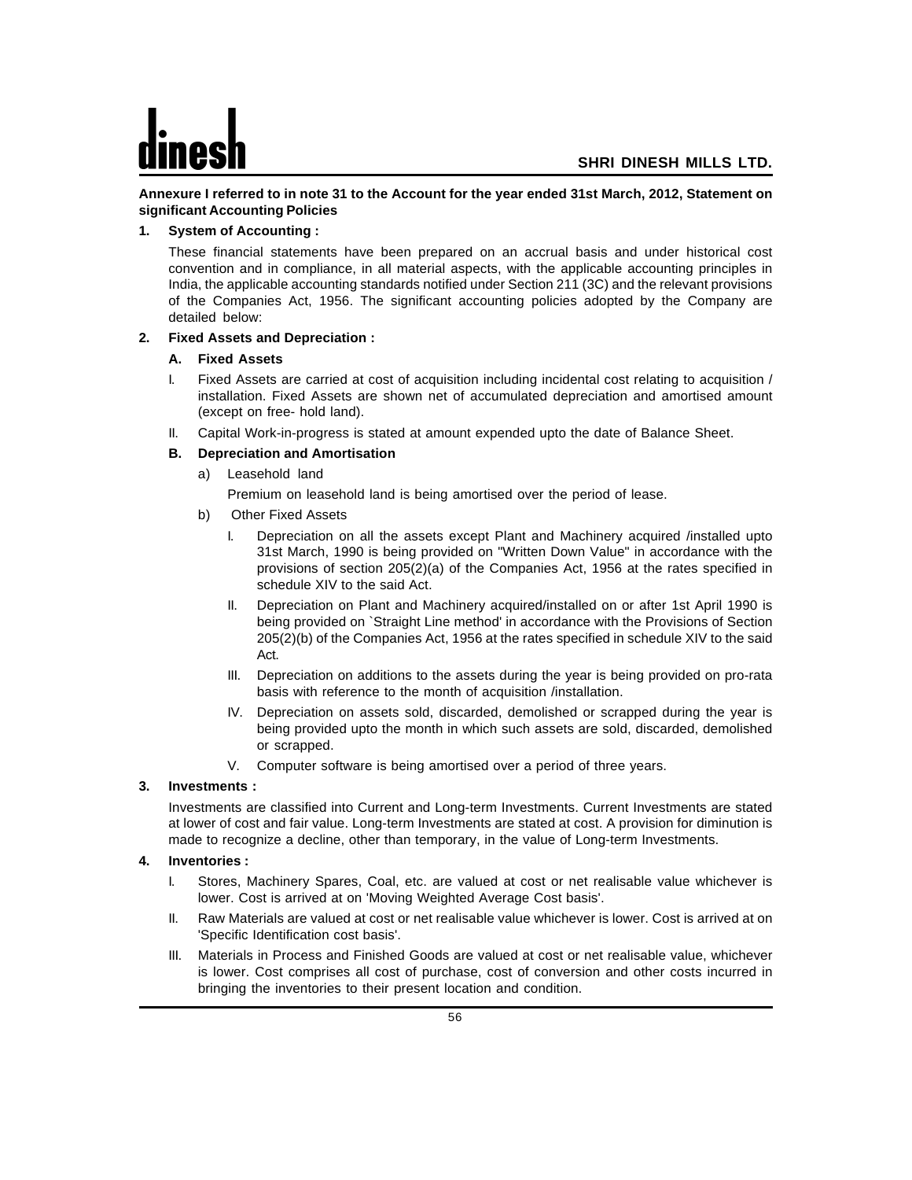### **Annexure I referred to in note 31 to the Account for the year ended 31st March, 2012, Statement on significant Accounting Policies**

## **1. System of Accounting :**

These financial statements have been prepared on an accrual basis and under historical cost convention and in compliance, in all material aspects, with the applicable accounting principles in India, the applicable accounting standards notified under Section 211 (3C) and the relevant provisions of the Companies Act, 1956. The significant accounting policies adopted by the Company are detailed below:

## **2. Fixed Assets and Depreciation :**

## **A. Fixed Assets**

- I. Fixed Assets are carried at cost of acquisition including incidental cost relating to acquisition / installation. Fixed Assets are shown net of accumulated depreciation and amortised amount (except on free- hold land).
- II. Capital Work-in-progress is stated at amount expended upto the date of Balance Sheet.

## **B. Depreciation and Amortisation**

a) Leasehold land

Premium on leasehold land is being amortised over the period of lease.

- b) Other Fixed Assets
	- I. Depreciation on all the assets except Plant and Machinery acquired /installed upto 31st March, 1990 is being provided on "Written Down Value" in accordance with the provisions of section 205(2)(a) of the Companies Act, 1956 at the rates specified in schedule XIV to the said Act.
	- II. Depreciation on Plant and Machinery acquired/installed on or after 1st April 1990 is being provided on `Straight Line method' in accordance with the Provisions of Section 205(2)(b) of the Companies Act, 1956 at the rates specified in schedule XIV to the said Act.
	- III. Depreciation on additions to the assets during the year is being provided on pro-rata basis with reference to the month of acquisition /installation.
	- IV. Depreciation on assets sold, discarded, demolished or scrapped during the year is being provided upto the month in which such assets are sold, discarded, demolished or scrapped.
	- V. Computer software is being amortised over a period of three years.

## **3. Investments :**

Investments are classified into Current and Long-term Investments. Current Investments are stated at lower of cost and fair value. Long-term Investments are stated at cost. A provision for diminution is made to recognize a decline, other than temporary, in the value of Long-term Investments.

## **4. Inventories :**

- I. Stores, Machinery Spares, Coal, etc. are valued at cost or net realisable value whichever is lower. Cost is arrived at on 'Moving Weighted Average Cost basis'.
- II. Raw Materials are valued at cost or net realisable value whichever is lower. Cost is arrived at on 'Specific Identification cost basis'.
- III. Materials in Process and Finished Goods are valued at cost or net realisable value, whichever is lower. Cost comprises all cost of purchase, cost of conversion and other costs incurred in bringing the inventories to their present location and condition.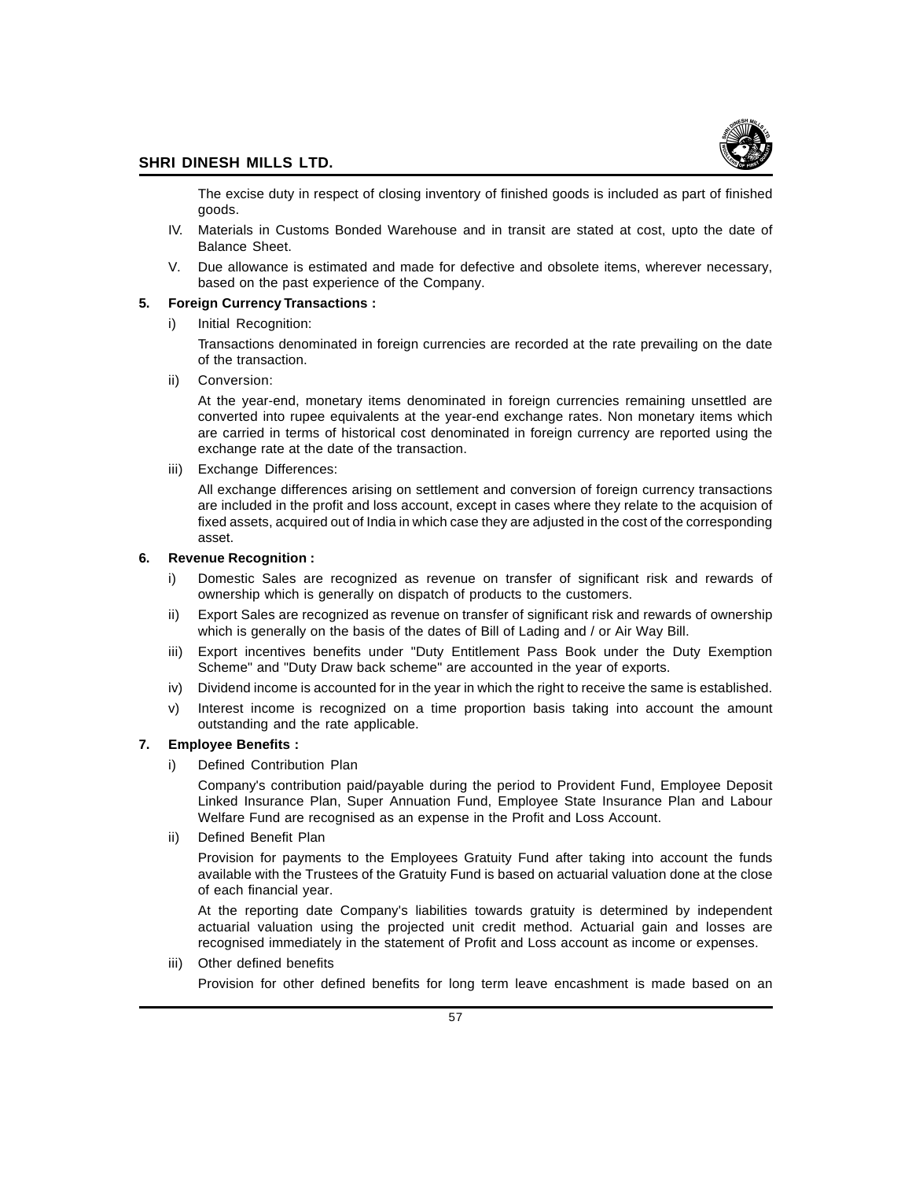

The excise duty in respect of closing inventory of finished goods is included as part of finished goods.

- IV. Materials in Customs Bonded Warehouse and in transit are stated at cost, upto the date of Balance Sheet.
- V. Due allowance is estimated and made for defective and obsolete items, wherever necessary, based on the past experience of the Company.

### **5. Foreign Currency Transactions :**

i) Initial Recognition:

Transactions denominated in foreign currencies are recorded at the rate prevailing on the date of the transaction.

ii) Conversion:

At the year-end, monetary items denominated in foreign currencies remaining unsettled are converted into rupee equivalents at the year-end exchange rates. Non monetary items which are carried in terms of historical cost denominated in foreign currency are reported using the exchange rate at the date of the transaction.

iii) Exchange Differences:

All exchange differences arising on settlement and conversion of foreign currency transactions are included in the profit and loss account, except in cases where they relate to the acquision of fixed assets, acquired out of India in which case they are adjusted in the cost of the corresponding asset.

### **6. Revenue Recognition :**

- i) Domestic Sales are recognized as revenue on transfer of significant risk and rewards of ownership which is generally on dispatch of products to the customers.
- ii) Export Sales are recognized as revenue on transfer of significant risk and rewards of ownership which is generally on the basis of the dates of Bill of Lading and / or Air Way Bill.
- iii) Export incentives benefits under "Duty Entitlement Pass Book under the Duty Exemption Scheme" and "Duty Draw back scheme" are accounted in the year of exports.
- iv) Dividend income is accounted for in the year in which the right to receive the same is established.
- v) Interest income is recognized on a time proportion basis taking into account the amount outstanding and the rate applicable.

## **7. Employee Benefits :**

i) Defined Contribution Plan

Company's contribution paid/payable during the period to Provident Fund, Employee Deposit Linked Insurance Plan, Super Annuation Fund, Employee State Insurance Plan and Labour Welfare Fund are recognised as an expense in the Profit and Loss Account.

ii) Defined Benefit Plan

Provision for payments to the Employees Gratuity Fund after taking into account the funds available with the Trustees of the Gratuity Fund is based on actuarial valuation done at the close of each financial year.

At the reporting date Company's liabilities towards gratuity is determined by independent actuarial valuation using the projected unit credit method. Actuarial gain and losses are recognised immediately in the statement of Profit and Loss account as income or expenses.

iii) Other defined benefits

Provision for other defined benefits for long term leave encashment is made based on an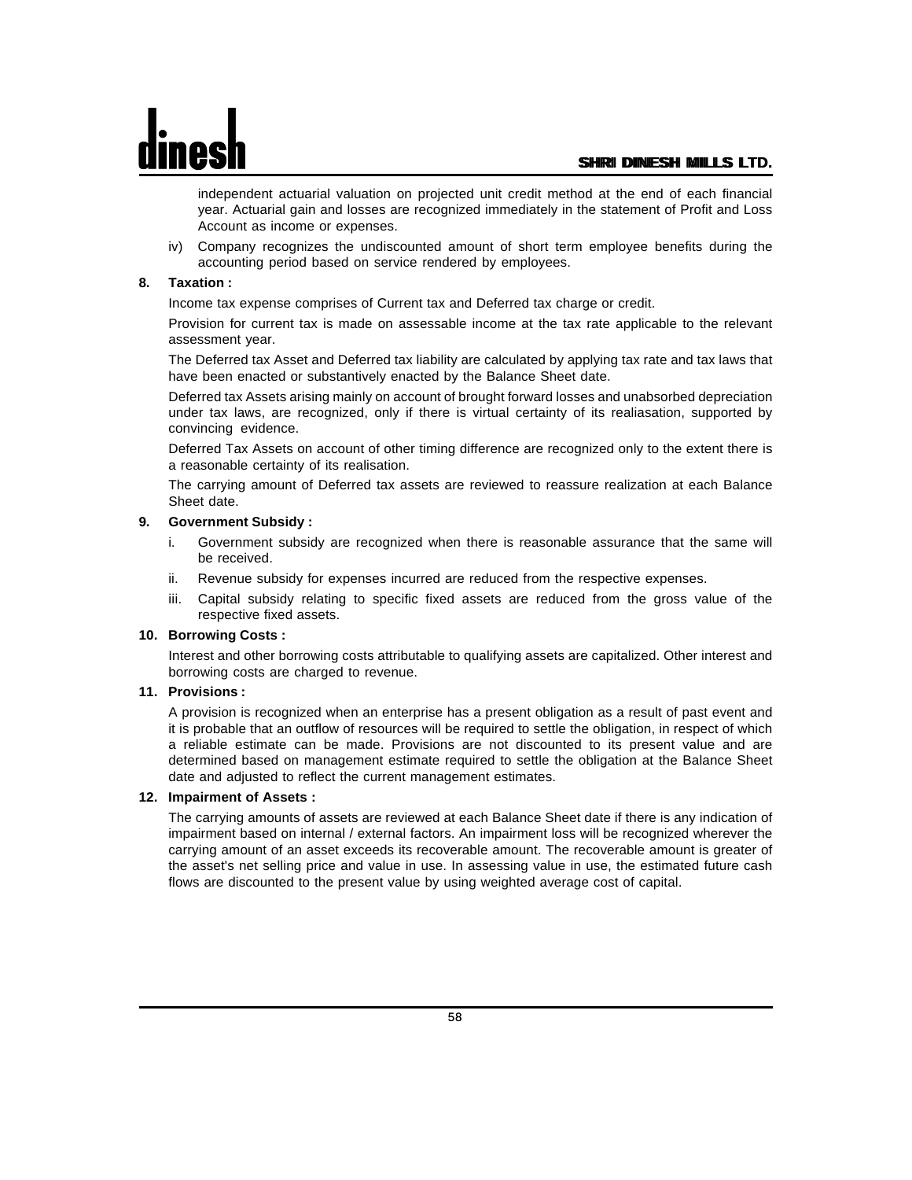## **SHRI DINESH MILLS LTD. SHRI DINESH MILLS LTD.**

independent actuarial valuation on projected unit credit method at the end of each financial year. Actuarial gain and losses are recognized immediately in the statement of Profit and Loss Account as income or expenses.

iv) Company recognizes the undiscounted amount of short term employee benefits during the accounting period based on service rendered by employees.

### **8. Taxation :**

Income tax expense comprises of Current tax and Deferred tax charge or credit.

Provision for current tax is made on assessable income at the tax rate applicable to the relevant assessment year.

The Deferred tax Asset and Deferred tax liability are calculated by applying tax rate and tax laws that have been enacted or substantively enacted by the Balance Sheet date.

Deferred tax Assets arising mainly on account of brought forward losses and unabsorbed depreciation under tax laws, are recognized, only if there is virtual certainty of its realiasation, supported by convincing evidence.

Deferred Tax Assets on account of other timing difference are recognized only to the extent there is a reasonable certainty of its realisation.

The carrying amount of Deferred tax assets are reviewed to reassure realization at each Balance Sheet date.

### **9. Government Subsidy :**

- i. Government subsidy are recognized when there is reasonable assurance that the same will be received.
- ii. Revenue subsidy for expenses incurred are reduced from the respective expenses.
- iii. Capital subsidy relating to specific fixed assets are reduced from the gross value of the respective fixed assets.

### **10. Borrowing Costs :**

Interest and other borrowing costs attributable to qualifying assets are capitalized. Other interest and borrowing costs are charged to revenue.

## **11. Provisions :**

A provision is recognized when an enterprise has a present obligation as a result of past event and it is probable that an outflow of resources will be required to settle the obligation, in respect of which a reliable estimate can be made. Provisions are not discounted to its present value and are determined based on management estimate required to settle the obligation at the Balance Sheet date and adjusted to reflect the current management estimates.

### **12. Impairment of Assets :**

The carrying amounts of assets are reviewed at each Balance Sheet date if there is any indication of impairment based on internal / external factors. An impairment loss will be recognized wherever the carrying amount of an asset exceeds its recoverable amount. The recoverable amount is greater of the asset's net selling price and value in use. In assessing value in use, the estimated future cash flows are discounted to the present value by using weighted average cost of capital.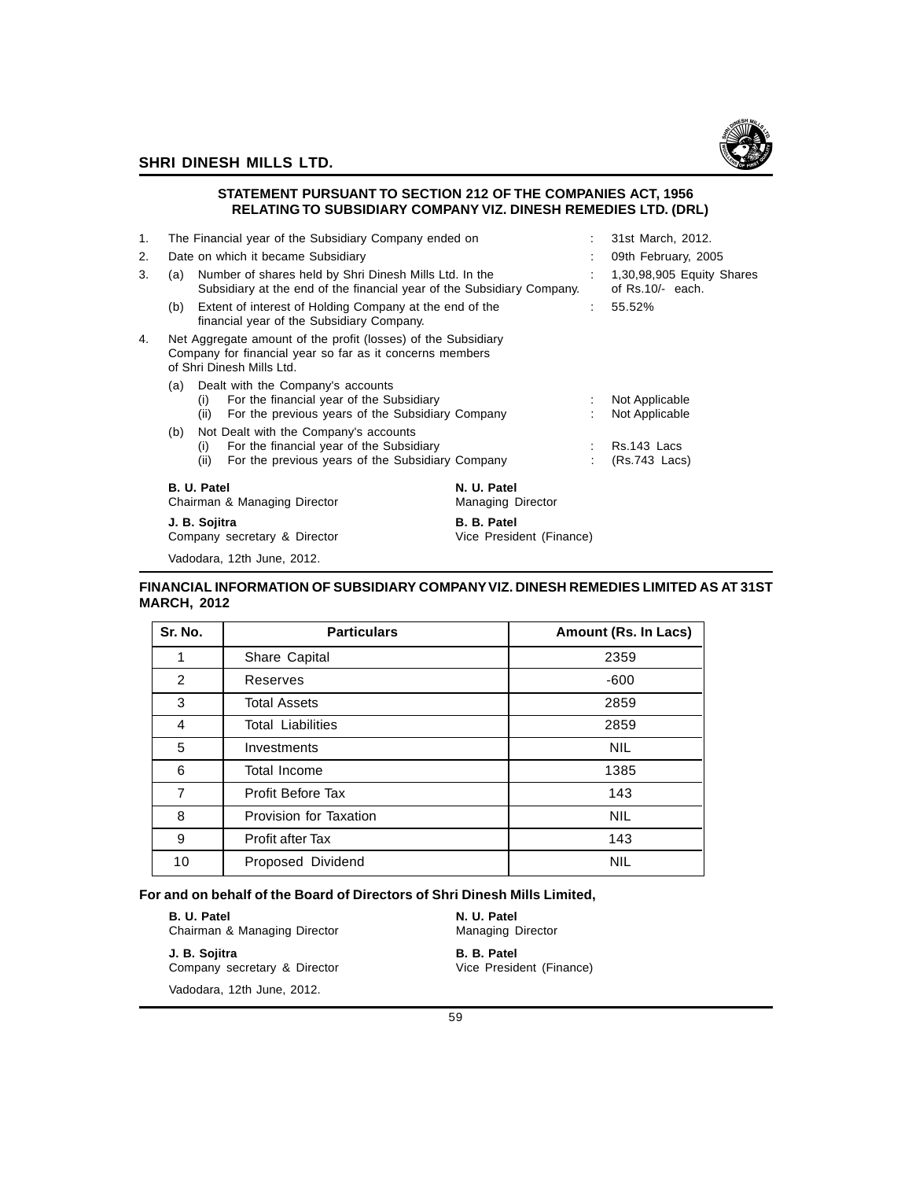

### **STATEMENT PURSUANT TO SECTION 212 OF THE COMPANIES ACT, 1956 RELATING TO SUBSIDIARY COMPANY VIZ. DINESH REMEDIES LTD. (DRL)**

| 1. |     | The Financial year of the Subsidiary Company ended on                                                                                                  |                                         | 31st March, 2012.                               |
|----|-----|--------------------------------------------------------------------------------------------------------------------------------------------------------|-----------------------------------------|-------------------------------------------------|
| 2. |     | Date on which it became Subsidiary                                                                                                                     |                                         | 09th February, 2005                             |
| 3. | (a) | Number of shares held by Shri Dinesh Mills Ltd. In the<br>Subsidiary at the end of the financial year of the Subsidiary Company.                       |                                         | 1,30,98,905 Equity Shares<br>of $Rs.10/-$ each. |
|    | (b) | Extent of interest of Holding Company at the end of the<br>financial year of the Subsidiary Company.                                                   |                                         | 55.52%                                          |
| 4. |     | Net Aggregate amount of the profit (losses) of the Subsidiary<br>Company for financial year so far as it concerns members<br>of Shri Dinesh Mills Ltd. |                                         |                                                 |
|    |     | (a) Dealt with the Company's accounts<br>For the financial year of the Subsidiary<br>(i)<br>For the previous years of the Subsidiary Company<br>(ii)   |                                         | Not Applicable<br>Not Applicable                |
|    | (b) | Not Dealt with the Company's accounts<br>For the financial year of the Subsidiary<br>(i)<br>For the previous years of the Subsidiary Company<br>(iii)  |                                         | Rs.143 Lacs<br>$(Rs.743$ Lacs)                  |
|    |     | B. U. Patel<br>Chairman & Managing Director                                                                                                            | N. U. Patel<br><b>Managing Director</b> |                                                 |
|    |     | J. B. Sojitra<br>Company secretary & Director                                                                                                          | B. B. Patel<br>Vice President (Finance) |                                                 |

Vadodara, 12th June, 2012.

### **FINANCIAL INFORMATION OF SUBSIDIARY COMPANY VIZ. DINESH REMEDIES LIMITED AS AT 31ST MARCH, 2012**

| Sr. No.        | <b>Particulars</b>       | Amount (Rs. In Lacs) |
|----------------|--------------------------|----------------------|
| 1              | Share Capital            | 2359                 |
| $\overline{2}$ | Reserves                 | $-600$               |
| 3              | <b>Total Assets</b>      | 2859                 |
| 4              | <b>Total Liabilities</b> | 2859                 |
| 5              | Investments              | <b>NIL</b>           |
| 6              | Total Income             | 1385                 |
| 7              | Profit Before Tax        | 143                  |
| 8              | Provision for Taxation   | <b>NIL</b>           |
| 9              | Profit after Tax         | 143                  |
| 10             | Proposed Dividend        | <b>NIL</b>           |

### **For and on behalf of the Board of Directors of Shri Dinesh Mills Limited,**

**B. U. Patel Chairman & Managing Director Chairman & Managing Director Chairman & Managing Director Chairman Avenue Chairman Avenue Chairman Avenue Chairman Avenue Chairman Avenue Chairman Avenue Chairman Avenue Chairman A** Chairman & Managing Director **J. B. Sojitra B. B. Patel**<br> **Company secretary & Director B. B. Patel** Vice President (Finance) Company secretary & Director

Vadodara, 12th June, 2012.